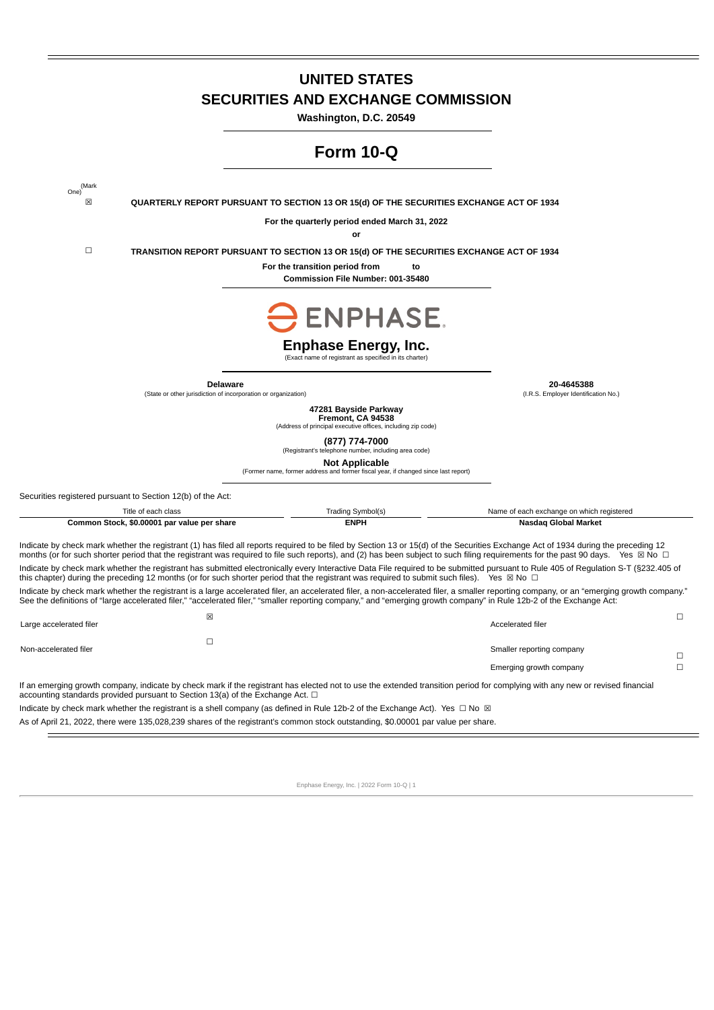# **UNITED STATES**

# **SECURITIES AND EXCHANGE COMMISSION**

**Washington, D.C. 20549**



Non-accelerated filer

Smaller reporting company **□** 

Emerging growth company  $\Box$ 

If an emerging growth company, indicate by check mark if the registrant has elected not to use the extended transition period for complying with any new or revised financial accounting standards provided pursuant to Section 13(a) of the Exchange Act.  $\Box$ 

Indicate by check mark whether the registrant is a shell company (as defined in Rule 12b-2 of the Exchange Act). Yes  $\Box$  No  $\boxtimes$ 

<span id="page-0-0"></span>As of April 21, 2022, there were 135,028,239 shares of the registrant's common stock outstanding, \$0.00001 par value per share.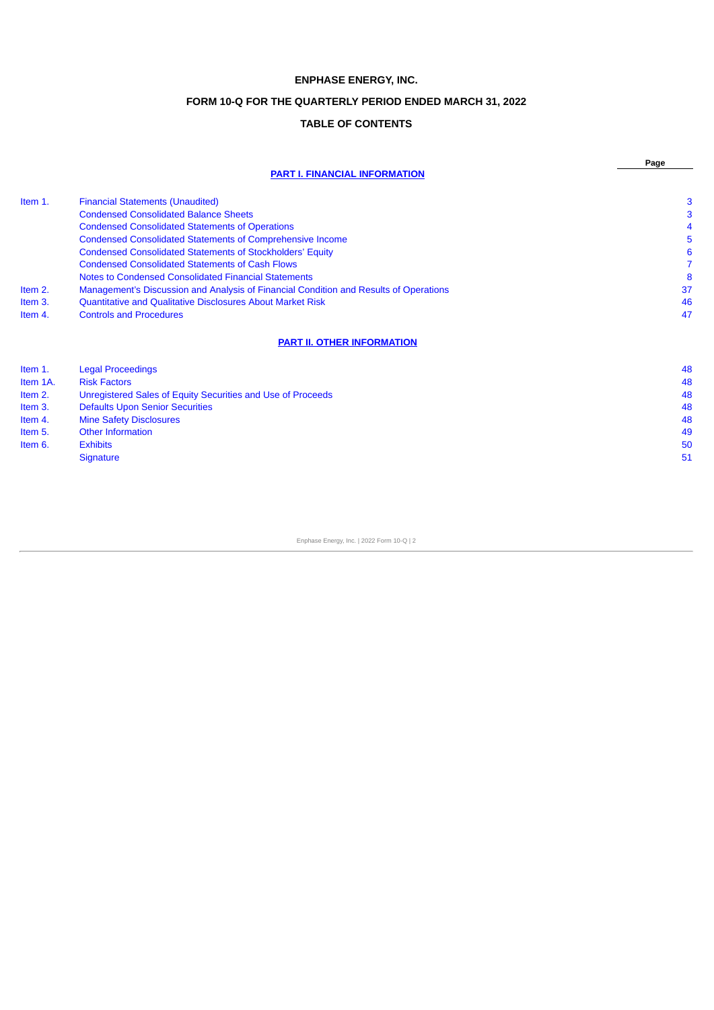# **FORM 10-Q FOR THE QUARTERLY PERIOD ENDED MARCH 31, 2022**

# **TABLE OF CONTENTS**

<span id="page-1-0"></span>

|          |                                                                                       | Page |
|----------|---------------------------------------------------------------------------------------|------|
|          | <b>PART I. FINANCIAL INFORMATION</b>                                                  |      |
| Item 1.  | <b>Financial Statements (Unaudited)</b>                                               | 3    |
|          | <b>Condensed Consolidated Balance Sheets</b>                                          | 3    |
|          | <b>Condensed Consolidated Statements of Operations</b>                                |      |
|          | <b>Condensed Consolidated Statements of Comprehensive Income</b>                      |      |
|          | <b>Condensed Consolidated Statements of Stockholders' Equity</b>                      | 6    |
|          | <b>Condensed Consolidated Statements of Cash Flows</b>                                |      |
|          | Notes to Condensed Consolidated Financial Statements                                  | 8    |
| Item 2.  | Management's Discussion and Analysis of Financial Condition and Results of Operations | 37   |
| Item 3.  | <b>Quantitative and Qualitative Disclosures About Market Risk</b>                     | 46   |
| Item 4.  | <b>Controls and Procedures</b>                                                        | 47   |
|          | <b>PART II. OTHER INFORMATION</b>                                                     |      |
| Item 1.  | <b>Legal Proceedings</b>                                                              | 48   |
| Item 1A. | <b>Risk Factors</b>                                                                   | 48   |
| Item 2.  | Unregistered Sales of Equity Securities and Use of Proceeds                           | 48   |
| Item 3.  | <b>Defaults Upon Senior Securities</b>                                                | 48   |
| Item 4.  | <b>Mine Safety Disclosures</b>                                                        | 48   |
| Item 5.  | <b>Other Information</b>                                                              | 49   |
| Item 6.  | <b>Exhibits</b>                                                                       | 50   |
|          | <b>Signature</b>                                                                      | 51   |
|          |                                                                                       |      |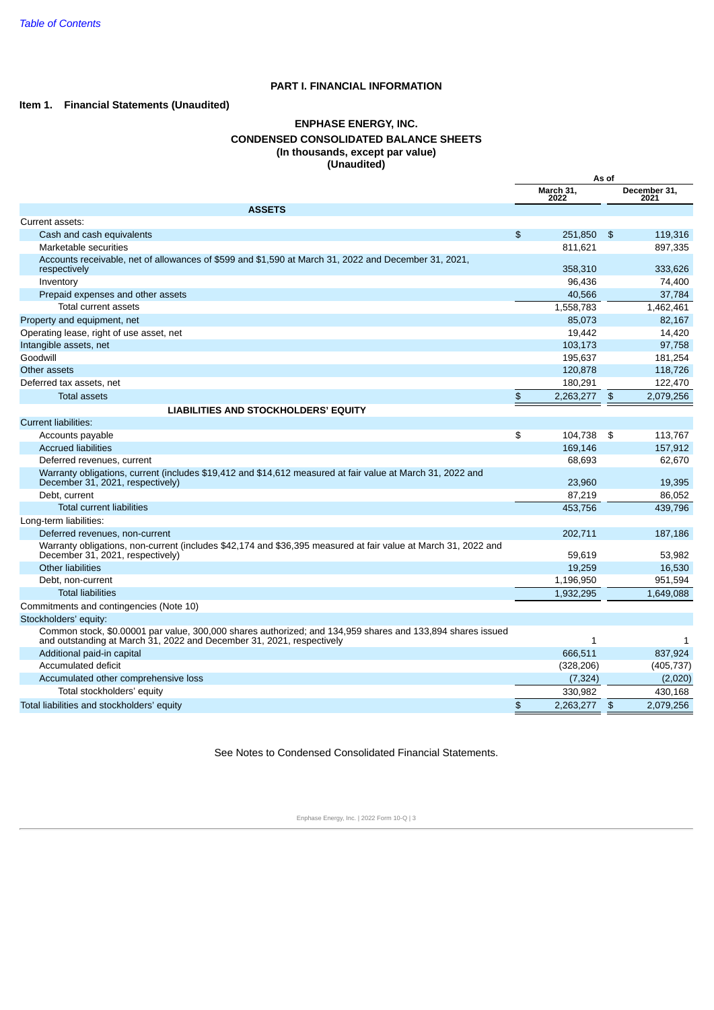# **PART I. FINANCIAL INFORMATION**

# <span id="page-2-1"></span><span id="page-2-0"></span>**Item 1. Financial Statements (Unaudited)**

# **ENPHASE ENERGY, INC. CONDENSED CONSOLIDATED BALANCE SHEETS (In thousands, except par value) (Unaudited)**

| March 31,<br>December 31.<br>2022<br>2021<br><b>ASSETS</b><br>Current assets:<br>\$<br>251,850<br>119,316<br>Cash and cash equivalents<br>-\$<br>897,335<br>Marketable securities<br>811,621<br>Accounts receivable, net of allowances of \$599 and \$1,590 at March 31, 2022 and December 31, 2021,<br>358.310<br>333.626<br>respectively<br>Inventory<br>96,436<br>74,400<br>Prepaid expenses and other assets<br>40,566<br>37,784<br>Total current assets<br>1,558,783<br>1,462,461<br>85,073<br>82,167<br>Property and equipment, net<br>Operating lease, right of use asset, net<br>19,442<br>14,420<br>103,173<br>97,758<br>Intangible assets, net<br>Goodwill<br>195,637<br>181,254<br>Other assets<br>120,878<br>118.726<br>Deferred tax assets, net<br>180,291<br>122,470<br>\$<br>2,079,256<br>2,263,277 \$<br><b>Total assets</b><br><b>LIABILITIES AND STOCKHOLDERS' EQUITY</b><br><b>Current liabilities:</b><br>Accounts payable<br>\$<br>104,738<br>113,767<br>-\$<br><b>Accrued liabilities</b><br>169,146<br>157,912<br>Deferred revenues, current<br>68,693<br>62,670<br>Warranty obligations, current (includes \$19,412 and \$14,612 measured at fair value at March 31, 2022 and<br>December 31, 2021, respectively)<br>23,960<br>19.395<br>Debt, current<br>87,219<br>86,052<br><b>Total current liabilities</b><br>453,756<br>439.796<br>Long-term liabilities:<br>202,711<br>Deferred revenues, non-current<br>187,186<br>Warranty obligations, non-current (includes \$42,174 and \$36,395 measured at fair value at March 31, 2022 and<br>December 31, 2021, respectively)<br>59.619<br>53,982<br><b>Other liabilities</b><br>19,259<br>16,530<br>1.196.950<br>951.594<br>Debt. non-current<br><b>Total liabilities</b><br>1.932.295<br>1.649.088<br>Commitments and contingencies (Note 10)<br>Stockholders' equity:<br>Common stock, \$0.00001 par value, 300,000 shares authorized; and 134,959 shares and 133,894 shares issued<br>and outstanding at March 31, 2022 and December 31, 2021, respectively<br>$\mathbf{1}$<br>1<br>666,511<br>837,924<br>Additional paid-in capital<br>Accumulated deficit<br>(328, 206)<br>(405, 737)<br>Accumulated other comprehensive loss<br>(7, 324)<br>(2,020)<br>Total stockholders' equity<br>330,982<br>430.168 |                                            |                | As of        |  |           |
|---------------------------------------------------------------------------------------------------------------------------------------------------------------------------------------------------------------------------------------------------------------------------------------------------------------------------------------------------------------------------------------------------------------------------------------------------------------------------------------------------------------------------------------------------------------------------------------------------------------------------------------------------------------------------------------------------------------------------------------------------------------------------------------------------------------------------------------------------------------------------------------------------------------------------------------------------------------------------------------------------------------------------------------------------------------------------------------------------------------------------------------------------------------------------------------------------------------------------------------------------------------------------------------------------------------------------------------------------------------------------------------------------------------------------------------------------------------------------------------------------------------------------------------------------------------------------------------------------------------------------------------------------------------------------------------------------------------------------------------------------------------------------------------------------------------------------------------------------------------------------------------------------------------------------------------------------------------------------------------------------------------------------------------------------------------------------------------------------------------------------------------------------------------------------------------------------------------------------------------------------------------------------------------|--------------------------------------------|----------------|--------------|--|-----------|
|                                                                                                                                                                                                                                                                                                                                                                                                                                                                                                                                                                                                                                                                                                                                                                                                                                                                                                                                                                                                                                                                                                                                                                                                                                                                                                                                                                                                                                                                                                                                                                                                                                                                                                                                                                                                                                                                                                                                                                                                                                                                                                                                                                                                                                                                                       |                                            |                |              |  |           |
|                                                                                                                                                                                                                                                                                                                                                                                                                                                                                                                                                                                                                                                                                                                                                                                                                                                                                                                                                                                                                                                                                                                                                                                                                                                                                                                                                                                                                                                                                                                                                                                                                                                                                                                                                                                                                                                                                                                                                                                                                                                                                                                                                                                                                                                                                       |                                            |                |              |  |           |
|                                                                                                                                                                                                                                                                                                                                                                                                                                                                                                                                                                                                                                                                                                                                                                                                                                                                                                                                                                                                                                                                                                                                                                                                                                                                                                                                                                                                                                                                                                                                                                                                                                                                                                                                                                                                                                                                                                                                                                                                                                                                                                                                                                                                                                                                                       |                                            |                |              |  |           |
|                                                                                                                                                                                                                                                                                                                                                                                                                                                                                                                                                                                                                                                                                                                                                                                                                                                                                                                                                                                                                                                                                                                                                                                                                                                                                                                                                                                                                                                                                                                                                                                                                                                                                                                                                                                                                                                                                                                                                                                                                                                                                                                                                                                                                                                                                       |                                            |                |              |  |           |
|                                                                                                                                                                                                                                                                                                                                                                                                                                                                                                                                                                                                                                                                                                                                                                                                                                                                                                                                                                                                                                                                                                                                                                                                                                                                                                                                                                                                                                                                                                                                                                                                                                                                                                                                                                                                                                                                                                                                                                                                                                                                                                                                                                                                                                                                                       |                                            |                |              |  |           |
|                                                                                                                                                                                                                                                                                                                                                                                                                                                                                                                                                                                                                                                                                                                                                                                                                                                                                                                                                                                                                                                                                                                                                                                                                                                                                                                                                                                                                                                                                                                                                                                                                                                                                                                                                                                                                                                                                                                                                                                                                                                                                                                                                                                                                                                                                       |                                            |                |              |  |           |
|                                                                                                                                                                                                                                                                                                                                                                                                                                                                                                                                                                                                                                                                                                                                                                                                                                                                                                                                                                                                                                                                                                                                                                                                                                                                                                                                                                                                                                                                                                                                                                                                                                                                                                                                                                                                                                                                                                                                                                                                                                                                                                                                                                                                                                                                                       |                                            |                |              |  |           |
|                                                                                                                                                                                                                                                                                                                                                                                                                                                                                                                                                                                                                                                                                                                                                                                                                                                                                                                                                                                                                                                                                                                                                                                                                                                                                                                                                                                                                                                                                                                                                                                                                                                                                                                                                                                                                                                                                                                                                                                                                                                                                                                                                                                                                                                                                       |                                            |                |              |  |           |
|                                                                                                                                                                                                                                                                                                                                                                                                                                                                                                                                                                                                                                                                                                                                                                                                                                                                                                                                                                                                                                                                                                                                                                                                                                                                                                                                                                                                                                                                                                                                                                                                                                                                                                                                                                                                                                                                                                                                                                                                                                                                                                                                                                                                                                                                                       |                                            |                |              |  |           |
|                                                                                                                                                                                                                                                                                                                                                                                                                                                                                                                                                                                                                                                                                                                                                                                                                                                                                                                                                                                                                                                                                                                                                                                                                                                                                                                                                                                                                                                                                                                                                                                                                                                                                                                                                                                                                                                                                                                                                                                                                                                                                                                                                                                                                                                                                       |                                            |                |              |  |           |
|                                                                                                                                                                                                                                                                                                                                                                                                                                                                                                                                                                                                                                                                                                                                                                                                                                                                                                                                                                                                                                                                                                                                                                                                                                                                                                                                                                                                                                                                                                                                                                                                                                                                                                                                                                                                                                                                                                                                                                                                                                                                                                                                                                                                                                                                                       |                                            |                |              |  |           |
|                                                                                                                                                                                                                                                                                                                                                                                                                                                                                                                                                                                                                                                                                                                                                                                                                                                                                                                                                                                                                                                                                                                                                                                                                                                                                                                                                                                                                                                                                                                                                                                                                                                                                                                                                                                                                                                                                                                                                                                                                                                                                                                                                                                                                                                                                       |                                            |                |              |  |           |
|                                                                                                                                                                                                                                                                                                                                                                                                                                                                                                                                                                                                                                                                                                                                                                                                                                                                                                                                                                                                                                                                                                                                                                                                                                                                                                                                                                                                                                                                                                                                                                                                                                                                                                                                                                                                                                                                                                                                                                                                                                                                                                                                                                                                                                                                                       |                                            |                |              |  |           |
|                                                                                                                                                                                                                                                                                                                                                                                                                                                                                                                                                                                                                                                                                                                                                                                                                                                                                                                                                                                                                                                                                                                                                                                                                                                                                                                                                                                                                                                                                                                                                                                                                                                                                                                                                                                                                                                                                                                                                                                                                                                                                                                                                                                                                                                                                       |                                            |                |              |  |           |
|                                                                                                                                                                                                                                                                                                                                                                                                                                                                                                                                                                                                                                                                                                                                                                                                                                                                                                                                                                                                                                                                                                                                                                                                                                                                                                                                                                                                                                                                                                                                                                                                                                                                                                                                                                                                                                                                                                                                                                                                                                                                                                                                                                                                                                                                                       |                                            |                |              |  |           |
|                                                                                                                                                                                                                                                                                                                                                                                                                                                                                                                                                                                                                                                                                                                                                                                                                                                                                                                                                                                                                                                                                                                                                                                                                                                                                                                                                                                                                                                                                                                                                                                                                                                                                                                                                                                                                                                                                                                                                                                                                                                                                                                                                                                                                                                                                       |                                            |                |              |  |           |
|                                                                                                                                                                                                                                                                                                                                                                                                                                                                                                                                                                                                                                                                                                                                                                                                                                                                                                                                                                                                                                                                                                                                                                                                                                                                                                                                                                                                                                                                                                                                                                                                                                                                                                                                                                                                                                                                                                                                                                                                                                                                                                                                                                                                                                                                                       |                                            |                |              |  |           |
|                                                                                                                                                                                                                                                                                                                                                                                                                                                                                                                                                                                                                                                                                                                                                                                                                                                                                                                                                                                                                                                                                                                                                                                                                                                                                                                                                                                                                                                                                                                                                                                                                                                                                                                                                                                                                                                                                                                                                                                                                                                                                                                                                                                                                                                                                       |                                            |                |              |  |           |
|                                                                                                                                                                                                                                                                                                                                                                                                                                                                                                                                                                                                                                                                                                                                                                                                                                                                                                                                                                                                                                                                                                                                                                                                                                                                                                                                                                                                                                                                                                                                                                                                                                                                                                                                                                                                                                                                                                                                                                                                                                                                                                                                                                                                                                                                                       |                                            |                |              |  |           |
|                                                                                                                                                                                                                                                                                                                                                                                                                                                                                                                                                                                                                                                                                                                                                                                                                                                                                                                                                                                                                                                                                                                                                                                                                                                                                                                                                                                                                                                                                                                                                                                                                                                                                                                                                                                                                                                                                                                                                                                                                                                                                                                                                                                                                                                                                       |                                            |                |              |  |           |
|                                                                                                                                                                                                                                                                                                                                                                                                                                                                                                                                                                                                                                                                                                                                                                                                                                                                                                                                                                                                                                                                                                                                                                                                                                                                                                                                                                                                                                                                                                                                                                                                                                                                                                                                                                                                                                                                                                                                                                                                                                                                                                                                                                                                                                                                                       |                                            |                |              |  |           |
|                                                                                                                                                                                                                                                                                                                                                                                                                                                                                                                                                                                                                                                                                                                                                                                                                                                                                                                                                                                                                                                                                                                                                                                                                                                                                                                                                                                                                                                                                                                                                                                                                                                                                                                                                                                                                                                                                                                                                                                                                                                                                                                                                                                                                                                                                       |                                            |                |              |  |           |
|                                                                                                                                                                                                                                                                                                                                                                                                                                                                                                                                                                                                                                                                                                                                                                                                                                                                                                                                                                                                                                                                                                                                                                                                                                                                                                                                                                                                                                                                                                                                                                                                                                                                                                                                                                                                                                                                                                                                                                                                                                                                                                                                                                                                                                                                                       |                                            |                |              |  |           |
|                                                                                                                                                                                                                                                                                                                                                                                                                                                                                                                                                                                                                                                                                                                                                                                                                                                                                                                                                                                                                                                                                                                                                                                                                                                                                                                                                                                                                                                                                                                                                                                                                                                                                                                                                                                                                                                                                                                                                                                                                                                                                                                                                                                                                                                                                       |                                            |                |              |  |           |
|                                                                                                                                                                                                                                                                                                                                                                                                                                                                                                                                                                                                                                                                                                                                                                                                                                                                                                                                                                                                                                                                                                                                                                                                                                                                                                                                                                                                                                                                                                                                                                                                                                                                                                                                                                                                                                                                                                                                                                                                                                                                                                                                                                                                                                                                                       |                                            |                |              |  |           |
|                                                                                                                                                                                                                                                                                                                                                                                                                                                                                                                                                                                                                                                                                                                                                                                                                                                                                                                                                                                                                                                                                                                                                                                                                                                                                                                                                                                                                                                                                                                                                                                                                                                                                                                                                                                                                                                                                                                                                                                                                                                                                                                                                                                                                                                                                       |                                            |                |              |  |           |
|                                                                                                                                                                                                                                                                                                                                                                                                                                                                                                                                                                                                                                                                                                                                                                                                                                                                                                                                                                                                                                                                                                                                                                                                                                                                                                                                                                                                                                                                                                                                                                                                                                                                                                                                                                                                                                                                                                                                                                                                                                                                                                                                                                                                                                                                                       |                                            |                |              |  |           |
|                                                                                                                                                                                                                                                                                                                                                                                                                                                                                                                                                                                                                                                                                                                                                                                                                                                                                                                                                                                                                                                                                                                                                                                                                                                                                                                                                                                                                                                                                                                                                                                                                                                                                                                                                                                                                                                                                                                                                                                                                                                                                                                                                                                                                                                                                       |                                            |                |              |  |           |
|                                                                                                                                                                                                                                                                                                                                                                                                                                                                                                                                                                                                                                                                                                                                                                                                                                                                                                                                                                                                                                                                                                                                                                                                                                                                                                                                                                                                                                                                                                                                                                                                                                                                                                                                                                                                                                                                                                                                                                                                                                                                                                                                                                                                                                                                                       |                                            |                |              |  |           |
|                                                                                                                                                                                                                                                                                                                                                                                                                                                                                                                                                                                                                                                                                                                                                                                                                                                                                                                                                                                                                                                                                                                                                                                                                                                                                                                                                                                                                                                                                                                                                                                                                                                                                                                                                                                                                                                                                                                                                                                                                                                                                                                                                                                                                                                                                       |                                            |                |              |  |           |
|                                                                                                                                                                                                                                                                                                                                                                                                                                                                                                                                                                                                                                                                                                                                                                                                                                                                                                                                                                                                                                                                                                                                                                                                                                                                                                                                                                                                                                                                                                                                                                                                                                                                                                                                                                                                                                                                                                                                                                                                                                                                                                                                                                                                                                                                                       |                                            |                |              |  |           |
|                                                                                                                                                                                                                                                                                                                                                                                                                                                                                                                                                                                                                                                                                                                                                                                                                                                                                                                                                                                                                                                                                                                                                                                                                                                                                                                                                                                                                                                                                                                                                                                                                                                                                                                                                                                                                                                                                                                                                                                                                                                                                                                                                                                                                                                                                       |                                            |                |              |  |           |
|                                                                                                                                                                                                                                                                                                                                                                                                                                                                                                                                                                                                                                                                                                                                                                                                                                                                                                                                                                                                                                                                                                                                                                                                                                                                                                                                                                                                                                                                                                                                                                                                                                                                                                                                                                                                                                                                                                                                                                                                                                                                                                                                                                                                                                                                                       |                                            |                |              |  |           |
|                                                                                                                                                                                                                                                                                                                                                                                                                                                                                                                                                                                                                                                                                                                                                                                                                                                                                                                                                                                                                                                                                                                                                                                                                                                                                                                                                                                                                                                                                                                                                                                                                                                                                                                                                                                                                                                                                                                                                                                                                                                                                                                                                                                                                                                                                       |                                            |                |              |  |           |
|                                                                                                                                                                                                                                                                                                                                                                                                                                                                                                                                                                                                                                                                                                                                                                                                                                                                                                                                                                                                                                                                                                                                                                                                                                                                                                                                                                                                                                                                                                                                                                                                                                                                                                                                                                                                                                                                                                                                                                                                                                                                                                                                                                                                                                                                                       |                                            |                |              |  |           |
|                                                                                                                                                                                                                                                                                                                                                                                                                                                                                                                                                                                                                                                                                                                                                                                                                                                                                                                                                                                                                                                                                                                                                                                                                                                                                                                                                                                                                                                                                                                                                                                                                                                                                                                                                                                                                                                                                                                                                                                                                                                                                                                                                                                                                                                                                       |                                            |                |              |  |           |
|                                                                                                                                                                                                                                                                                                                                                                                                                                                                                                                                                                                                                                                                                                                                                                                                                                                                                                                                                                                                                                                                                                                                                                                                                                                                                                                                                                                                                                                                                                                                                                                                                                                                                                                                                                                                                                                                                                                                                                                                                                                                                                                                                                                                                                                                                       |                                            |                |              |  |           |
|                                                                                                                                                                                                                                                                                                                                                                                                                                                                                                                                                                                                                                                                                                                                                                                                                                                                                                                                                                                                                                                                                                                                                                                                                                                                                                                                                                                                                                                                                                                                                                                                                                                                                                                                                                                                                                                                                                                                                                                                                                                                                                                                                                                                                                                                                       | Total liabilities and stockholders' equity | $\mathfrak{L}$ | 2,263,277 \$ |  | 2.079.256 |

<span id="page-2-2"></span>See Notes to Condensed Consolidated Financial Statements.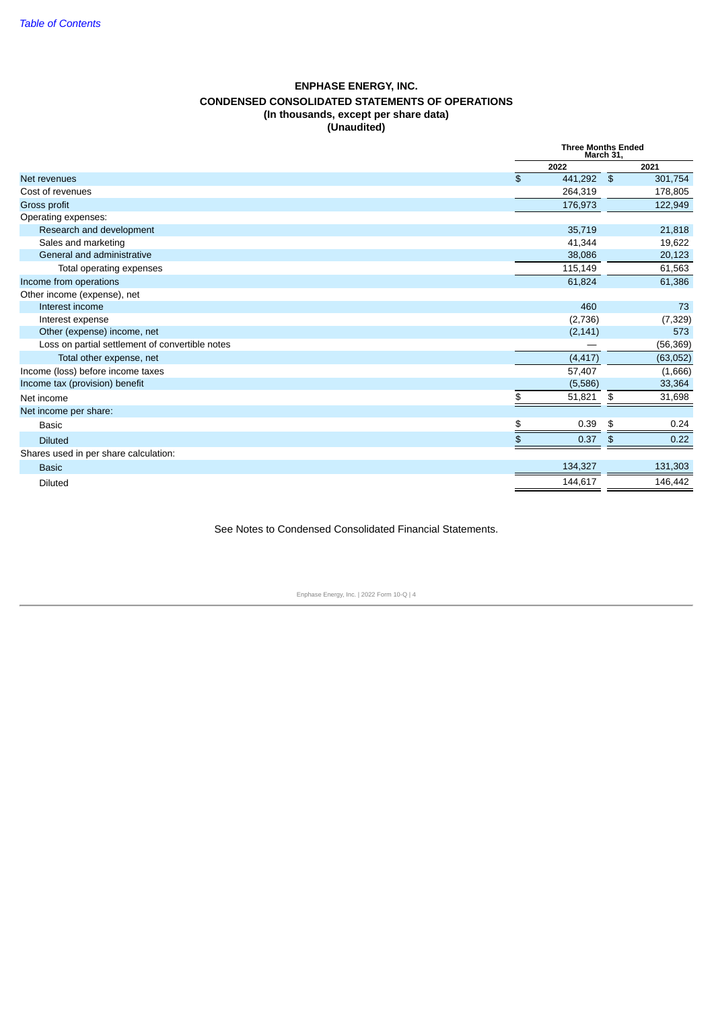# **ENPHASE ENERGY, INC. CONDENSED CONSOLIDATED STATEMENTS OF OPERATIONS (In thousands, except per share data) (Unaudited)**

|                                                 |      | <b>Three Months Ended</b><br>March 31, |    |           |
|-------------------------------------------------|------|----------------------------------------|----|-----------|
|                                                 | 2022 |                                        |    | 2021      |
| Net revenues                                    | \$   | 441,292 \$                             |    | 301,754   |
| Cost of revenues                                |      | 264,319                                |    | 178,805   |
| Gross profit                                    |      | 176,973                                |    | 122,949   |
| Operating expenses:                             |      |                                        |    |           |
| Research and development                        |      | 35,719                                 |    | 21,818    |
| Sales and marketing                             |      | 41,344                                 |    | 19,622    |
| General and administrative                      |      | 38,086                                 |    | 20,123    |
| Total operating expenses                        |      | 115,149                                |    | 61,563    |
| Income from operations                          |      | 61.824                                 |    | 61,386    |
| Other income (expense), net                     |      |                                        |    |           |
| Interest income                                 |      | 460                                    |    | 73        |
| Interest expense                                |      | (2,736)                                |    | (7, 329)  |
| Other (expense) income, net                     |      | (2, 141)                               |    | 573       |
| Loss on partial settlement of convertible notes |      |                                        |    | (56, 369) |
| Total other expense, net                        |      | (4, 417)                               |    | (63,052)  |
| Income (loss) before income taxes               |      | 57,407                                 |    | (1,666)   |
| Income tax (provision) benefit                  |      | (5,586)                                |    | 33,364    |
| Net income                                      | \$   | 51,821                                 | \$ | 31,698    |
| Net income per share:                           |      |                                        |    |           |
| Basic                                           | \$   | 0.39                                   | \$ | 0.24      |
| <b>Diluted</b>                                  | \$   | 0.37                                   | \$ | 0.22      |
| Shares used in per share calculation:           |      |                                        |    |           |
| <b>Basic</b>                                    |      | 134.327                                |    | 131,303   |
| <b>Diluted</b>                                  |      | 144,617                                |    | 146,442   |
|                                                 |      |                                        |    |           |

<span id="page-3-0"></span>See Notes to Condensed Consolidated Financial Statements.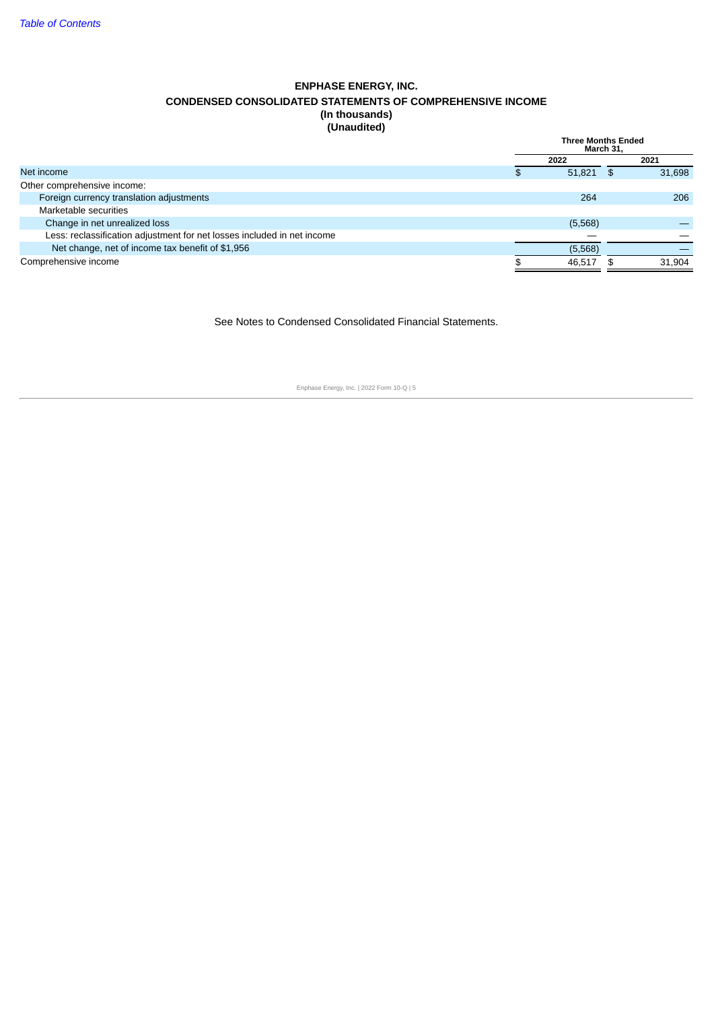# **ENPHASE ENERGY, INC. CONDENSED CONSOLIDATED STATEMENTS OF COMPREHENSIVE INCOME (In thousands) (Unaudited)**

|                                                                         | <b>Three Months Ended</b><br>March 31, |             |  |        |
|-------------------------------------------------------------------------|----------------------------------------|-------------|--|--------|
|                                                                         |                                        | 2022        |  | 2021   |
| Net income                                                              |                                        | $51,821$ \$ |  | 31,698 |
| Other comprehensive income:                                             |                                        |             |  |        |
| Foreign currency translation adjustments                                |                                        | 264         |  | 206    |
| Marketable securities                                                   |                                        |             |  |        |
| Change in net unrealized loss                                           |                                        | (5,568)     |  |        |
| Less: reclassification adjustment for net losses included in net income |                                        |             |  |        |
| Net change, net of income tax benefit of \$1,956                        |                                        | (5,568)     |  |        |
| Comprehensive income                                                    |                                        | 46,517      |  | 31.904 |

<span id="page-4-0"></span>See Notes to Condensed Consolidated Financial Statements.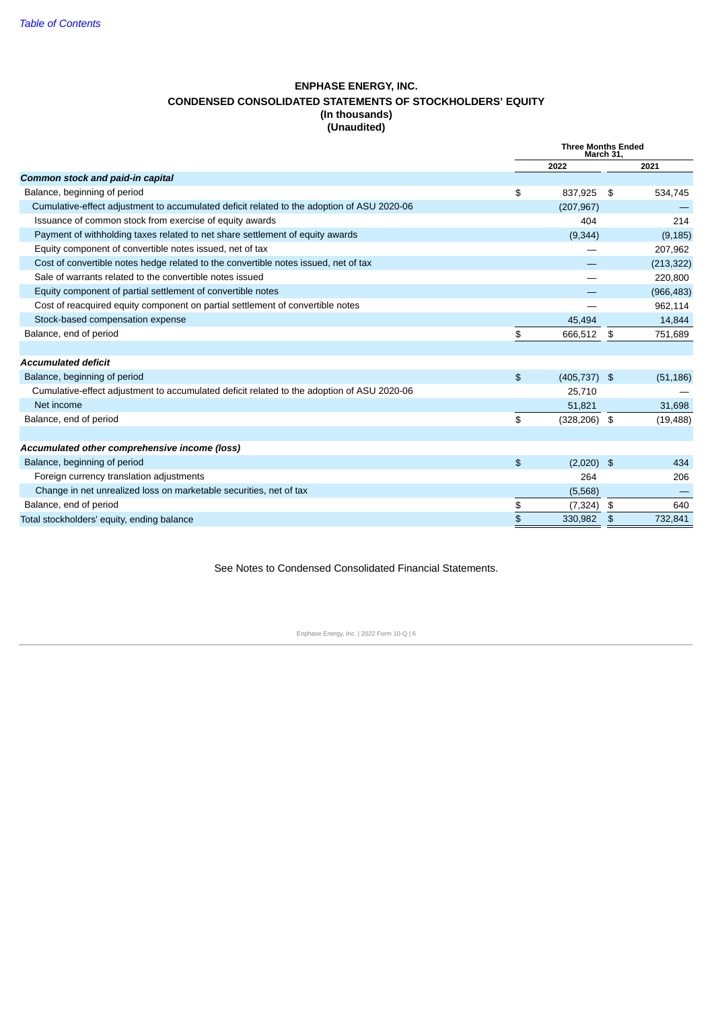# **ENPHASE ENERGY, INC. CONDENSED CONSOLIDATED STATEMENTS OF STOCKHOLDERS' EQUITY (In thousands) (Unaudited)**

|                                                                                            | <b>Three Months Ended</b><br>March 31, |                 |    |            |
|--------------------------------------------------------------------------------------------|----------------------------------------|-----------------|----|------------|
|                                                                                            |                                        | 2022            |    | 2021       |
| Common stock and paid-in capital                                                           |                                        |                 |    |            |
| Balance, beginning of period                                                               | \$                                     | 837.925         | \$ | 534,745    |
| Cumulative-effect adjustment to accumulated deficit related to the adoption of ASU 2020-06 |                                        | (207, 967)      |    |            |
| Issuance of common stock from exercise of equity awards                                    |                                        | 404             |    | 214        |
| Payment of withholding taxes related to net share settlement of equity awards              |                                        | (9, 344)        |    | (9, 185)   |
| Equity component of convertible notes issued, net of tax                                   |                                        |                 |    | 207,962    |
| Cost of convertible notes hedge related to the convertible notes issued, net of tax        |                                        |                 |    | (213, 322) |
| Sale of warrants related to the convertible notes issued                                   |                                        |                 |    | 220,800    |
| Equity component of partial settlement of convertible notes                                |                                        |                 |    | (966, 483) |
| Cost of reacquired equity component on partial settlement of convertible notes             |                                        |                 |    | 962,114    |
| Stock-based compensation expense                                                           |                                        | 45.494          |    | 14,844     |
| Balance, end of period                                                                     | \$                                     | 666,512         | \$ | 751,689    |
|                                                                                            |                                        |                 |    |            |
| <b>Accumulated deficit</b>                                                                 |                                        |                 |    |            |
| Balance, beginning of period                                                               | $\frac{2}{3}$                          | $(405, 737)$ \$ |    | (51, 186)  |
| Cumulative-effect adjustment to accumulated deficit related to the adoption of ASU 2020-06 |                                        | 25,710          |    |            |
| Net income                                                                                 |                                        | 51,821          |    | 31,698     |
| Balance, end of period                                                                     | \$                                     | $(328, 206)$ \$ |    | (19, 488)  |
|                                                                                            |                                        |                 |    |            |
| Accumulated other comprehensive income (loss)                                              |                                        |                 |    |            |
| Balance, beginning of period                                                               | \$                                     | $(2,020)$ \$    |    | 434        |
| Foreign currency translation adjustments                                                   |                                        | 264             |    | 206        |
| Change in net unrealized loss on marketable securities, net of tax                         |                                        | (5,568)         |    |            |
| Balance, end of period                                                                     | \$                                     | (7, 324)        | \$ | 640        |
| Total stockholders' equity, ending balance                                                 | \$                                     | 330,982         | \$ | 732,841    |

<span id="page-5-0"></span>See Notes to Condensed Consolidated Financial Statements.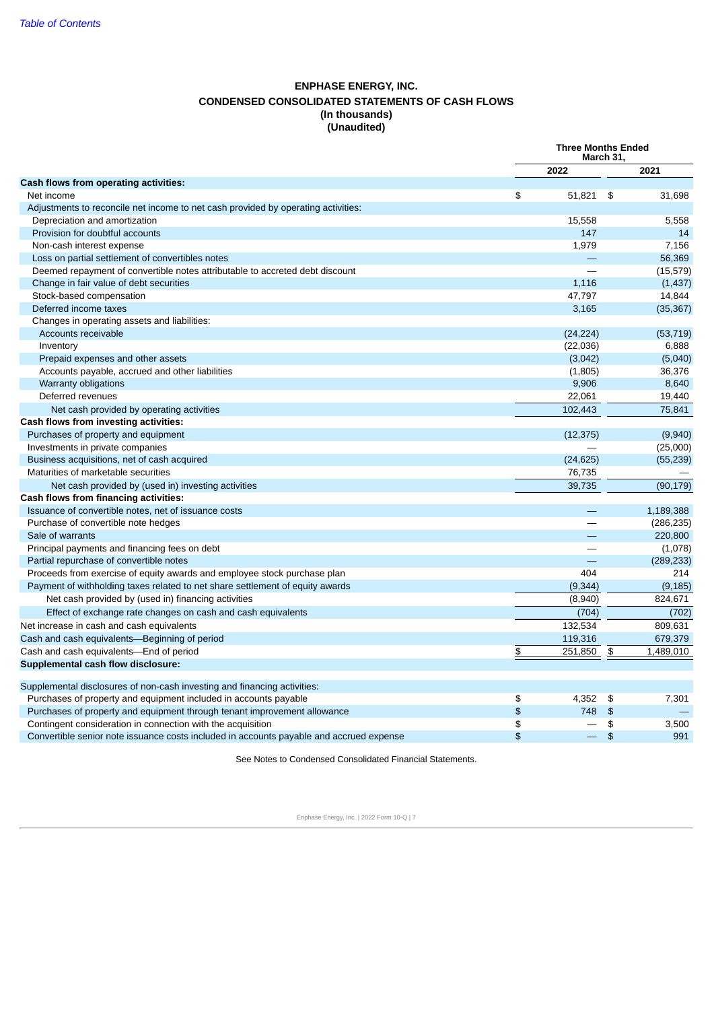# **ENPHASE ENERGY, INC. CONDENSED CONSOLIDATED STATEMENTS OF CASH FLOWS (In thousands) (Unaudited)**

|                                                                                         |                | <b>Three Months Ended</b><br>March 31, |                          |            |
|-----------------------------------------------------------------------------------------|----------------|----------------------------------------|--------------------------|------------|
|                                                                                         |                | 2022                                   |                          | 2021       |
| Cash flows from operating activities:                                                   |                |                                        |                          |            |
| Net income                                                                              | \$             | 51,821 \$                              |                          | 31,698     |
| Adjustments to reconcile net income to net cash provided by operating activities:       |                |                                        |                          |            |
| Depreciation and amortization                                                           |                | 15,558                                 |                          | 5,558      |
| Provision for doubtful accounts                                                         |                | 147                                    |                          | 14         |
| Non-cash interest expense                                                               |                | 1,979                                  |                          | 7.156      |
| Loss on partial settlement of convertibles notes                                        |                |                                        |                          | 56,369     |
| Deemed repayment of convertible notes attributable to accreted debt discount            |                |                                        |                          | (15, 579)  |
| Change in fair value of debt securities                                                 |                | 1,116                                  |                          | (1, 437)   |
| Stock-based compensation                                                                |                | 47,797                                 |                          | 14,844     |
| Deferred income taxes                                                                   |                | 3,165                                  |                          | (35, 367)  |
| Changes in operating assets and liabilities:                                            |                |                                        |                          |            |
| Accounts receivable                                                                     |                | (24, 224)                              |                          | (53, 719)  |
| Inventory                                                                               |                | (22,036)                               |                          | 6,888      |
| Prepaid expenses and other assets                                                       |                | (3,042)                                |                          | (5,040)    |
| Accounts payable, accrued and other liabilities                                         |                | (1,805)                                |                          | 36,376     |
| <b>Warranty obligations</b>                                                             |                | 9,906                                  |                          | 8,640      |
| Deferred revenues                                                                       |                | 22,061                                 |                          | 19,440     |
| Net cash provided by operating activities                                               |                | 102,443                                |                          | 75.841     |
| Cash flows from investing activities:                                                   |                |                                        |                          |            |
| Purchases of property and equipment                                                     |                | (12, 375)                              |                          | (9,940)    |
| Investments in private companies                                                        |                |                                        |                          | (25,000)   |
| Business acquisitions, net of cash acquired                                             |                | (24, 625)                              |                          | (55, 239)  |
| Maturities of marketable securities                                                     |                | 76,735                                 |                          |            |
| Net cash provided by (used in) investing activities                                     |                | 39.735                                 |                          | (90, 179)  |
| Cash flows from financing activities:                                                   |                |                                        |                          |            |
| Issuance of convertible notes, net of issuance costs                                    |                |                                        |                          | 1,189,388  |
| Purchase of convertible note hedges                                                     |                |                                        |                          | (286, 235) |
| Sale of warrants                                                                        |                |                                        |                          | 220,800    |
| Principal payments and financing fees on debt                                           |                |                                        |                          | (1,078)    |
| Partial repurchase of convertible notes                                                 |                |                                        |                          | (289, 233) |
| Proceeds from exercise of equity awards and employee stock purchase plan                |                | 404                                    |                          | 214        |
| Payment of withholding taxes related to net share settlement of equity awards           |                | (9, 344)                               |                          | (9, 185)   |
| Net cash provided by (used in) financing activities                                     |                | (8,940)                                |                          | 824,671    |
| Effect of exchange rate changes on cash and cash equivalents                            |                | (704)                                  |                          | (702)      |
| Net increase in cash and cash equivalents                                               |                | 132,534                                |                          | 809,631    |
| Cash and cash equivalents-Beginning of period                                           |                | 119,316                                |                          | 679,379    |
| Cash and cash equivalents-End of period                                                 | \$             | 251,850                                | $\overline{\mathcal{F}}$ | 1,489,010  |
| Supplemental cash flow disclosure:                                                      |                |                                        |                          |            |
| Supplemental disclosures of non-cash investing and financing activities:                |                |                                        |                          |            |
| Purchases of property and equipment included in accounts payable                        | \$             | 4,352                                  | \$                       | 7,301      |
| Purchases of property and equipment through tenant improvement allowance                | \$             | 748                                    | $\frac{3}{2}$            |            |
| Contingent consideration in connection with the acquisition                             | \$             |                                        | \$                       | 3,500      |
| Convertible senior note issuance costs included in accounts payable and accrued expense | $\mathfrak{P}$ |                                        | $\mathfrak{L}$           | 991        |
|                                                                                         |                |                                        |                          |            |

<span id="page-6-0"></span>See Notes to Condensed Consolidated Financial Statements.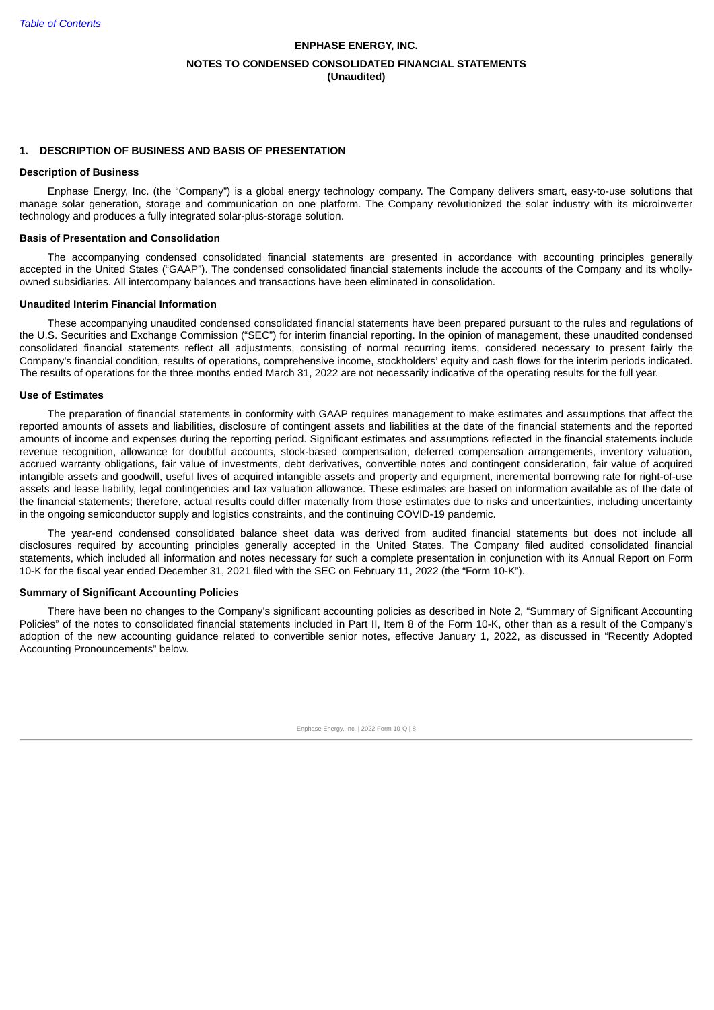# **ENPHASE ENERGY, INC. NOTES TO CONDENSED CONSOLIDATED FINANCIAL STATEMENTS (Unaudited)**

# <span id="page-7-0"></span>**1. DESCRIPTION OF BUSINESS AND BASIS OF PRESENTATION**

#### **Description of Business**

Enphase Energy, Inc. (the "Company") is a global energy technology company. The Company delivers smart, easy-to-use solutions that manage solar generation, storage and communication on one platform. The Company revolutionized the solar industry with its microinverter technology and produces a fully integrated solar-plus-storage solution.

#### **Basis of Presentation and Consolidation**

The accompanying condensed consolidated financial statements are presented in accordance with accounting principles generally accepted in the United States ("GAAP"). The condensed consolidated financial statements include the accounts of the Company and its whollyowned subsidiaries. All intercompany balances and transactions have been eliminated in consolidation.

### **Unaudited Interim Financial Information**

These accompanying unaudited condensed consolidated financial statements have been prepared pursuant to the rules and regulations of the U.S. Securities and Exchange Commission ("SEC") for interim financial reporting. In the opinion of management, these unaudited condensed consolidated financial statements reflect all adjustments, consisting of normal recurring items, considered necessary to present fairly the Company's financial condition, results of operations, comprehensive income, stockholders' equity and cash flows for the interim periods indicated. The results of operations for the three months ended March 31, 2022 are not necessarily indicative of the operating results for the full year.

### **Use of Estimates**

The preparation of financial statements in conformity with GAAP requires management to make estimates and assumptions that affect the reported amounts of assets and liabilities, disclosure of contingent assets and liabilities at the date of the financial statements and the reported amounts of income and expenses during the reporting period. Significant estimates and assumptions reflected in the financial statements include revenue recognition, allowance for doubtful accounts, stock-based compensation, deferred compensation arrangements, inventory valuation, accrued warranty obligations, fair value of investments, debt derivatives, convertible notes and contingent consideration, fair value of acquired intangible assets and goodwill, useful lives of acquired intangible assets and property and equipment, incremental borrowing rate for right-of-use assets and lease liability, legal contingencies and tax valuation allowance. These estimates are based on information available as of the date of the financial statements; therefore, actual results could differ materially from those estimates due to risks and uncertainties, including uncertainty in the ongoing semiconductor supply and logistics constraints, and the continuing COVID-19 pandemic.

The year-end condensed consolidated balance sheet data was derived from audited financial statements but does not include all disclosures required by accounting principles generally accepted in the United States. The Company filed audited consolidated financial statements, which included all information and notes necessary for such a complete presentation in conjunction with its Annual Report on Form 10-K for the fiscal year ended December 31, 2021 filed with the SEC on February 11, 2022 (the "Form 10‑K").

### **Summary of Significant Accounting Policies**

There have been no changes to the Company's significant accounting policies as described in Note 2, "Summary of Significant Accounting Policies" of the notes to consolidated financial statements included in Part II, Item 8 of the Form 10-K, other than as a result of the Company's adoption of the new accounting guidance related to convertible senior notes, effective January 1, 2022, as discussed in "Recently Adopted Accounting Pronouncements" below.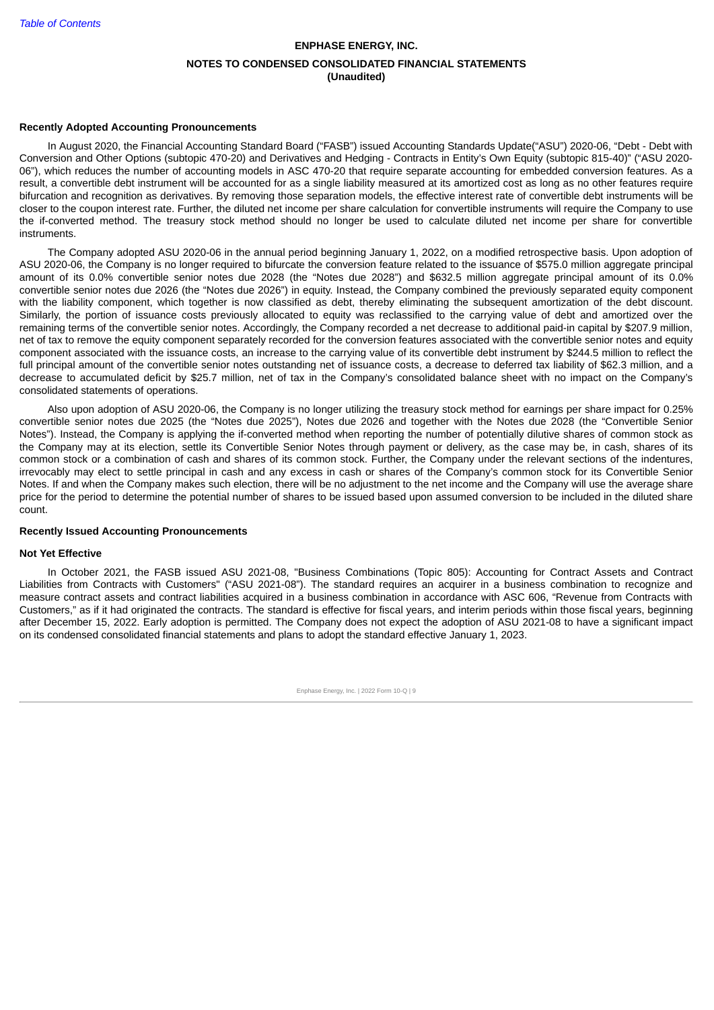# **ENPHASE ENERGY, INC. NOTES TO CONDENSED CONSOLIDATED FINANCIAL STATEMENTS (Unaudited)**

# **Recently Adopted Accounting Pronouncements**

In August 2020, the Financial Accounting Standard Board ("FASB") issued Accounting Standards Update("ASU") 2020-06, "Debt - Debt with Conversion and Other Options (subtopic 470-20) and Derivatives and Hedging - Contracts in Entity's Own Equity (subtopic 815-40)" ("ASU 2020- 06"), which reduces the number of accounting models in ASC 470-20 that require separate accounting for embedded conversion features. As a result, a convertible debt instrument will be accounted for as a single liability measured at its amortized cost as long as no other features require bifurcation and recognition as derivatives. By removing those separation models, the effective interest rate of convertible debt instruments will be closer to the coupon interest rate. Further, the diluted net income per share calculation for convertible instruments will require the Company to use the if-converted method. The treasury stock method should no longer be used to calculate diluted net income per share for convertible instruments.

The Company adopted ASU 2020-06 in the annual period beginning January 1, 2022, on a modified retrospective basis. Upon adoption of ASU 2020-06, the Company is no longer required to bifurcate the conversion feature related to the issuance of \$575.0 million aggregate principal amount of its 0.0% convertible senior notes due 2028 (the "Notes due 2028") and \$632.5 million aggregate principal amount of its 0.0% convertible senior notes due 2026 (the "Notes due 2026") in equity. Instead, the Company combined the previously separated equity component with the liability component, which together is now classified as debt, thereby eliminating the subsequent amortization of the debt discount. Similarly, the portion of issuance costs previously allocated to equity was reclassified to the carrying value of debt and amortized over the remaining terms of the convertible senior notes. Accordingly, the Company recorded a net decrease to additional paid-in capital by \$207.9 million, net of tax to remove the equity component separately recorded for the conversion features associated with the convertible senior notes and equity component associated with the issuance costs, an increase to the carrying value of its convertible debt instrument by \$244.5 million to reflect the full principal amount of the convertible senior notes outstanding net of issuance costs, a decrease to deferred tax liability of \$62.3 million, and a decrease to accumulated deficit by \$25.7 million, net of tax in the Company's consolidated balance sheet with no impact on the Company's consolidated statements of operations.

Also upon adoption of ASU 2020-06, the Company is no longer utilizing the treasury stock method for earnings per share impact for 0.25% convertible senior notes due 2025 (the "Notes due 2025"), Notes due 2026 and together with the Notes due 2028 (the "Convertible Senior Notes"). Instead, the Company is applying the if-converted method when reporting the number of potentially dilutive shares of common stock as the Company may at its election, settle its Convertible Senior Notes through payment or delivery, as the case may be, in cash, shares of its common stock or a combination of cash and shares of its common stock. Further, the Company under the relevant sections of the indentures, irrevocably may elect to settle principal in cash and any excess in cash or shares of the Company's common stock for its Convertible Senior Notes. If and when the Company makes such election, there will be no adjustment to the net income and the Company will use the average share price for the period to determine the potential number of shares to be issued based upon assumed conversion to be included in the diluted share count.

# **Recently Issued Accounting Pronouncements**

# **Not Yet Effective**

In October 2021, the FASB issued ASU 2021-08, "Business Combinations (Topic 805): Accounting for Contract Assets and Contract Liabilities from Contracts with Customers" ("ASU 2021-08"). The standard requires an acquirer in a business combination to recognize and measure contract assets and contract liabilities acquired in a business combination in accordance with ASC 606, "Revenue from Contracts with Customers," as if it had originated the contracts. The standard is effective for fiscal years, and interim periods within those fiscal years, beginning after December 15, 2022. Early adoption is permitted. The Company does not expect the adoption of ASU 2021-08 to have a significant impact on its condensed consolidated financial statements and plans to adopt the standard effective January 1, 2023.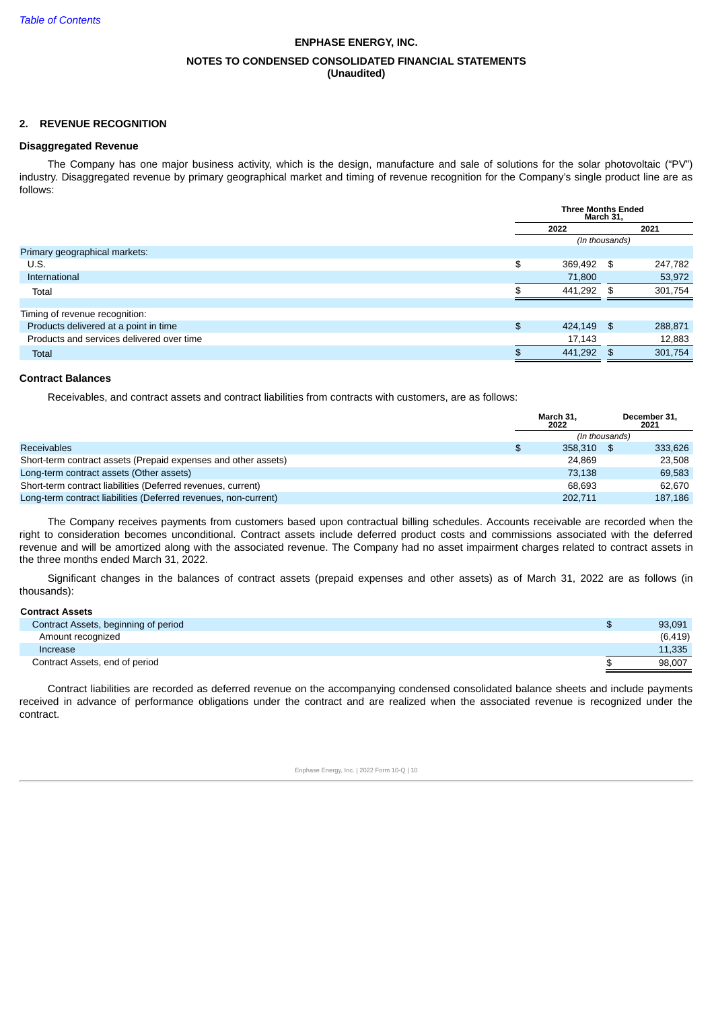# **NOTES TO CONDENSED CONSOLIDATED FINANCIAL STATEMENTS (Unaudited)**

### **2. REVENUE RECOGNITION**

### **Disaggregated Revenue**

The Company has one major business activity, which is the design, manufacture and sale of solutions for the solar photovoltaic ("PV") industry. Disaggregated revenue by primary geographical market and timing of revenue recognition for the Company's single product line are as follows:

|                                           | <b>Three Months Ended</b><br>March 31, |      |         |  |
|-------------------------------------------|----------------------------------------|------|---------|--|
|                                           | 2022                                   | 2021 |         |  |
|                                           | (In thousands)                         |      |         |  |
| Primary geographical markets:             |                                        |      |         |  |
| U.S.                                      | \$<br>369,492 \$                       |      | 247,782 |  |
| International                             | 71,800                                 |      | 53,972  |  |
| Total                                     | 441,292                                |      | 301,754 |  |
|                                           |                                        |      |         |  |
| Timing of revenue recognition:            |                                        |      |         |  |
| Products delivered at a point in time     | \$<br>424,149 \$                       |      | 288,871 |  |
| Products and services delivered over time | 17,143                                 |      | 12,883  |  |
| <b>Total</b>                              | 441,292                                | - \$ | 301,754 |  |
|                                           |                                        |      |         |  |

# **Contract Balances**

Receivables, and contract assets and contract liabilities from contracts with customers, are as follows:

|                                                                 |                | March 31.<br>2022 |  |         |  |  |  |  |  |  |  |  |  |  |  |  |  |  |  |  |  |  |  |  |  |  |  |  |  |  |  |  |  |  |  |  |  |  |  |  |  |  |  |  |  |  |  |  |  |  |  |  |  |  |  |  |  |  |  |  |  |  |  |  |  |  |  |  |  |  |  |  |  |  |  |  |  |  |  | December 31.<br>2021 |
|-----------------------------------------------------------------|----------------|-------------------|--|---------|--|--|--|--|--|--|--|--|--|--|--|--|--|--|--|--|--|--|--|--|--|--|--|--|--|--|--|--|--|--|--|--|--|--|--|--|--|--|--|--|--|--|--|--|--|--|--|--|--|--|--|--|--|--|--|--|--|--|--|--|--|--|--|--|--|--|--|--|--|--|--|--|--|--|--|----------------------|
|                                                                 | (In thousands) |                   |  |         |  |  |  |  |  |  |  |  |  |  |  |  |  |  |  |  |  |  |  |  |  |  |  |  |  |  |  |  |  |  |  |  |  |  |  |  |  |  |  |  |  |  |  |  |  |  |  |  |  |  |  |  |  |  |  |  |  |  |  |  |  |  |  |  |  |  |  |  |  |  |  |  |  |  |  |                      |
| <b>Receivables</b>                                              | \$             | 358.310 \$        |  | 333.626 |  |  |  |  |  |  |  |  |  |  |  |  |  |  |  |  |  |  |  |  |  |  |  |  |  |  |  |  |  |  |  |  |  |  |  |  |  |  |  |  |  |  |  |  |  |  |  |  |  |  |  |  |  |  |  |  |  |  |  |  |  |  |  |  |  |  |  |  |  |  |  |  |  |  |  |                      |
| Short-term contract assets (Prepaid expenses and other assets)  |                | 24.869            |  | 23.508  |  |  |  |  |  |  |  |  |  |  |  |  |  |  |  |  |  |  |  |  |  |  |  |  |  |  |  |  |  |  |  |  |  |  |  |  |  |  |  |  |  |  |  |  |  |  |  |  |  |  |  |  |  |  |  |  |  |  |  |  |  |  |  |  |  |  |  |  |  |  |  |  |  |  |  |                      |
| Long-term contract assets (Other assets)                        |                | 73.138            |  | 69,583  |  |  |  |  |  |  |  |  |  |  |  |  |  |  |  |  |  |  |  |  |  |  |  |  |  |  |  |  |  |  |  |  |  |  |  |  |  |  |  |  |  |  |  |  |  |  |  |  |  |  |  |  |  |  |  |  |  |  |  |  |  |  |  |  |  |  |  |  |  |  |  |  |  |  |  |                      |
| Short-term contract liabilities (Deferred revenues, current)    |                | 68.693            |  | 62.670  |  |  |  |  |  |  |  |  |  |  |  |  |  |  |  |  |  |  |  |  |  |  |  |  |  |  |  |  |  |  |  |  |  |  |  |  |  |  |  |  |  |  |  |  |  |  |  |  |  |  |  |  |  |  |  |  |  |  |  |  |  |  |  |  |  |  |  |  |  |  |  |  |  |  |  |                      |
| Long-term contract liabilities (Deferred revenues, non-current) |                | 202.711           |  | 187.186 |  |  |  |  |  |  |  |  |  |  |  |  |  |  |  |  |  |  |  |  |  |  |  |  |  |  |  |  |  |  |  |  |  |  |  |  |  |  |  |  |  |  |  |  |  |  |  |  |  |  |  |  |  |  |  |  |  |  |  |  |  |  |  |  |  |  |  |  |  |  |  |  |  |  |  |                      |

The Company receives payments from customers based upon contractual billing schedules. Accounts receivable are recorded when the right to consideration becomes unconditional. Contract assets include deferred product costs and commissions associated with the deferred revenue and will be amortized along with the associated revenue. The Company had no asset impairment charges related to contract assets in the three months ended March 31, 2022.

Significant changes in the balances of contract assets (prepaid expenses and other assets) as of March 31, 2022 are as follows (in thousands):

**Contract Assets**

| Contract Assets, beginning of period | 93,091   |
|--------------------------------------|----------|
| Amount recognized                    | (6, 419) |
| Increase                             | 11,335   |
| Contract Assets, end of period       | 98,007   |

Contract liabilities are recorded as deferred revenue on the accompanying condensed consolidated balance sheets and include payments received in advance of performance obligations under the contract and are realized when the associated revenue is recognized under the contract.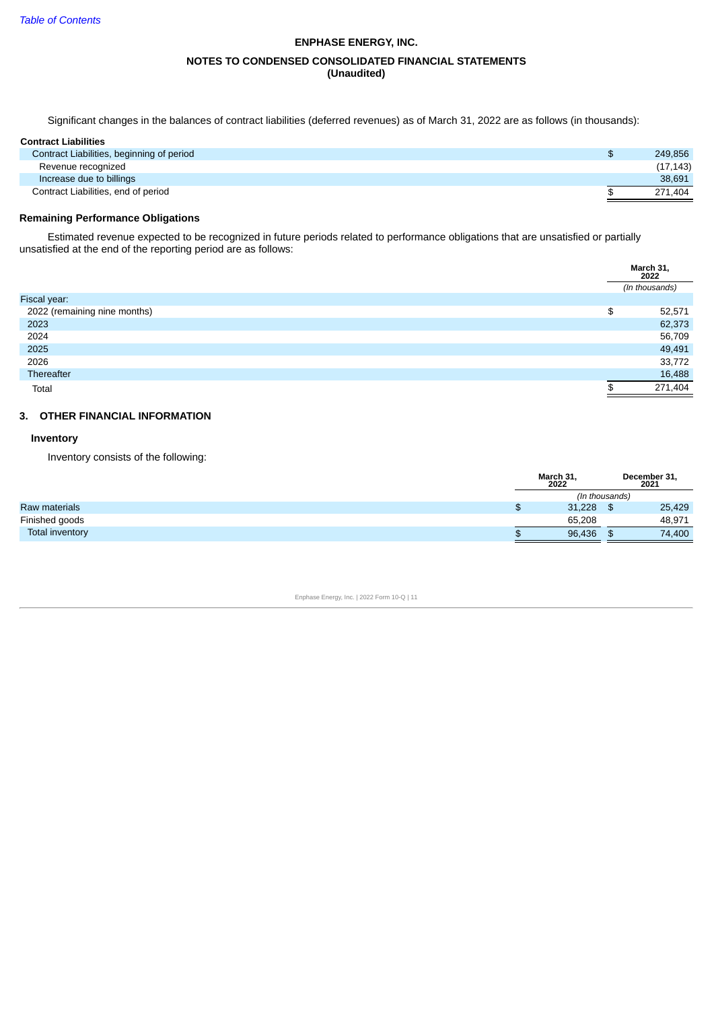# **NOTES TO CONDENSED CONSOLIDATED FINANCIAL STATEMENTS**

**(Unaudited)**

Significant changes in the balances of contract liabilities (deferred revenues) as of March 31, 2022 are as follows (in thousands):

# **Contract Liabilities**

| ------------------                        |          |
|-------------------------------------------|----------|
| Contract Liabilities, beginning of period | 249.856  |
| Revenue recognized                        | (17.143) |
| Increase due to billings                  | 38,691   |
| Contract Liabilities, end of period       | 271,404  |

# **Remaining Performance Obligations**

Estimated revenue expected to be recognized in future periods related to performance obligations that are unsatisfied or partially unsatisfied at the end of the reporting period are as follows:

|                              | March 31,<br>2022 |
|------------------------------|-------------------|
|                              | (In thousands)    |
| Fiscal year:                 |                   |
| 2022 (remaining nine months) | \$<br>52,571      |
| 2023                         | 62,373            |
| 2024                         | 56,709            |
| 2025                         | 49,491            |
| 2026                         | 33,772            |
| Thereafter                   | 16,488            |
| Total                        | 271,404           |

# **3. OTHER FINANCIAL INFORMATION**

# **Inventory**

Inventory consists of the following:

|                 | March 31,<br>2022 |                | December 31,<br>2021 |
|-----------------|-------------------|----------------|----------------------|
|                 |                   | (In thousands) |                      |
| Raw materials   | 31,228            | <b>S</b>       | 25,429               |
| Finished goods  | 65,208            |                | 48,971               |
| Total inventory | 96,436            | Φ              | 74,400               |
|                 |                   |                |                      |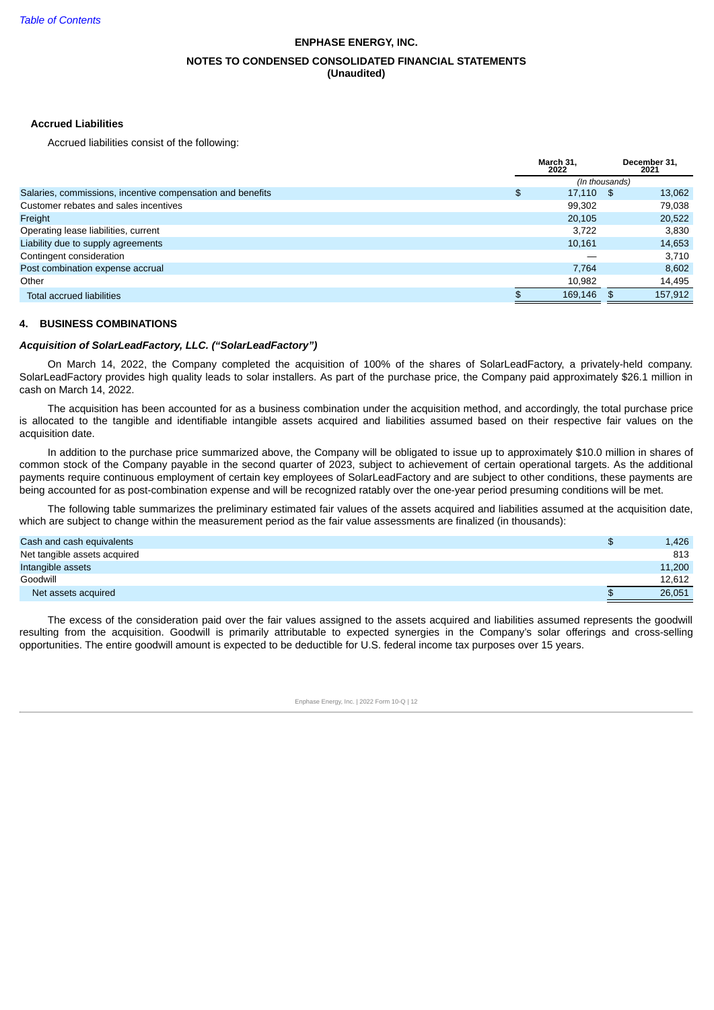# **NOTES TO CONDENSED CONSOLIDATED FINANCIAL STATEMENTS (Unaudited)**

### **Accrued Liabilities**

Accrued liabilities consist of the following:

|                                                            |               | March 31.<br>2022 |      | December 31.<br>2021 |
|------------------------------------------------------------|---------------|-------------------|------|----------------------|
|                                                            |               | (In thousands)    |      |                      |
| Salaries, commissions, incentive compensation and benefits | $\frac{1}{2}$ | $17,110$ \$       |      | 13,062               |
| Customer rebates and sales incentives                      |               | 99.302            |      | 79,038               |
| Freight                                                    |               | 20.105            |      | 20,522               |
| Operating lease liabilities, current                       |               | 3.722             |      | 3,830                |
| Liability due to supply agreements                         |               | 10.161            |      | 14,653               |
| Contingent consideration                                   |               |                   |      | 3.710                |
| Post combination expense accrual                           |               | 7.764             |      | 8,602                |
| Other                                                      |               | 10.982            |      | 14,495               |
| Total accrued liabilities                                  |               | 169.146           | - \$ | 157,912              |

# <span id="page-11-0"></span>**4. BUSINESS COMBINATIONS**

#### *Acquisition of SolarLeadFactory, LLC. ("SolarLeadFactory")*

On March 14, 2022, the Company completed the acquisition of 100% of the shares of SolarLeadFactory, a privately-held company. SolarLeadFactory provides high quality leads to solar installers. As part of the purchase price, the Company paid approximately \$26.1 million in cash on March 14, 2022.

The acquisition has been accounted for as a business combination under the acquisition method, and accordingly, the total purchase price is allocated to the tangible and identifiable intangible assets acquired and liabilities assumed based on their respective fair values on the acquisition date.

In addition to the purchase price summarized above, the Company will be obligated to issue up to approximately \$10.0 million in shares of common stock of the Company payable in the second quarter of 2023, subject to achievement of certain operational targets. As the additional payments require continuous employment of certain key employees of SolarLeadFactory and are subject to other conditions, these payments are being accounted for as post-combination expense and will be recognized ratably over the one-year period presuming conditions will be met.

The following table summarizes the preliminary estimated fair values of the assets acquired and liabilities assumed at the acquisition date, which are subject to change within the measurement period as the fair value assessments are finalized (in thousands):

| Cash and cash equivalents    | Ф | 1,426  |
|------------------------------|---|--------|
| Net tangible assets acquired |   | 813    |
| Intangible assets            |   | 11,200 |
| Goodwill                     |   | 12,612 |
| Net assets acquired          |   | 26,051 |

The excess of the consideration paid over the fair values assigned to the assets acquired and liabilities assumed represents the goodwill resulting from the acquisition. Goodwill is primarily attributable to expected synergies in the Company's solar offerings and cross-selling opportunities. The entire goodwill amount is expected to be deductible for U.S. federal income tax purposes over 15 years.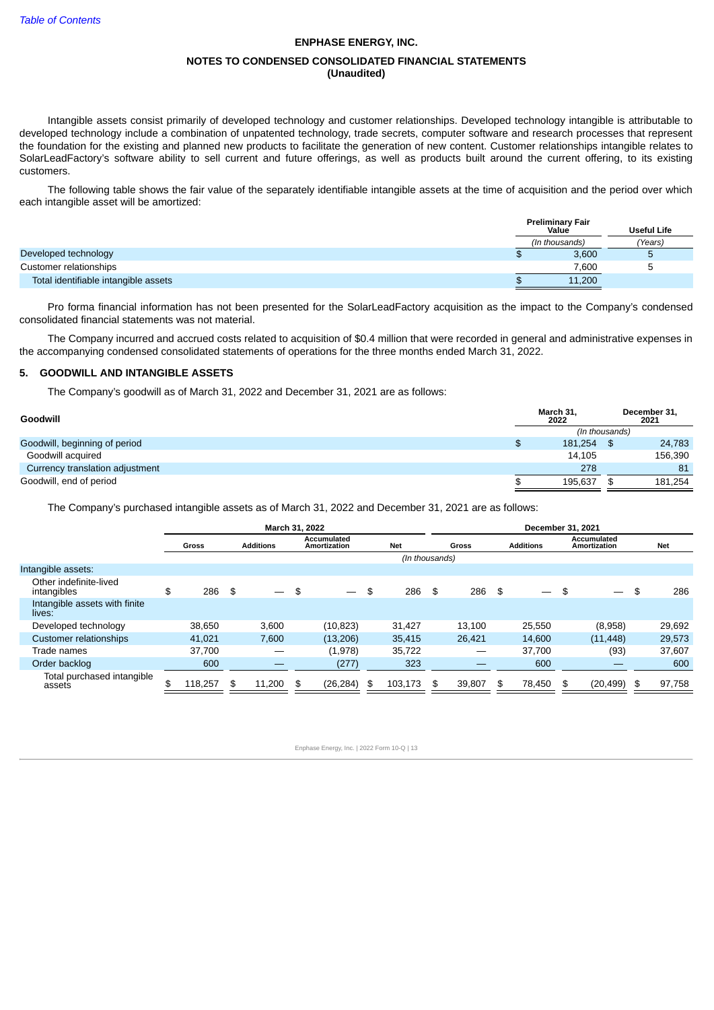# **NOTES TO CONDENSED CONSOLIDATED FINANCIAL STATEMENTS (Unaudited)**

Intangible assets consist primarily of developed technology and customer relationships. Developed technology intangible is attributable to developed technology include a combination of unpatented technology, trade secrets, computer software and research processes that represent the foundation for the existing and planned new products to facilitate the generation of new content. Customer relationships intangible relates to SolarLeadFactory's software ability to sell current and future offerings, as well as products built around the current offering, to its existing customers.

The following table shows the fair value of the separately identifiable intangible assets at the time of acquisition and the period over which each intangible asset will be amortized:

|                                      | <b>Preliminary Fair</b><br>Value | Useful Life |
|--------------------------------------|----------------------------------|-------------|
|                                      | (In thousands)                   | (Years)     |
| Developed technology                 | 3,600                            | э           |
| Customer relationships               | 7,600                            |             |
| Total identifiable intangible assets | 11,200                           |             |

Pro forma financial information has not been presented for the SolarLeadFactory acquisition as the impact to the Company's condensed consolidated financial statements was not material.

The Company incurred and accrued costs related to acquisition of \$0.4 million that were recorded in general and administrative expenses in the accompanying condensed consolidated statements of operations for the three months ended March 31, 2022.

# **5. GOODWILL AND INTANGIBLE ASSETS**

The Company's goodwill as of March 31, 2022 and December 31, 2021 are as follows:

| Goodwill                        | March 31,<br>2022 | December 31,<br>2021 |         |  |
|---------------------------------|-------------------|----------------------|---------|--|
|                                 | (In thousands)    |                      |         |  |
| Goodwill, beginning of period   | 181.254           |                      | 24.783  |  |
| Goodwill acquired               | 14.105            |                      | 156,390 |  |
| Currency translation adjustment | 278               |                      | 81      |  |
| Goodwill, end of period         | 195.637           |                      | 181.254 |  |

The Company's purchased intangible assets as of March 31, 2022 and December 31, 2021 are as follows:

|                                         |                                  |         |      | March 31, 2022                                   |    |                          |    | December 31, 2021 |    |        |                  |        |                                    |                |            |        |  |  |  |
|-----------------------------------------|----------------------------------|---------|------|--------------------------------------------------|----|--------------------------|----|-------------------|----|--------|------------------|--------|------------------------------------|----------------|------------|--------|--|--|--|
|                                         | <b>Additions</b><br><b>Gross</b> |         |      | <b>Accumulated</b><br>Amortization<br><b>Net</b> |    |                          |    | <b>Gross</b>      |    |        | <b>Additions</b> |        | <b>Accumulated</b><br>Amortization |                | <b>Net</b> |        |  |  |  |
|                                         |                                  |         |      |                                                  |    |                          |    | (In thousands)    |    |        |                  |        |                                    |                |            |        |  |  |  |
| Intangible assets:                      |                                  |         |      |                                                  |    |                          |    |                   |    |        |                  |        |                                    |                |            |        |  |  |  |
| Other indefinite-lived<br>intangibles   | \$                               | 286     | - \$ | $\overline{\phantom{a}}$                         | \$ | $\overline{\phantom{m}}$ | \$ | 286               | \$ | 286    | \$               |        | \$                                 |                | \$         | 286    |  |  |  |
| Intangible assets with finite<br>lives: |                                  |         |      |                                                  |    |                          |    |                   |    |        |                  |        |                                    |                |            |        |  |  |  |
| Developed technology                    |                                  | 38.650  |      | 3.600                                            |    | (10, 823)                |    | 31.427            |    | 13.100 |                  | 25,550 |                                    | (8,958)        |            | 29,692 |  |  |  |
| <b>Customer relationships</b>           |                                  | 41.021  |      | 7,600                                            |    | (13,206)                 |    | 35,415            |    | 26,421 |                  | 14.600 |                                    | (11, 448)      |            | 29,573 |  |  |  |
| Trade names                             |                                  | 37.700  |      |                                                  |    | (1,978)                  |    | 35,722            |    | –      |                  | 37.700 |                                    | (93)           |            | 37,607 |  |  |  |
| Order backlog                           |                                  | 600     |      |                                                  |    | (277)                    |    | 323               |    |        |                  | 600    |                                    |                |            | 600    |  |  |  |
| Total purchased intangible<br>assets    | \$                               | 118.257 | \$   | 11.200                                           | \$ | (26, 284)                | \$ | 103,173           | \$ | 39,807 | \$               | 78.450 | - \$                               | $(20, 499)$ \$ |            | 97,758 |  |  |  |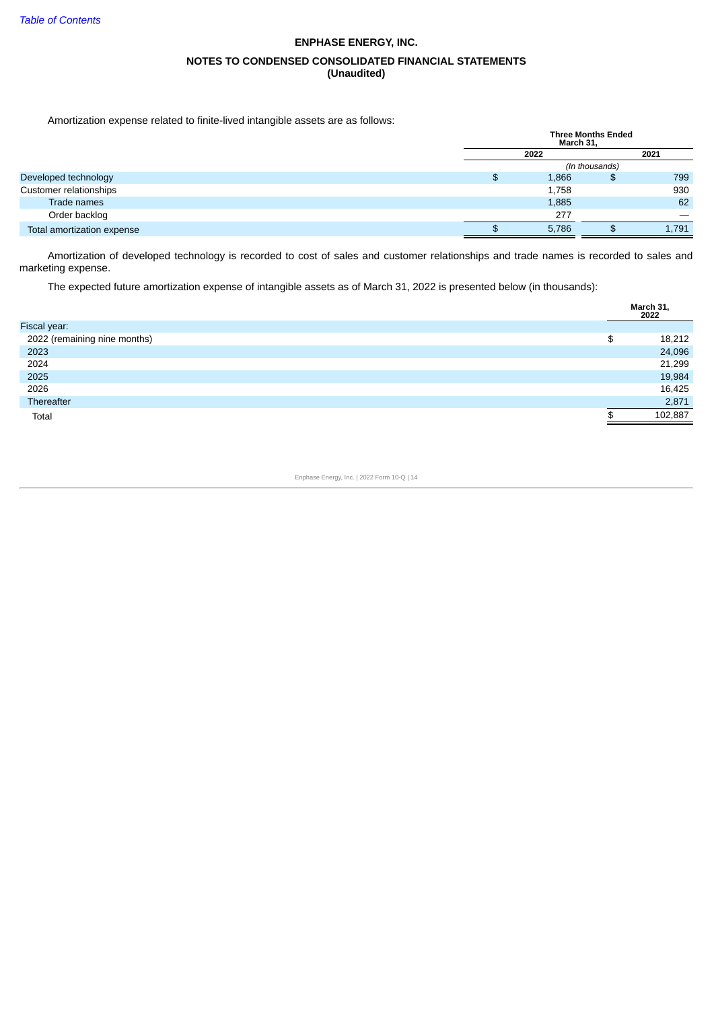# **NOTES TO CONDENSED CONSOLIDATED FINANCIAL STATEMENTS (Unaudited)**

Amortization expense related to finite-lived intangible assets are as follows:

|                            | <b>Three Months Ended</b><br>March 31, |       |                |       |  |  |  |
|----------------------------|----------------------------------------|-------|----------------|-------|--|--|--|
|                            |                                        | 2022  |                | 2021  |  |  |  |
|                            |                                        |       | (In thousands) |       |  |  |  |
| Developed technology       | \$                                     | 1,866 | ъ              | 799   |  |  |  |
| Customer relationships     |                                        | 1,758 |                | 930   |  |  |  |
| Trade names                |                                        | 1,885 |                | 62    |  |  |  |
| Order backlog              |                                        | 277   |                |       |  |  |  |
| Total amortization expense |                                        | 5,786 | ъ              | 1,791 |  |  |  |

Amortization of developed technology is recorded to cost of sales and customer relationships and trade names is recorded to sales and marketing expense.

The expected future amortization expense of intangible assets as of March 31, 2022 is presented below (in thousands):

|                              | March 31,<br>2022 |
|------------------------------|-------------------|
| Fiscal year:                 |                   |
| 2022 (remaining nine months) | \$<br>18,212      |
| 2023                         | 24,096            |
| 2024                         | 21,299            |
| 2025                         | 19,984            |
| 2026                         | 16,425            |
| Thereafter                   | 2,871             |
| Total                        | 102,887           |
|                              |                   |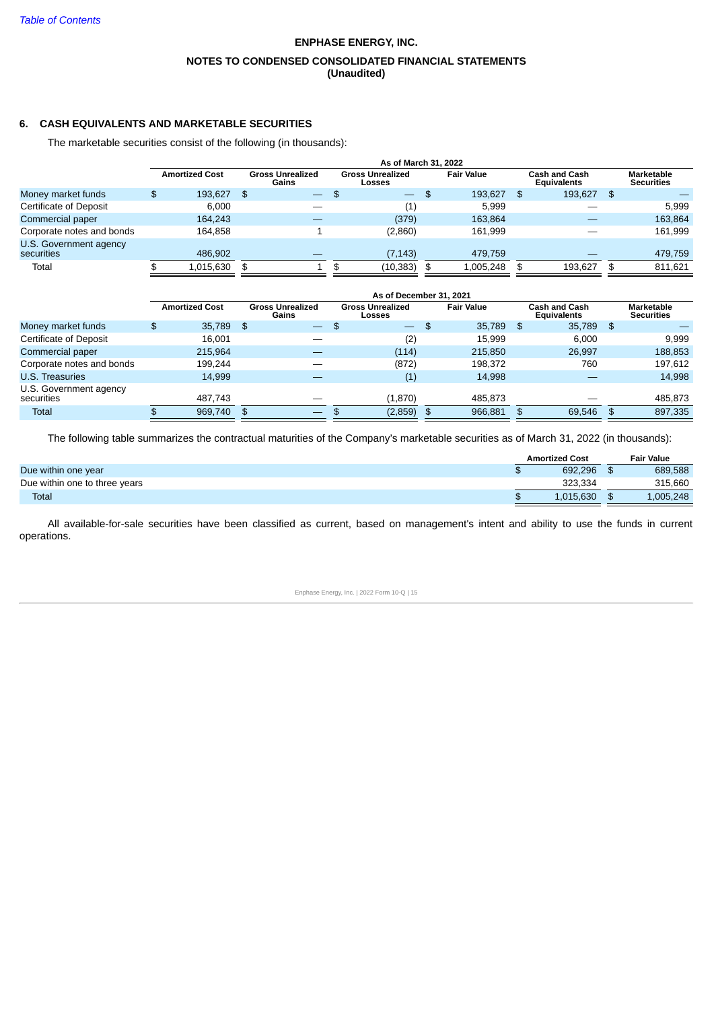# **NOTES TO CONDENSED CONSOLIDATED FINANCIAL STATEMENTS (Unaudited)**

# **6. CASH EQUIVALENTS AND MARKETABLE SECURITIES**

The marketable securities consist of the following (in thousands):

|                                      |    |                       |                                  |                   |    | As of March 31, 2022              |                   |                                            |      |                                        |
|--------------------------------------|----|-----------------------|----------------------------------|-------------------|----|-----------------------------------|-------------------|--------------------------------------------|------|----------------------------------------|
|                                      |    | <b>Amortized Cost</b> | <b>Gross Unrealized</b><br>Gains |                   |    | <b>Gross Unrealized</b><br>Losses | <b>Fair Value</b> | <b>Cash and Cash</b><br><b>Equivalents</b> |      | <b>Marketable</b><br><b>Securities</b> |
| Money market funds                   | \$ | 193.627               | \$                               | $\qquad \qquad -$ | \$ | $\overline{\phantom{m}}$          | 193.627           | \$<br>193,627                              | - \$ |                                        |
| Certificate of Deposit               |    | 6.000                 |                                  |                   |    | $\scriptstyle{(1)}$               | 5.999             |                                            |      | 5.999                                  |
| Commercial paper                     |    | 164.243               |                                  |                   |    | (379)                             | 163.864           |                                            |      | 163,864                                |
| Corporate notes and bonds            |    | 164.858               |                                  |                   |    | (2,860)                           | 161.999           |                                            |      | 161.999                                |
| U.S. Government agency<br>securities |    | 486.902               |                                  |                   |    | (7, 143)                          | 479.759           |                                            |      | 479,759                                |
| Total                                |    | 1.015.630             |                                  |                   | \$ | (10,383)                          | \$<br>1,005,248   | \$<br>193.627                              | - \$ | 811.621                                |

|                                      |                       |                                  |                          |    | As of December 31, 2021           |                   |      |                                            |     |                                        |
|--------------------------------------|-----------------------|----------------------------------|--------------------------|----|-----------------------------------|-------------------|------|--------------------------------------------|-----|----------------------------------------|
|                                      | <b>Amortized Cost</b> | <b>Gross Unrealized</b><br>Gains |                          |    | <b>Gross Unrealized</b><br>Losses | <b>Fair Value</b> |      | <b>Cash and Cash</b><br><b>Equivalents</b> |     | <b>Marketable</b><br><b>Securities</b> |
| Money market funds                   | \$<br>35,789          | -\$                              | $\overline{\phantom{m}}$ | \$ | $\hspace{0.05cm}$                 | \$<br>35,789      | - \$ | 35,789 \$                                  |     |                                        |
| <b>Certificate of Deposit</b>        | 16,001                |                                  |                          |    | (2)                               | 15.999            |      | 6.000                                      |     | 9,999                                  |
| Commercial paper                     | 215.964               |                                  |                          |    | (114)                             | 215,850           |      | 26.997                                     |     | 188,853                                |
| Corporate notes and bonds            | 199.244               |                                  |                          |    | (872)                             | 198,372           |      | 760                                        |     | 197,612                                |
| <b>U.S. Treasuries</b>               | 14,999                |                                  |                          |    | (1)                               | 14,998            |      |                                            |     | 14,998                                 |
| U.S. Government agency<br>securities | 487.743               |                                  |                          |    | (1,870)                           | 485.873           |      |                                            |     | 485.873                                |
| <b>Total</b>                         | 969.740               |                                  | $\overline{\phantom{m}}$ |    | (2,859)                           | \$<br>966.881     |      | 69.546                                     | -\$ | 897,335                                |

The following table summarizes the contractual maturities of the Company's marketable securities as of March 31, 2022 (in thousands):

|                               | <b>Amortized Cost</b> |  | <b>Fair Value</b> |  |  |
|-------------------------------|-----------------------|--|-------------------|--|--|
| Due within one year           | 692.296               |  | 689,588           |  |  |
| Due within one to three years | 323.334               |  | 315.660           |  |  |
| <b>Total</b>                  | 1.015.630             |  | 1,005,248         |  |  |

All available-for-sale securities have been classified as current, based on management's intent and ability to use the funds in current operations.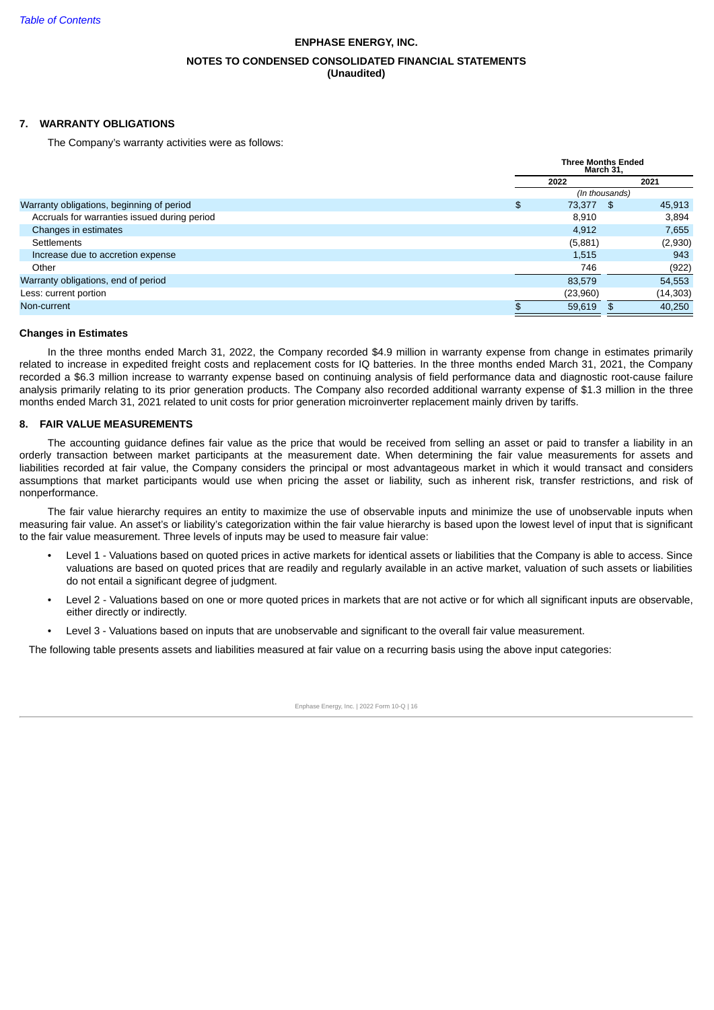# **NOTES TO CONDENSED CONSOLIDATED FINANCIAL STATEMENTS (Unaudited)**

# **7. WARRANTY OBLIGATIONS**

The Company's warranty activities were as follows:

|                                              |      | <b>Three Months Ended</b><br>March 31. |  |           |  |  |  |  |  |
|----------------------------------------------|------|----------------------------------------|--|-----------|--|--|--|--|--|
|                                              | 2022 |                                        |  |           |  |  |  |  |  |
|                                              |      | (In thousands)                         |  |           |  |  |  |  |  |
| Warranty obligations, beginning of period    | \$   | 73,377 \$                              |  | 45,913    |  |  |  |  |  |
| Accruals for warranties issued during period |      | 8,910                                  |  | 3,894     |  |  |  |  |  |
| Changes in estimates                         |      | 4.912                                  |  | 7,655     |  |  |  |  |  |
| <b>Settlements</b>                           |      | (5,881)                                |  | (2,930)   |  |  |  |  |  |
| Increase due to accretion expense            |      | 1,515                                  |  | 943       |  |  |  |  |  |
| Other                                        |      | 746                                    |  | (922)     |  |  |  |  |  |
| Warranty obligations, end of period          |      | 83.579                                 |  | 54,553    |  |  |  |  |  |
| Less: current portion                        |      | (23,960)                               |  | (14, 303) |  |  |  |  |  |
| Non-current                                  |      | 59,619                                 |  | 40,250    |  |  |  |  |  |
|                                              |      |                                        |  |           |  |  |  |  |  |

# **Changes in Estimates**

In the three months ended March 31, 2022, the Company recorded \$4.9 million in warranty expense from change in estimates primarily related to increase in expedited freight costs and replacement costs for IQ batteries. In the three months ended March 31, 2021, the Company recorded a \$6.3 million increase to warranty expense based on continuing analysis of field performance data and diagnostic root-cause failure analysis primarily relating to its prior generation products. The Company also recorded additional warranty expense of \$1.3 million in the three months ended March 31, 2021 related to unit costs for prior generation microinverter replacement mainly driven by tariffs.

# **8. FAIR VALUE MEASUREMENTS**

The accounting guidance defines fair value as the price that would be received from selling an asset or paid to transfer a liability in an orderly transaction between market participants at the measurement date. When determining the fair value measurements for assets and liabilities recorded at fair value, the Company considers the principal or most advantageous market in which it would transact and considers assumptions that market participants would use when pricing the asset or liability, such as inherent risk, transfer restrictions, and risk of nonperformance.

The fair value hierarchy requires an entity to maximize the use of observable inputs and minimize the use of unobservable inputs when measuring fair value. An asset's or liability's categorization within the fair value hierarchy is based upon the lowest level of input that is significant to the fair value measurement. Three levels of inputs may be used to measure fair value:

- Level 1 Valuations based on quoted prices in active markets for identical assets or liabilities that the Company is able to access. Since valuations are based on quoted prices that are readily and regularly available in an active market, valuation of such assets or liabilities do not entail a significant degree of judgment.
- Level 2 Valuations based on one or more quoted prices in markets that are not active or for which all significant inputs are observable, either directly or indirectly.
- Level 3 Valuations based on inputs that are unobservable and significant to the overall fair value measurement.

The following table presents assets and liabilities measured at fair value on a recurring basis using the above input categories: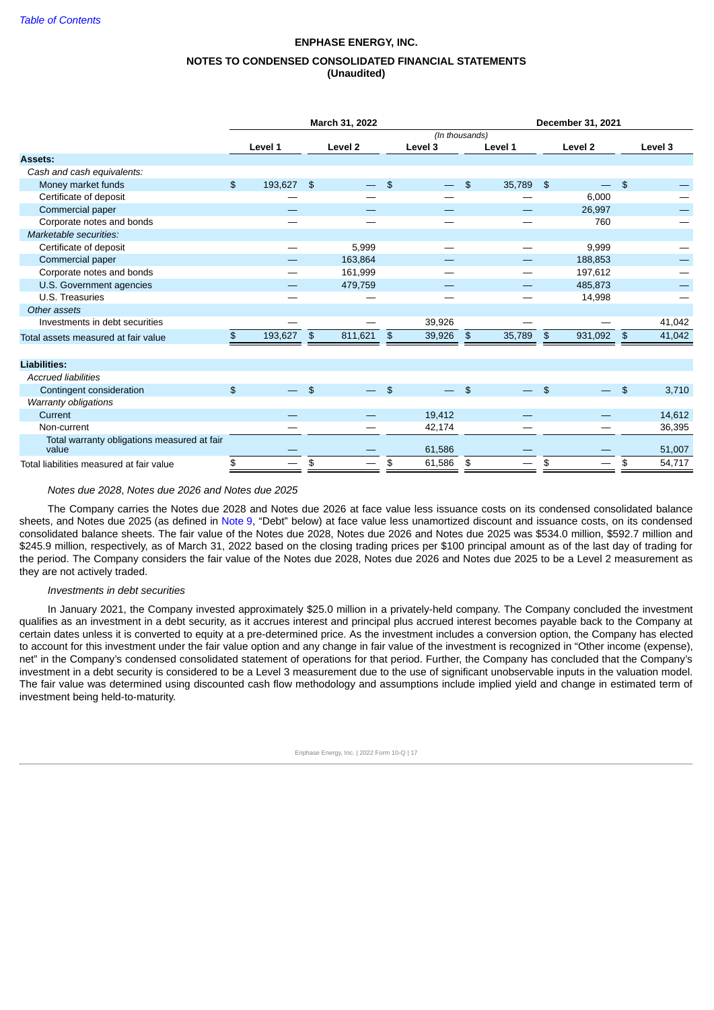# **NOTES TO CONDENSED CONSOLIDATED FINANCIAL STATEMENTS (Unaudited)**

|                                                      |                |         |            | March 31, 2022     |               |                |                | December 31, 2021 |               |                    |    |         |  |  |  |  |
|------------------------------------------------------|----------------|---------|------------|--------------------|---------------|----------------|----------------|-------------------|---------------|--------------------|----|---------|--|--|--|--|
|                                                      |                |         |            |                    |               | (In thousands) |                |                   |               |                    |    |         |  |  |  |  |
|                                                      |                | Level 1 |            | Level <sub>2</sub> |               | Level 3        |                | Level 1           |               | Level <sub>2</sub> |    | Level 3 |  |  |  |  |
| Assets:                                              |                |         |            |                    |               |                |                |                   |               |                    |    |         |  |  |  |  |
| Cash and cash equivalents:                           |                |         |            |                    |               |                |                |                   |               |                    |    |         |  |  |  |  |
| Money market funds                                   | $\mathfrak{L}$ | 193,627 | \$         |                    | \$            |                | \$             | 35,789            | \$            |                    | \$ |         |  |  |  |  |
| Certificate of deposit                               |                |         |            |                    |               |                |                |                   |               | 6,000              |    |         |  |  |  |  |
| Commercial paper                                     |                |         |            |                    |               |                |                |                   |               | 26,997             |    |         |  |  |  |  |
| Corporate notes and bonds                            |                |         |            |                    |               |                |                |                   |               | 760                |    |         |  |  |  |  |
| Marketable securities:                               |                |         |            |                    |               |                |                |                   |               |                    |    |         |  |  |  |  |
| Certificate of deposit                               |                |         |            | 5,999              |               |                |                |                   |               | 9,999              |    |         |  |  |  |  |
| Commercial paper                                     |                |         |            | 163,864            |               |                |                |                   |               | 188,853            |    |         |  |  |  |  |
| Corporate notes and bonds                            |                |         |            | 161,999            |               |                |                |                   |               | 197,612            |    |         |  |  |  |  |
| U.S. Government agencies                             |                |         |            | 479,759            |               |                |                |                   |               | 485,873            |    |         |  |  |  |  |
| U.S. Treasuries                                      |                |         |            |                    |               |                |                |                   |               | 14,998             |    |         |  |  |  |  |
| Other assets                                         |                |         |            |                    |               |                |                |                   |               |                    |    |         |  |  |  |  |
| Investments in debt securities                       |                |         |            |                    |               | 39,926         |                |                   |               |                    |    | 41,042  |  |  |  |  |
| Total assets measured at fair value                  | \$             | 193,627 | $\sqrt{3}$ | 811,621            | $\frac{2}{3}$ | 39,926         | $\mathfrak{L}$ | 35,789            | $\frac{1}{2}$ | 931,092            | \$ | 41,042  |  |  |  |  |
|                                                      |                |         |            |                    |               |                |                |                   |               |                    |    |         |  |  |  |  |
| Liabilities:                                         |                |         |            |                    |               |                |                |                   |               |                    |    |         |  |  |  |  |
| <b>Accrued liabilities</b>                           |                |         |            |                    |               |                |                |                   |               |                    |    |         |  |  |  |  |
| Contingent consideration                             | \$             |         | \$         |                    | \$            |                | \$             |                   | \$            |                    | \$ | 3,710   |  |  |  |  |
| Warranty obligations                                 |                |         |            |                    |               |                |                |                   |               |                    |    |         |  |  |  |  |
| Current                                              |                |         |            |                    |               | 19,412         |                |                   |               |                    |    | 14,612  |  |  |  |  |
| Non-current                                          |                |         |            |                    |               | 42,174         |                |                   |               |                    |    | 36,395  |  |  |  |  |
| Total warranty obligations measured at fair<br>value |                |         |            |                    |               | 61,586         |                |                   |               |                    |    | 51,007  |  |  |  |  |
| Total liabilities measured at fair value             | \$             |         | \$         |                    | \$            | 61,586         | \$             |                   | \$            |                    | \$ | 54,717  |  |  |  |  |

# *Notes due 2028*, *Notes due 2026 and Notes due 2025*

The Company carries the Notes due 2028 and Notes due 2026 at face value less issuance costs on its condensed consolidated balance sheets, and Notes due 2025 (as defined in [Note](#page-19-0) 9, "Debt" below) at face value less unamortized discount and issuance costs, on its condensed consolidated balance sheets. The fair value of the Notes due 2028, Notes due 2026 and Notes due 2025 was \$534.0 million, \$592.7 million and \$245.9 million, respectively, as of March 31, 2022 based on the closing trading prices per \$100 principal amount as of the last day of trading for the period. The Company considers the fair value of the Notes due 2028, Notes due 2026 and Notes due 2025 to be a Level 2 measurement as they are not actively traded.

# *Investments in debt securities*

In January 2021, the Company invested approximately \$25.0 million in a privately-held company. The Company concluded the investment qualifies as an investment in a debt security, as it accrues interest and principal plus accrued interest becomes payable back to the Company at certain dates unless it is converted to equity at a pre-determined price. As the investment includes a conversion option, the Company has elected to account for this investment under the fair value option and any change in fair value of the investment is recognized in "Other income (expense), net" in the Company's condensed consolidated statement of operations for that period. Further, the Company has concluded that the Company's investment in a debt security is considered to be a Level 3 measurement due to the use of significant unobservable inputs in the valuation model. The fair value was determined using discounted cash flow methodology and assumptions include implied yield and change in estimated term of investment being held-to-maturity.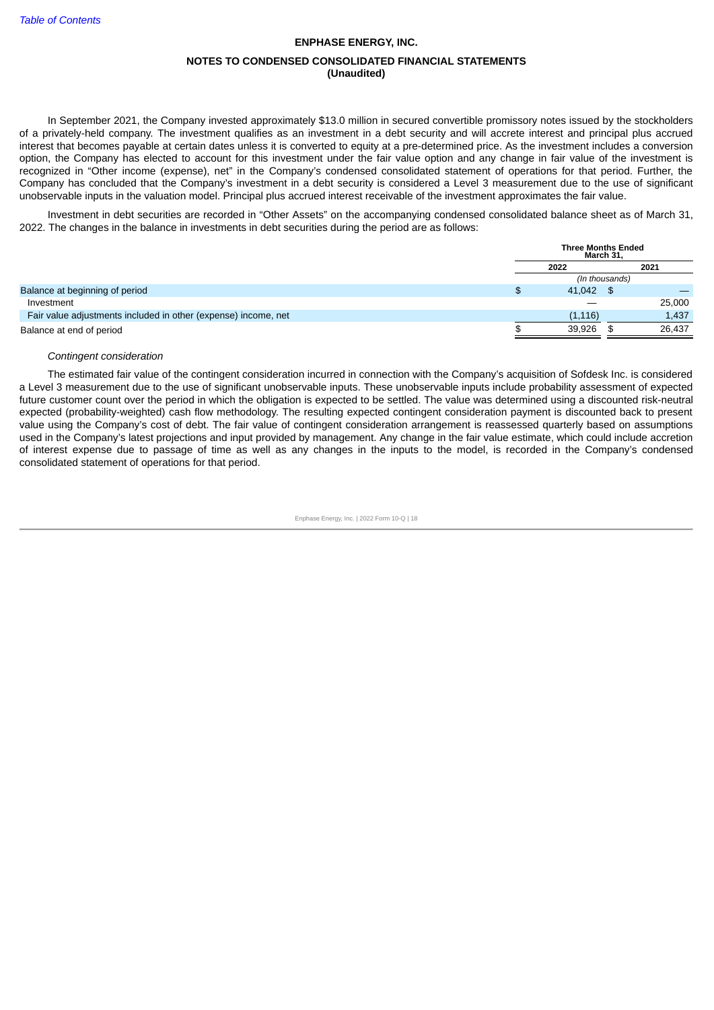# **NOTES TO CONDENSED CONSOLIDATED FINANCIAL STATEMENTS (Unaudited)**

In September 2021, the Company invested approximately \$13.0 million in secured convertible promissory notes issued by the stockholders of a privately-held company. The investment qualifies as an investment in a debt security and will accrete interest and principal plus accrued interest that becomes payable at certain dates unless it is converted to equity at a pre-determined price. As the investment includes a conversion option, the Company has elected to account for this investment under the fair value option and any change in fair value of the investment is recognized in "Other income (expense), net" in the Company's condensed consolidated statement of operations for that period. Further, the Company has concluded that the Company's investment in a debt security is considered a Level 3 measurement due to the use of significant unobservable inputs in the valuation model. Principal plus accrued interest receivable of the investment approximates the fair value.

Investment in debt securities are recorded in "Other Assets" on the accompanying condensed consolidated balance sheet as of March 31, 2022. The changes in the balance in investments in debt securities during the period are as follows:

|                                                                | <b>Three Months Ended</b> | March 31.      |        |
|----------------------------------------------------------------|---------------------------|----------------|--------|
|                                                                | 2021<br>2022              |                |        |
|                                                                |                           | (In thousands) |        |
| Balance at beginning of period                                 | \$<br>41.042              |                |        |
| Investment                                                     |                           |                | 25,000 |
| Fair value adjustments included in other (expense) income, net | (1,116)                   |                | 1,437  |
| Balance at end of period                                       | 39.926                    |                | 26,437 |

#### *Contingent consideration*

The estimated fair value of the contingent consideration incurred in connection with the Company's acquisition of Sofdesk Inc. is considered a Level 3 measurement due to the use of significant unobservable inputs. These unobservable inputs include probability assessment of expected future customer count over the period in which the obligation is expected to be settled. The value was determined using a discounted risk-neutral expected (probability-weighted) cash flow methodology. The resulting expected contingent consideration payment is discounted back to present value using the Company's cost of debt. The fair value of contingent consideration arrangement is reassessed quarterly based on assumptions used in the Company's latest projections and input provided by management. Any change in the fair value estimate, which could include accretion of interest expense due to passage of time as well as any changes in the inputs to the model, is recorded in the Company's condensed consolidated statement of operations for that period.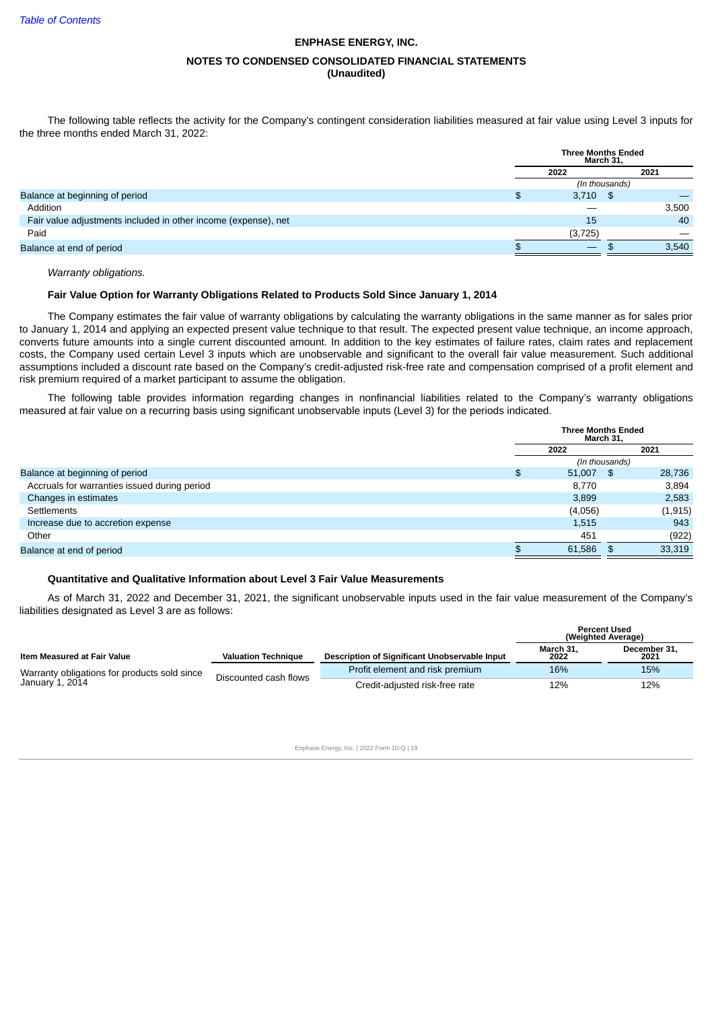# **NOTES TO CONDENSED CONSOLIDATED FINANCIAL STATEMENTS**

**(Unaudited)**

The following table reflects the activity for the Company's contingent consideration liabilities measured at fair value using Level 3 inputs for the three months ended March 31, 2022:

|                                                                |    | <b>Three Months Ended</b><br>March 31. |      |       |  |
|----------------------------------------------------------------|----|----------------------------------------|------|-------|--|
|                                                                |    | 2022                                   | 2021 |       |  |
|                                                                |    | (In thousands)                         |      |       |  |
| Balance at beginning of period                                 | £. | 3,710                                  | - \$ |       |  |
| Addition                                                       |    |                                        |      | 3,500 |  |
| Fair value adjustments included in other income (expense), net |    | 15                                     |      | 40    |  |
| Paid                                                           |    | (3,725)                                |      |       |  |
| Balance at end of period                                       |    |                                        |      | 3.540 |  |

*Warranty obligations.*

# **Fair Value Option for Warranty Obligations Related to Products Sold Since January 1, 2014**

The Company estimates the fair value of warranty obligations by calculating the warranty obligations in the same manner as for sales prior to January 1, 2014 and applying an expected present value technique to that result. The expected present value technique, an income approach, converts future amounts into a single current discounted amount. In addition to the key estimates of failure rates, claim rates and replacement costs, the Company used certain Level 3 inputs which are unobservable and significant to the overall fair value measurement. Such additional assumptions included a discount rate based on the Company's credit-adjusted risk-free rate and compensation comprised of a profit element and risk premium required of a market participant to assume the obligation.

The following table provides information regarding changes in nonfinancial liabilities related to the Company's warranty obligations measured at fair value on a recurring basis using significant unobservable inputs (Level 3) for the periods indicated.

|                                              | <b>Three Months Ended</b><br>March 31. |                |          |  |
|----------------------------------------------|----------------------------------------|----------------|----------|--|
|                                              | 2022<br>2021                           |                |          |  |
|                                              |                                        | (In thousands) |          |  |
| Balance at beginning of period               | \$<br>51,007                           | - \$           | 28,736   |  |
| Accruals for warranties issued during period | 8.770                                  |                | 3,894    |  |
| Changes in estimates                         | 3,899                                  |                | 2,583    |  |
| <b>Settlements</b>                           | (4,056)                                |                | (1, 915) |  |
| Increase due to accretion expense            | 1,515                                  |                | 943      |  |
| Other                                        | 451                                    |                | (922)    |  |
| Balance at end of period                     | 61,586                                 | \$             | 33,319   |  |

### **Quantitative and Qualitative Information about Level 3 Fair Value Measurements**

As of March 31, 2022 and December 31, 2021, the significant unobservable inputs used in the fair value measurement of the Company's liabilities designated as Level 3 are as follows:

|                                              |                            |                                               |                   | <b>Percent Used</b><br>(Weighted Average) |
|----------------------------------------------|----------------------------|-----------------------------------------------|-------------------|-------------------------------------------|
| <b>Item Measured at Fair Value</b>           | <b>Valuation Technique</b> | Description of Significant Unobservable Input | March 31.<br>2022 | December 31.<br>2021                      |
| Warranty obligations for products sold since | Discounted cash flows      | Profit element and risk premium               | 16%               | 15%                                       |
| January 1, 2014                              |                            | Credit-adjusted risk-free rate                | 12%               | 12%                                       |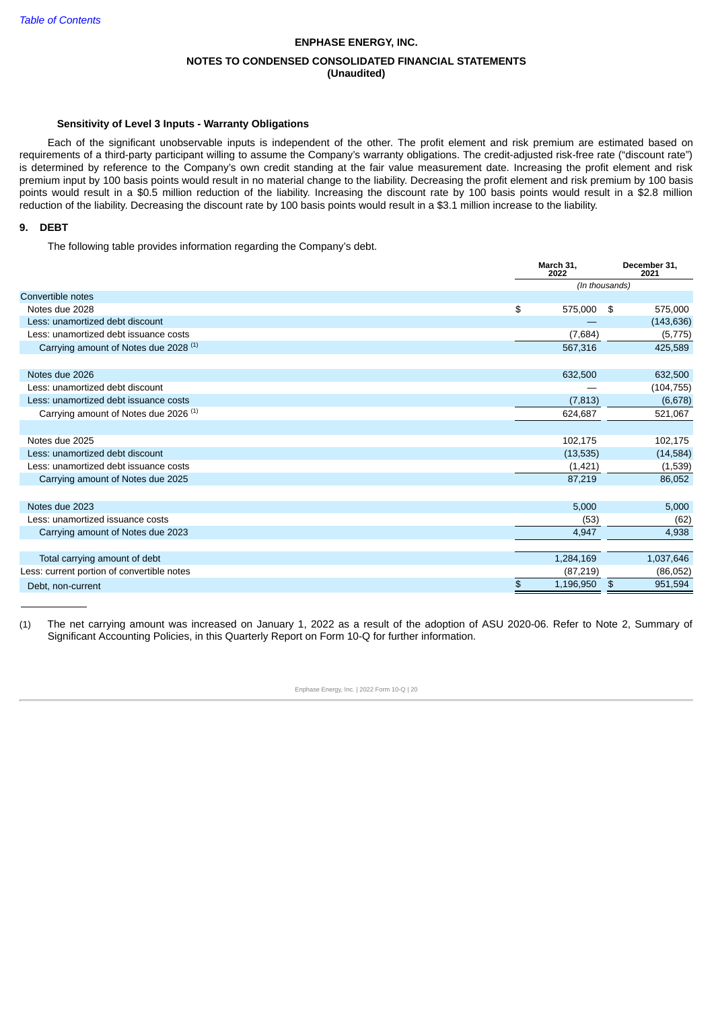# **ENPHASE ENERGY, INC. NOTES TO CONDENSED CONSOLIDATED FINANCIAL STATEMENTS (Unaudited)**

# **Sensitivity of Level 3 Inputs - Warranty Obligations**

Each of the significant unobservable inputs is independent of the other. The profit element and risk premium are estimated based on requirements of a third-party participant willing to assume the Company's warranty obligations. The credit-adjusted risk-free rate ("discount rate") is determined by reference to the Company's own credit standing at the fair value measurement date. Increasing the profit element and risk premium input by 100 basis points would result in no material change to the liability. Decreasing the profit element and risk premium by 100 basis points would result in a \$0.5 million reduction of the liability. Increasing the discount rate by 100 basis points would result in a \$2.8 million reduction of the liability. Decreasing the discount rate by 100 basis points would result in a \$3.1 million increase to the liability.

### <span id="page-19-0"></span>**9. DEBT**

The following table provides information regarding the Company's debt.

|                                                  | March 31.<br>2022 |                | December 31,<br>2021 |  |
|--------------------------------------------------|-------------------|----------------|----------------------|--|
|                                                  |                   | (In thousands) |                      |  |
| Convertible notes                                |                   |                |                      |  |
| Notes due 2028                                   | \$                | 575,000 \$     | 575,000              |  |
| Less: unamortized debt discount                  |                   |                | (143, 636)           |  |
| Less: unamortized debt issuance costs            |                   | (7,684)        | (5, 775)             |  |
| Carrying amount of Notes due 2028 <sup>(1)</sup> |                   | 567,316        | 425,589              |  |
|                                                  |                   |                |                      |  |
| Notes due 2026                                   |                   | 632,500        | 632,500              |  |
| Less: unamortized debt discount                  |                   |                | (104, 755)           |  |
| Less: unamortized debt issuance costs            |                   | (7, 813)       | (6,678)              |  |
| Carrying amount of Notes due 2026 <sup>(1)</sup> |                   | 624,687        | 521,067              |  |
|                                                  |                   |                |                      |  |
| Notes due 2025                                   |                   | 102,175        | 102,175              |  |
| Less: unamortized debt discount                  |                   | (13,535)       | (14, 584)            |  |
| Less: unamortized debt issuance costs            |                   | (1,421)        | (1,539)              |  |
| Carrying amount of Notes due 2025                |                   | 87,219         | 86,052               |  |
|                                                  |                   |                |                      |  |
| Notes due 2023                                   |                   | 5.000          | 5,000                |  |
| Less: unamortized issuance costs                 |                   | (53)           | (62)                 |  |
| Carrying amount of Notes due 2023                |                   | 4,947          | 4,938                |  |
|                                                  |                   |                |                      |  |
| Total carrying amount of debt                    | 1,284,169         |                | 1,037,646            |  |
| Less: current portion of convertible notes       |                   | (87, 219)      | (86,052)             |  |
| Debt. non-current                                | \$                | 1,196,950 \$   | 951,594              |  |

(1) The net carrying amount was increased on January 1, 2022 as a result of the adoption of ASU 2020-06. Refer to Note 2, Summary of Significant Accounting Policies, in this Quarterly Report on Form 10-Q for further information.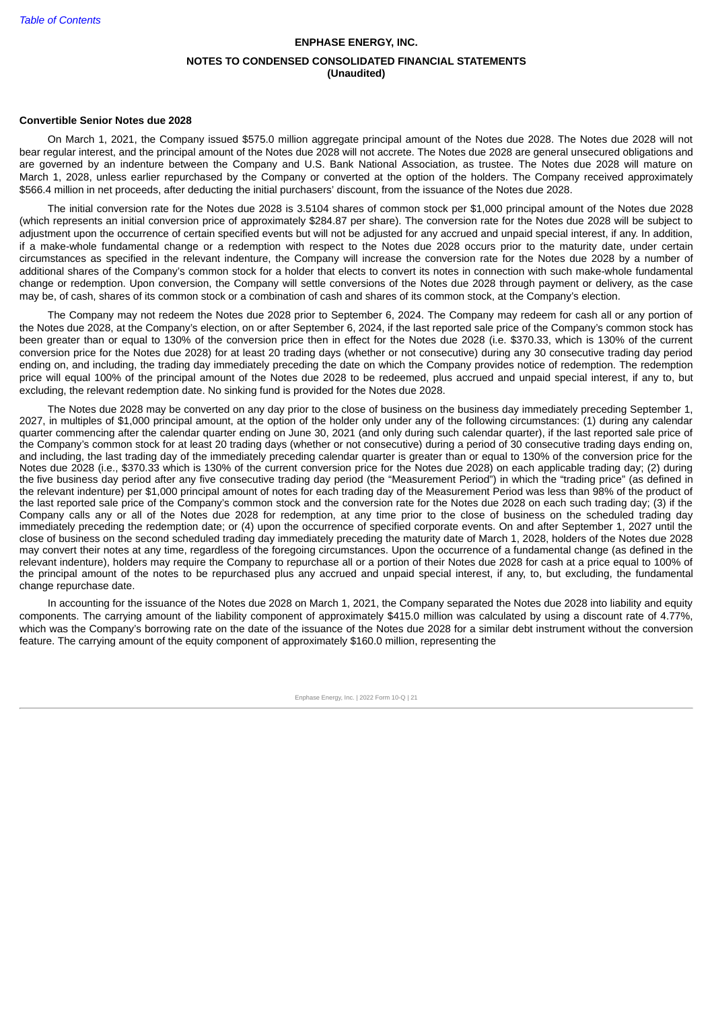### **NOTES TO CONDENSED CONSOLIDATED FINANCIAL STATEMENTS (Unaudited)**

#### **Convertible Senior Notes due 2028**

On March 1, 2021, the Company issued \$575.0 million aggregate principal amount of the Notes due 2028. The Notes due 2028 will not bear regular interest, and the principal amount of the Notes due 2028 will not accrete. The Notes due 2028 are general unsecured obligations and are governed by an indenture between the Company and U.S. Bank National Association, as trustee. The Notes due 2028 will mature on March 1, 2028, unless earlier repurchased by the Company or converted at the option of the holders. The Company received approximately \$566.4 million in net proceeds, after deducting the initial purchasers' discount, from the issuance of the Notes due 2028.

The initial conversion rate for the Notes due 2028 is 3.5104 shares of common stock per \$1,000 principal amount of the Notes due 2028 (which represents an initial conversion price of approximately \$284.87 per share). The conversion rate for the Notes due 2028 will be subject to adjustment upon the occurrence of certain specified events but will not be adjusted for any accrued and unpaid special interest, if any. In addition, if a make-whole fundamental change or a redemption with respect to the Notes due 2028 occurs prior to the maturity date, under certain circumstances as specified in the relevant indenture, the Company will increase the conversion rate for the Notes due 2028 by a number of additional shares of the Company's common stock for a holder that elects to convert its notes in connection with such make-whole fundamental change or redemption. Upon conversion, the Company will settle conversions of the Notes due 2028 through payment or delivery, as the case may be, of cash, shares of its common stock or a combination of cash and shares of its common stock, at the Company's election.

The Company may not redeem the Notes due 2028 prior to September 6, 2024. The Company may redeem for cash all or any portion of the Notes due 2028, at the Company's election, on or after September 6, 2024, if the last reported sale price of the Company's common stock has been greater than or equal to 130% of the conversion price then in effect for the Notes due 2028 (i.e. \$370.33, which is 130% of the current conversion price for the Notes due 2028) for at least 20 trading days (whether or not consecutive) during any 30 consecutive trading day period ending on, and including, the trading day immediately preceding the date on which the Company provides notice of redemption. The redemption price will equal 100% of the principal amount of the Notes due 2028 to be redeemed, plus accrued and unpaid special interest, if any to, but excluding, the relevant redemption date. No sinking fund is provided for the Notes due 2028.

The Notes due 2028 may be converted on any day prior to the close of business on the business day immediately preceding September 1, 2027, in multiples of \$1,000 principal amount, at the option of the holder only under any of the following circumstances: (1) during any calendar quarter commencing after the calendar quarter ending on June 30, 2021 (and only during such calendar quarter), if the last reported sale price of the Company's common stock for at least 20 trading days (whether or not consecutive) during a period of 30 consecutive trading days ending on, and including, the last trading day of the immediately preceding calendar quarter is greater than or equal to 130% of the conversion price for the Notes due 2028 (i.e., \$370.33 which is 130% of the current conversion price for the Notes due 2028) on each applicable trading day; (2) during the five business day period after any five consecutive trading day period (the "Measurement Period") in which the "trading price" (as defined in the relevant indenture) per \$1,000 principal amount of notes for each trading day of the Measurement Period was less than 98% of the product of the last reported sale price of the Company's common stock and the conversion rate for the Notes due 2028 on each such trading day; (3) if the Company calls any or all of the Notes due 2028 for redemption, at any time prior to the close of business on the scheduled trading day immediately preceding the redemption date; or (4) upon the occurrence of specified corporate events. On and after September 1, 2027 until the close of business on the second scheduled trading day immediately preceding the maturity date of March 1, 2028, holders of the Notes due 2028 may convert their notes at any time, regardless of the foregoing circumstances. Upon the occurrence of a fundamental change (as defined in the relevant indenture), holders may require the Company to repurchase all or a portion of their Notes due 2028 for cash at a price equal to 100% of the principal amount of the notes to be repurchased plus any accrued and unpaid special interest, if any, to, but excluding, the fundamental change repurchase date.

In accounting for the issuance of the Notes due 2028 on March 1, 2021, the Company separated the Notes due 2028 into liability and equity components. The carrying amount of the liability component of approximately \$415.0 million was calculated by using a discount rate of 4.77%, which was the Company's borrowing rate on the date of the issuance of the Notes due 2028 for a similar debt instrument without the conversion feature. The carrying amount of the equity component of approximately \$160.0 million, representing the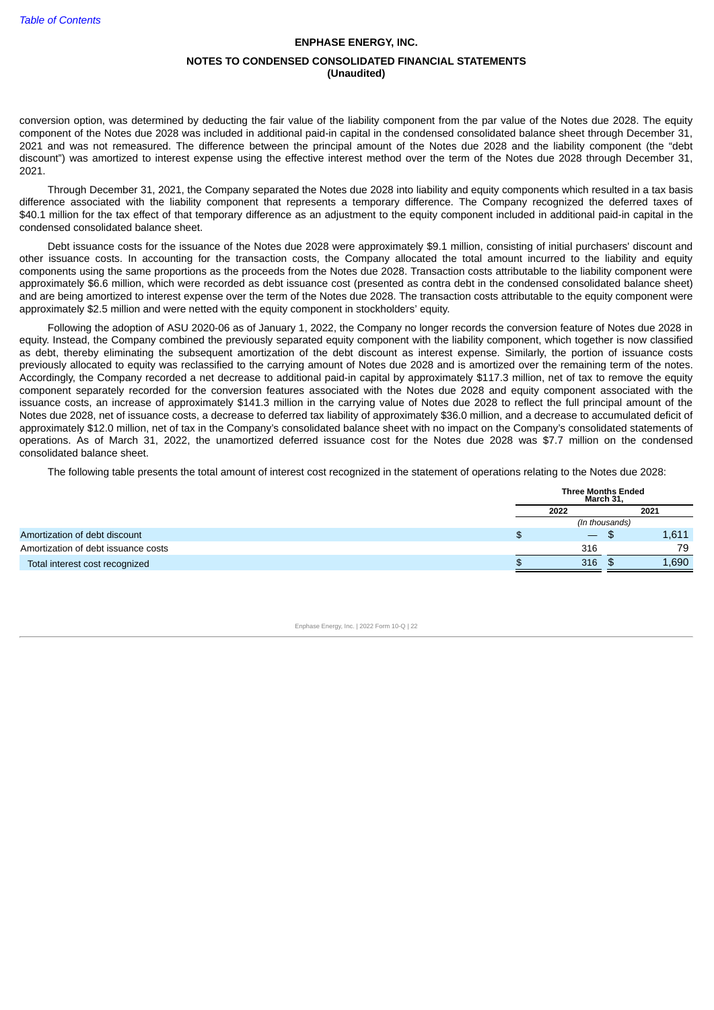# **NOTES TO CONDENSED CONSOLIDATED FINANCIAL STATEMENTS (Unaudited)**

conversion option, was determined by deducting the fair value of the liability component from the par value of the Notes due 2028. The equity component of the Notes due 2028 was included in additional paid-in capital in the condensed consolidated balance sheet through December 31, 2021 and was not remeasured. The difference between the principal amount of the Notes due 2028 and the liability component (the "debt discount") was amortized to interest expense using the effective interest method over the term of the Notes due 2028 through December 31, 2021.

Through December 31, 2021, the Company separated the Notes due 2028 into liability and equity components which resulted in a tax basis difference associated with the liability component that represents a temporary difference. The Company recognized the deferred taxes of \$40.1 million for the tax effect of that temporary difference as an adjustment to the equity component included in additional paid-in capital in the condensed consolidated balance sheet.

Debt issuance costs for the issuance of the Notes due 2028 were approximately \$9.1 million, consisting of initial purchasers' discount and other issuance costs. In accounting for the transaction costs, the Company allocated the total amount incurred to the liability and equity components using the same proportions as the proceeds from the Notes due 2028. Transaction costs attributable to the liability component were approximately \$6.6 million, which were recorded as debt issuance cost (presented as contra debt in the condensed consolidated balance sheet) and are being amortized to interest expense over the term of the Notes due 2028. The transaction costs attributable to the equity component were approximately \$2.5 million and were netted with the equity component in stockholders' equity.

Following the adoption of ASU 2020-06 as of January 1, 2022, the Company no longer records the conversion feature of Notes due 2028 in equity. Instead, the Company combined the previously separated equity component with the liability component, which together is now classified as debt, thereby eliminating the subsequent amortization of the debt discount as interest expense. Similarly, the portion of issuance costs previously allocated to equity was reclassified to the carrying amount of Notes due 2028 and is amortized over the remaining term of the notes. Accordingly, the Company recorded a net decrease to additional paid-in capital by approximately \$117.3 million, net of tax to remove the equity component separately recorded for the conversion features associated with the Notes due 2028 and equity component associated with the issuance costs, an increase of approximately \$141.3 million in the carrying value of Notes due 2028 to reflect the full principal amount of the Notes due 2028, net of issuance costs, a decrease to deferred tax liability of approximately \$36.0 million, and a decrease to accumulated deficit of approximately \$12.0 million, net of tax in the Company's consolidated balance sheet with no impact on the Company's consolidated statements of operations. As of March 31, 2022, the unamortized deferred issuance cost for the Notes due 2028 was \$7.7 million on the condensed consolidated balance sheet.

The following table presents the total amount of interest cost recognized in the statement of operations relating to the Notes due 2028:

|                                     | <b>Three Months Ended</b><br>March 31, |                |       |
|-------------------------------------|----------------------------------------|----------------|-------|
|                                     | 2022                                   |                | 2021  |
|                                     |                                        | (In thousands) |       |
| Amortization of debt discount       |                                        | - 11           | 1,611 |
| Amortization of debt issuance costs | 316                                    |                | 79    |
| Total interest cost recognized      | 316                                    | - \$           | 1,690 |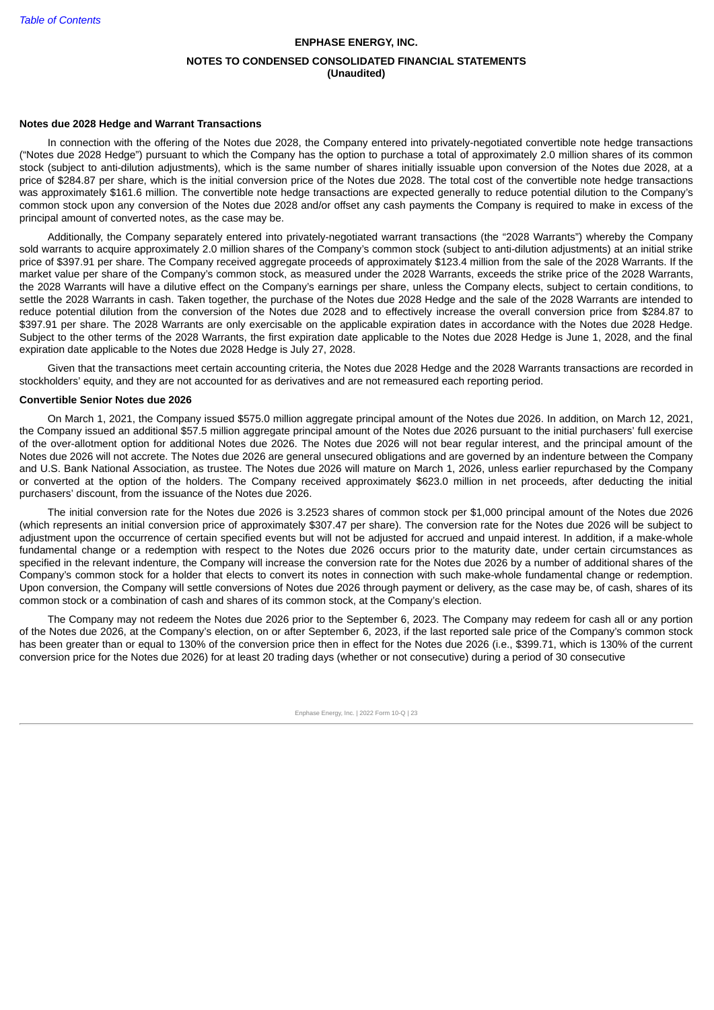# **NOTES TO CONDENSED CONSOLIDATED FINANCIAL STATEMENTS (Unaudited)**

### **Notes due 2028 Hedge and Warrant Transactions**

In connection with the offering of the Notes due 2028, the Company entered into privately-negotiated convertible note hedge transactions ("Notes due 2028 Hedge") pursuant to which the Company has the option to purchase a total of approximately 2.0 million shares of its common stock (subject to anti-dilution adjustments), which is the same number of shares initially issuable upon conversion of the Notes due 2028, at a price of \$284.87 per share, which is the initial conversion price of the Notes due 2028. The total cost of the convertible note hedge transactions was approximately \$161.6 million. The convertible note hedge transactions are expected generally to reduce potential dilution to the Company's common stock upon any conversion of the Notes due 2028 and/or offset any cash payments the Company is required to make in excess of the principal amount of converted notes, as the case may be.

Additionally, the Company separately entered into privately-negotiated warrant transactions (the "2028 Warrants") whereby the Company sold warrants to acquire approximately 2.0 million shares of the Company's common stock (subject to anti-dilution adjustments) at an initial strike price of \$397.91 per share. The Company received aggregate proceeds of approximately \$123.4 million from the sale of the 2028 Warrants. If the market value per share of the Company's common stock, as measured under the 2028 Warrants, exceeds the strike price of the 2028 Warrants, the 2028 Warrants will have a dilutive effect on the Company's earnings per share, unless the Company elects, subject to certain conditions, to settle the 2028 Warrants in cash. Taken together, the purchase of the Notes due 2028 Hedge and the sale of the 2028 Warrants are intended to reduce potential dilution from the conversion of the Notes due 2028 and to effectively increase the overall conversion price from \$284.87 to \$397.91 per share. The 2028 Warrants are only exercisable on the applicable expiration dates in accordance with the Notes due 2028 Hedge. Subject to the other terms of the 2028 Warrants, the first expiration date applicable to the Notes due 2028 Hedge is June 1, 2028, and the final expiration date applicable to the Notes due 2028 Hedge is July 27, 2028.

Given that the transactions meet certain accounting criteria, the Notes due 2028 Hedge and the 2028 Warrants transactions are recorded in stockholders' equity, and they are not accounted for as derivatives and are not remeasured each reporting period.

### **Convertible Senior Notes due 2026**

On March 1, 2021, the Company issued \$575.0 million aggregate principal amount of the Notes due 2026. In addition, on March 12, 2021, the Company issued an additional \$57.5 million aggregate principal amount of the Notes due 2026 pursuant to the initial purchasers' full exercise of the over-allotment option for additional Notes due 2026. The Notes due 2026 will not bear regular interest, and the principal amount of the Notes due 2026 will not accrete. The Notes due 2026 are general unsecured obligations and are governed by an indenture between the Company and U.S. Bank National Association, as trustee. The Notes due 2026 will mature on March 1, 2026, unless earlier repurchased by the Company or converted at the option of the holders. The Company received approximately \$623.0 million in net proceeds, after deducting the initial purchasers' discount, from the issuance of the Notes due 2026.

The initial conversion rate for the Notes due 2026 is 3.2523 shares of common stock per \$1,000 principal amount of the Notes due 2026 (which represents an initial conversion price of approximately \$307.47 per share). The conversion rate for the Notes due 2026 will be subject to adjustment upon the occurrence of certain specified events but will not be adjusted for accrued and unpaid interest. In addition, if a make-whole fundamental change or a redemption with respect to the Notes due 2026 occurs prior to the maturity date, under certain circumstances as specified in the relevant indenture, the Company will increase the conversion rate for the Notes due 2026 by a number of additional shares of the Company's common stock for a holder that elects to convert its notes in connection with such make-whole fundamental change or redemption. Upon conversion, the Company will settle conversions of Notes due 2026 through payment or delivery, as the case may be, of cash, shares of its common stock or a combination of cash and shares of its common stock, at the Company's election.

The Company may not redeem the Notes due 2026 prior to the September 6, 2023. The Company may redeem for cash all or any portion of the Notes due 2026, at the Company's election, on or after September 6, 2023, if the last reported sale price of the Company's common stock has been greater than or equal to 130% of the conversion price then in effect for the Notes due 2026 (i.e., \$399.71, which is 130% of the current conversion price for the Notes due 2026) for at least 20 trading days (whether or not consecutive) during a period of 30 consecutive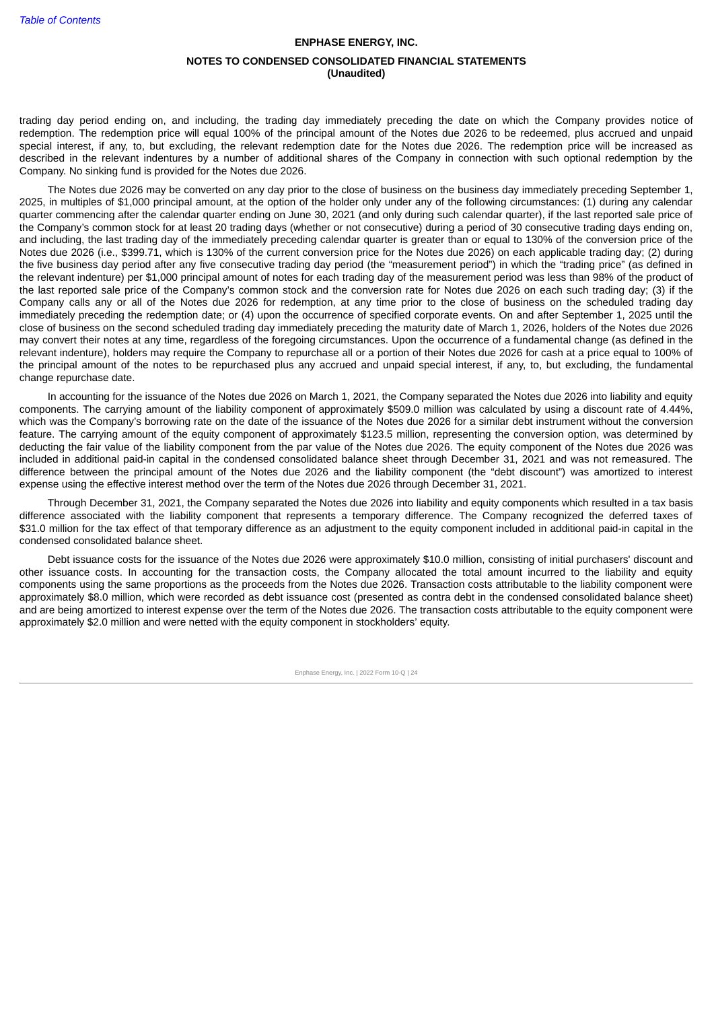# **NOTES TO CONDENSED CONSOLIDATED FINANCIAL STATEMENTS (Unaudited)**

trading day period ending on, and including, the trading day immediately preceding the date on which the Company provides notice of redemption. The redemption price will equal 100% of the principal amount of the Notes due 2026 to be redeemed, plus accrued and unpaid special interest, if any, to, but excluding, the relevant redemption date for the Notes due 2026. The redemption price will be increased as described in the relevant indentures by a number of additional shares of the Company in connection with such optional redemption by the Company. No sinking fund is provided for the Notes due 2026.

The Notes due 2026 may be converted on any day prior to the close of business on the business day immediately preceding September 1, 2025, in multiples of \$1,000 principal amount, at the option of the holder only under any of the following circumstances: (1) during any calendar quarter commencing after the calendar quarter ending on June 30, 2021 (and only during such calendar quarter), if the last reported sale price of the Company's common stock for at least 20 trading days (whether or not consecutive) during a period of 30 consecutive trading days ending on, and including, the last trading day of the immediately preceding calendar quarter is greater than or equal to 130% of the conversion price of the Notes due 2026 (i.e., \$399.71, which is 130% of the current conversion price for the Notes due 2026) on each applicable trading day; (2) during the five business day period after any five consecutive trading day period (the "measurement period") in which the "trading price" (as defined in the relevant indenture) per \$1,000 principal amount of notes for each trading day of the measurement period was less than 98% of the product of the last reported sale price of the Company's common stock and the conversion rate for Notes due 2026 on each such trading day; (3) if the Company calls any or all of the Notes due 2026 for redemption, at any time prior to the close of business on the scheduled trading day immediately preceding the redemption date; or (4) upon the occurrence of specified corporate events. On and after September 1, 2025 until the close of business on the second scheduled trading day immediately preceding the maturity date of March 1, 2026, holders of the Notes due 2026 may convert their notes at any time, regardless of the foregoing circumstances. Upon the occurrence of a fundamental change (as defined in the relevant indenture), holders may require the Company to repurchase all or a portion of their Notes due 2026 for cash at a price equal to 100% of the principal amount of the notes to be repurchased plus any accrued and unpaid special interest, if any, to, but excluding, the fundamental change repurchase date.

In accounting for the issuance of the Notes due 2026 on March 1, 2021, the Company separated the Notes due 2026 into liability and equity components. The carrying amount of the liability component of approximately \$509.0 million was calculated by using a discount rate of 4.44%, which was the Company's borrowing rate on the date of the issuance of the Notes due 2026 for a similar debt instrument without the conversion feature. The carrying amount of the equity component of approximately \$123.5 million, representing the conversion option, was determined by deducting the fair value of the liability component from the par value of the Notes due 2026. The equity component of the Notes due 2026 was included in additional paid-in capital in the condensed consolidated balance sheet through December 31, 2021 and was not remeasured. The difference between the principal amount of the Notes due 2026 and the liability component (the "debt discount") was amortized to interest expense using the effective interest method over the term of the Notes due 2026 through December 31, 2021.

Through December 31, 2021, the Company separated the Notes due 2026 into liability and equity components which resulted in a tax basis difference associated with the liability component that represents a temporary difference. The Company recognized the deferred taxes of \$31.0 million for the tax effect of that temporary difference as an adjustment to the equity component included in additional paid-in capital in the condensed consolidated balance sheet.

Debt issuance costs for the issuance of the Notes due 2026 were approximately \$10.0 million, consisting of initial purchasers' discount and other issuance costs. In accounting for the transaction costs, the Company allocated the total amount incurred to the liability and equity components using the same proportions as the proceeds from the Notes due 2026. Transaction costs attributable to the liability component were approximately \$8.0 million, which were recorded as debt issuance cost (presented as contra debt in the condensed consolidated balance sheet) and are being amortized to interest expense over the term of the Notes due 2026. The transaction costs attributable to the equity component were approximately \$2.0 million and were netted with the equity component in stockholders' equity.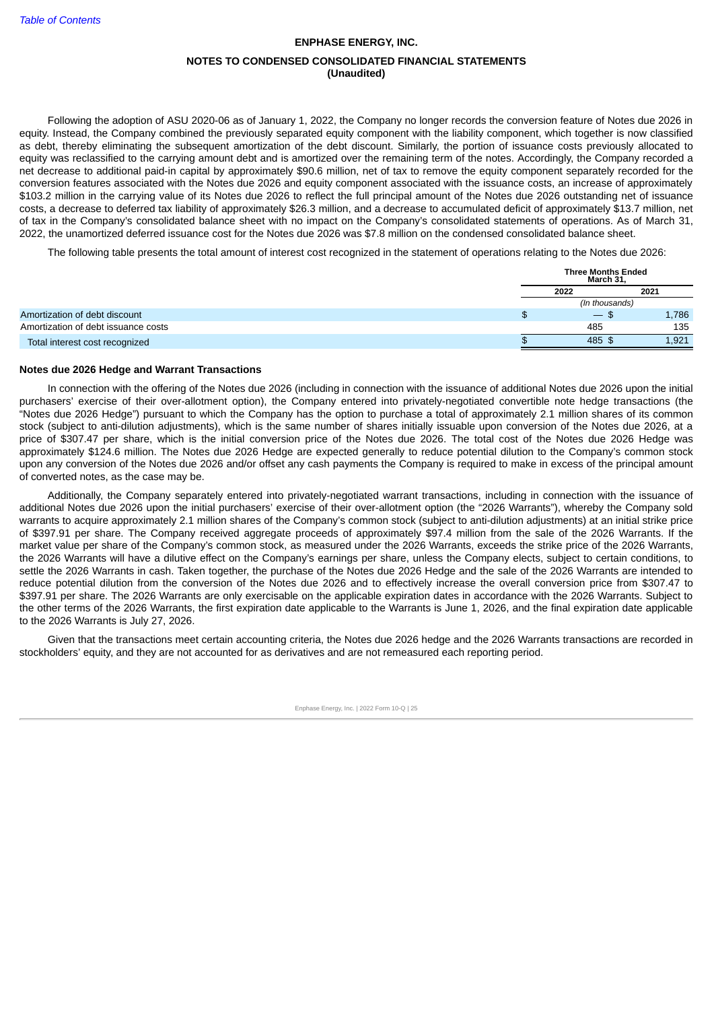### **NOTES TO CONDENSED CONSOLIDATED FINANCIAL STATEMENTS (Unaudited)**

Following the adoption of ASU 2020-06 as of January 1, 2022, the Company no longer records the conversion feature of Notes due 2026 in equity. Instead, the Company combined the previously separated equity component with the liability component, which together is now classified as debt, thereby eliminating the subsequent amortization of the debt discount. Similarly, the portion of issuance costs previously allocated to equity was reclassified to the carrying amount debt and is amortized over the remaining term of the notes. Accordingly, the Company recorded a net decrease to additional paid-in capital by approximately \$90.6 million, net of tax to remove the equity component separately recorded for the conversion features associated with the Notes due 2026 and equity component associated with the issuance costs, an increase of approximately \$103.2 million in the carrying value of its Notes due 2026 to reflect the full principal amount of the Notes due 2026 outstanding net of issuance costs, a decrease to deferred tax liability of approximately \$26.3 million, and a decrease to accumulated deficit of approximately \$13.7 million, net of tax in the Company's consolidated balance sheet with no impact on the Company's consolidated statements of operations. As of March 31, 2022, the unamortized deferred issuance cost for the Notes due 2026 was \$7.8 million on the condensed consolidated balance sheet.

The following table presents the total amount of interest cost recognized in the statement of operations relating to the Notes due 2026:

|                                     | <b>Three Months Ended</b><br>March 31. |       |
|-------------------------------------|----------------------------------------|-------|
|                                     | 2022                                   | 2021  |
|                                     | (In thousands)                         |       |
| Amortization of debt discount       | — \$                                   | 1,786 |
| Amortization of debt issuance costs | 485                                    | 135   |
| Total interest cost recognized      | 485 \$                                 | 1,921 |

#### **Notes due 2026 Hedge and Warrant Transactions**

In connection with the offering of the Notes due 2026 (including in connection with the issuance of additional Notes due 2026 upon the initial purchasers' exercise of their over-allotment option), the Company entered into privately-negotiated convertible note hedge transactions (the "Notes due 2026 Hedge") pursuant to which the Company has the option to purchase a total of approximately 2.1 million shares of its common stock (subject to anti-dilution adjustments), which is the same number of shares initially issuable upon conversion of the Notes due 2026, at a price of \$307.47 per share, which is the initial conversion price of the Notes due 2026. The total cost of the Notes due 2026 Hedge was approximately \$124.6 million. The Notes due 2026 Hedge are expected generally to reduce potential dilution to the Company's common stock upon any conversion of the Notes due 2026 and/or offset any cash payments the Company is required to make in excess of the principal amount of converted notes, as the case may be.

Additionally, the Company separately entered into privately-negotiated warrant transactions, including in connection with the issuance of additional Notes due 2026 upon the initial purchasers' exercise of their over-allotment option (the "2026 Warrants"), whereby the Company sold warrants to acquire approximately 2.1 million shares of the Company's common stock (subject to anti-dilution adjustments) at an initial strike price of \$397.91 per share. The Company received aggregate proceeds of approximately \$97.4 million from the sale of the 2026 Warrants. If the market value per share of the Company's common stock, as measured under the 2026 Warrants, exceeds the strike price of the 2026 Warrants, the 2026 Warrants will have a dilutive effect on the Company's earnings per share, unless the Company elects, subject to certain conditions, to settle the 2026 Warrants in cash. Taken together, the purchase of the Notes due 2026 Hedge and the sale of the 2026 Warrants are intended to reduce potential dilution from the conversion of the Notes due 2026 and to effectively increase the overall conversion price from \$307.47 to \$397.91 per share. The 2026 Warrants are only exercisable on the applicable expiration dates in accordance with the 2026 Warrants. Subject to the other terms of the 2026 Warrants, the first expiration date applicable to the Warrants is June 1, 2026, and the final expiration date applicable to the 2026 Warrants is July 27, 2026.

Given that the transactions meet certain accounting criteria, the Notes due 2026 hedge and the 2026 Warrants transactions are recorded in stockholders' equity, and they are not accounted for as derivatives and are not remeasured each reporting period.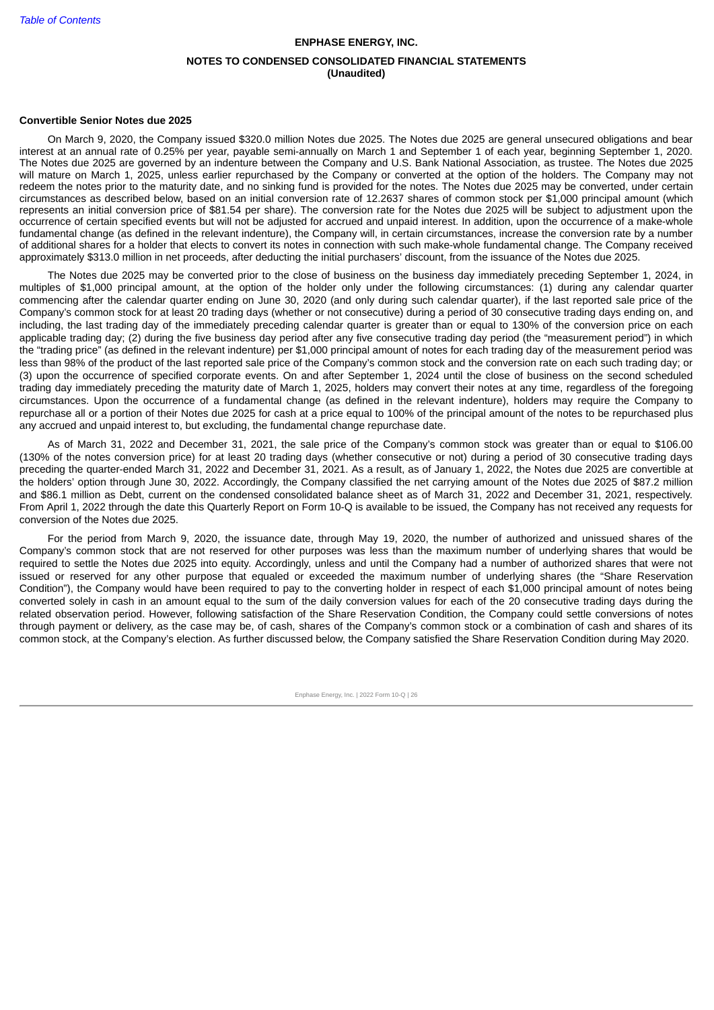# **ENPHASE ENERGY, INC. NOTES TO CONDENSED CONSOLIDATED FINANCIAL STATEMENTS (Unaudited)**

### **Convertible Senior Notes due 2025**

On March 9, 2020, the Company issued \$320.0 million Notes due 2025. The Notes due 2025 are general unsecured obligations and bear interest at an annual rate of 0.25% per year, payable semi-annually on March 1 and September 1 of each year, beginning September 1, 2020. The Notes due 2025 are governed by an indenture between the Company and U.S. Bank National Association, as trustee. The Notes due 2025 will mature on March 1, 2025, unless earlier repurchased by the Company or converted at the option of the holders. The Company may not redeem the notes prior to the maturity date, and no sinking fund is provided for the notes. The Notes due 2025 may be converted, under certain circumstances as described below, based on an initial conversion rate of 12.2637 shares of common stock per \$1,000 principal amount (which represents an initial conversion price of \$81.54 per share). The conversion rate for the Notes due 2025 will be subject to adjustment upon the occurrence of certain specified events but will not be adjusted for accrued and unpaid interest. In addition, upon the occurrence of a make-whole fundamental change (as defined in the relevant indenture), the Company will, in certain circumstances, increase the conversion rate by a number of additional shares for a holder that elects to convert its notes in connection with such make-whole fundamental change. The Company received approximately \$313.0 million in net proceeds, after deducting the initial purchasers' discount, from the issuance of the Notes due 2025.

The Notes due 2025 may be converted prior to the close of business on the business day immediately preceding September 1, 2024, in multiples of \$1,000 principal amount, at the option of the holder only under the following circumstances: (1) during any calendar quarter commencing after the calendar quarter ending on June 30, 2020 (and only during such calendar quarter), if the last reported sale price of the Company's common stock for at least 20 trading days (whether or not consecutive) during a period of 30 consecutive trading days ending on, and including, the last trading day of the immediately preceding calendar quarter is greater than or equal to 130% of the conversion price on each applicable trading day; (2) during the five business day period after any five consecutive trading day period (the "measurement period") in which the "trading price" (as defined in the relevant indenture) per \$1,000 principal amount of notes for each trading day of the measurement period was less than 98% of the product of the last reported sale price of the Company's common stock and the conversion rate on each such trading day; or (3) upon the occurrence of specified corporate events. On and after September 1, 2024 until the close of business on the second scheduled trading day immediately preceding the maturity date of March 1, 2025, holders may convert their notes at any time, regardless of the foregoing circumstances. Upon the occurrence of a fundamental change (as defined in the relevant indenture), holders may require the Company to repurchase all or a portion of their Notes due 2025 for cash at a price equal to 100% of the principal amount of the notes to be repurchased plus any accrued and unpaid interest to, but excluding, the fundamental change repurchase date.

As of March 31, 2022 and December 31, 2021, the sale price of the Company's common stock was greater than or equal to \$106.00 (130% of the notes conversion price) for at least 20 trading days (whether consecutive or not) during a period of 30 consecutive trading days preceding the quarter-ended March 31, 2022 and December 31, 2021. As a result, as of January 1, 2022, the Notes due 2025 are convertible at the holders' option through June 30, 2022. Accordingly, the Company classified the net carrying amount of the Notes due 2025 of \$87.2 million and \$86.1 million as Debt, current on the condensed consolidated balance sheet as of March 31, 2022 and December 31, 2021, respectively. From April 1, 2022 through the date this Quarterly Report on Form 10-Q is available to be issued, the Company has not received any requests for conversion of the Notes due 2025.

For the period from March 9, 2020, the issuance date, through May 19, 2020, the number of authorized and unissued shares of the Company's common stock that are not reserved for other purposes was less than the maximum number of underlying shares that would be required to settle the Notes due 2025 into equity. Accordingly, unless and until the Company had a number of authorized shares that were not issued or reserved for any other purpose that equaled or exceeded the maximum number of underlying shares (the "Share Reservation Condition"), the Company would have been required to pay to the converting holder in respect of each \$1,000 principal amount of notes being converted solely in cash in an amount equal to the sum of the daily conversion values for each of the 20 consecutive trading days during the related observation period. However, following satisfaction of the Share Reservation Condition, the Company could settle conversions of notes through payment or delivery, as the case may be, of cash, shares of the Company's common stock or a combination of cash and shares of its common stock, at the Company's election. As further discussed below, the Company satisfied the Share Reservation Condition during May 2020.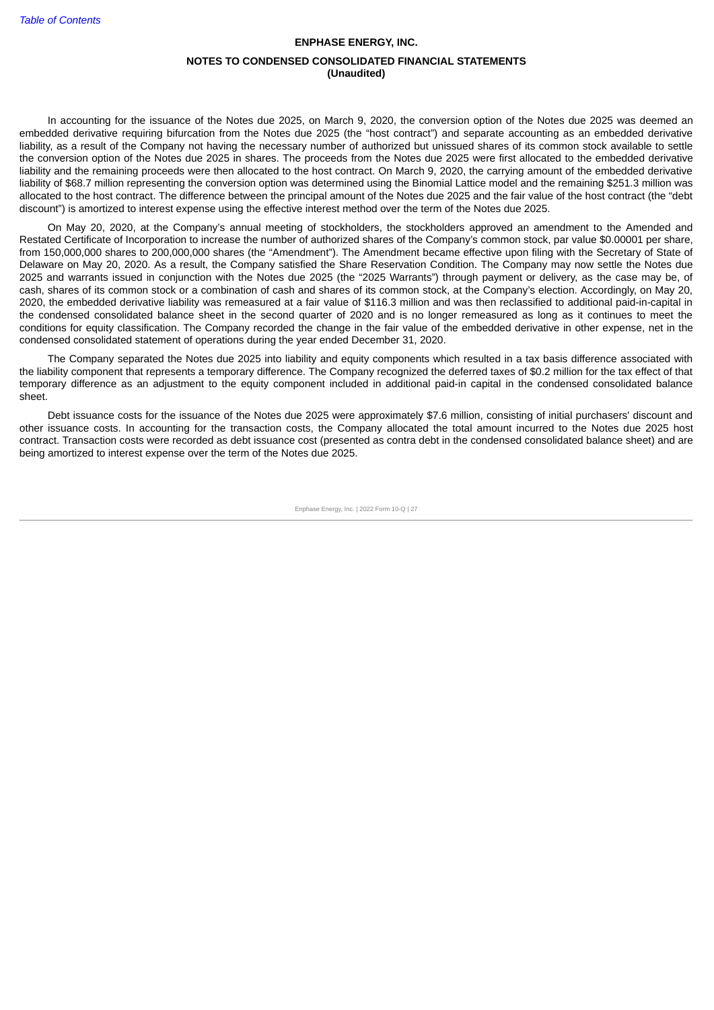# **NOTES TO CONDENSED CONSOLIDATED FINANCIAL STATEMENTS (Unaudited)**

In accounting for the issuance of the Notes due 2025, on March 9, 2020, the conversion option of the Notes due 2025 was deemed an embedded derivative requiring bifurcation from the Notes due 2025 (the "host contract") and separate accounting as an embedded derivative liability, as a result of the Company not having the necessary number of authorized but unissued shares of its common stock available to settle the conversion option of the Notes due 2025 in shares. The proceeds from the Notes due 2025 were first allocated to the embedded derivative liability and the remaining proceeds were then allocated to the host contract. On March 9, 2020, the carrying amount of the embedded derivative liability of \$68.7 million representing the conversion option was determined using the Binomial Lattice model and the remaining \$251.3 million was allocated to the host contract. The difference between the principal amount of the Notes due 2025 and the fair value of the host contract (the "debt discount") is amortized to interest expense using the effective interest method over the term of the Notes due 2025.

On May 20, 2020, at the Company's annual meeting of stockholders, the stockholders approved an amendment to the Amended and Restated Certificate of Incorporation to increase the number of authorized shares of the Company's common stock, par value \$0.00001 per share, from 150,000,000 shares to 200,000,000 shares (the "Amendment"). The Amendment became effective upon filing with the Secretary of State of Delaware on May 20, 2020. As a result, the Company satisfied the Share Reservation Condition. The Company may now settle the Notes due 2025 and warrants issued in conjunction with the Notes due 2025 (the "2025 Warrants") through payment or delivery, as the case may be, of cash, shares of its common stock or a combination of cash and shares of its common stock, at the Company's election. Accordingly, on May 20, 2020, the embedded derivative liability was remeasured at a fair value of \$116.3 million and was then reclassified to additional paid-in-capital in the condensed consolidated balance sheet in the second quarter of 2020 and is no longer remeasured as long as it continues to meet the conditions for equity classification. The Company recorded the change in the fair value of the embedded derivative in other expense, net in the condensed consolidated statement of operations during the year ended December 31, 2020.

The Company separated the Notes due 2025 into liability and equity components which resulted in a tax basis difference associated with the liability component that represents a temporary difference. The Company recognized the deferred taxes of \$0.2 million for the tax effect of that temporary difference as an adjustment to the equity component included in additional paid-in capital in the condensed consolidated balance sheet.

Debt issuance costs for the issuance of the Notes due 2025 were approximately \$7.6 million, consisting of initial purchasers' discount and other issuance costs. In accounting for the transaction costs, the Company allocated the total amount incurred to the Notes due 2025 host contract. Transaction costs were recorded as debt issuance cost (presented as contra debt in the condensed consolidated balance sheet) and are being amortized to interest expense over the term of the Notes due 2025.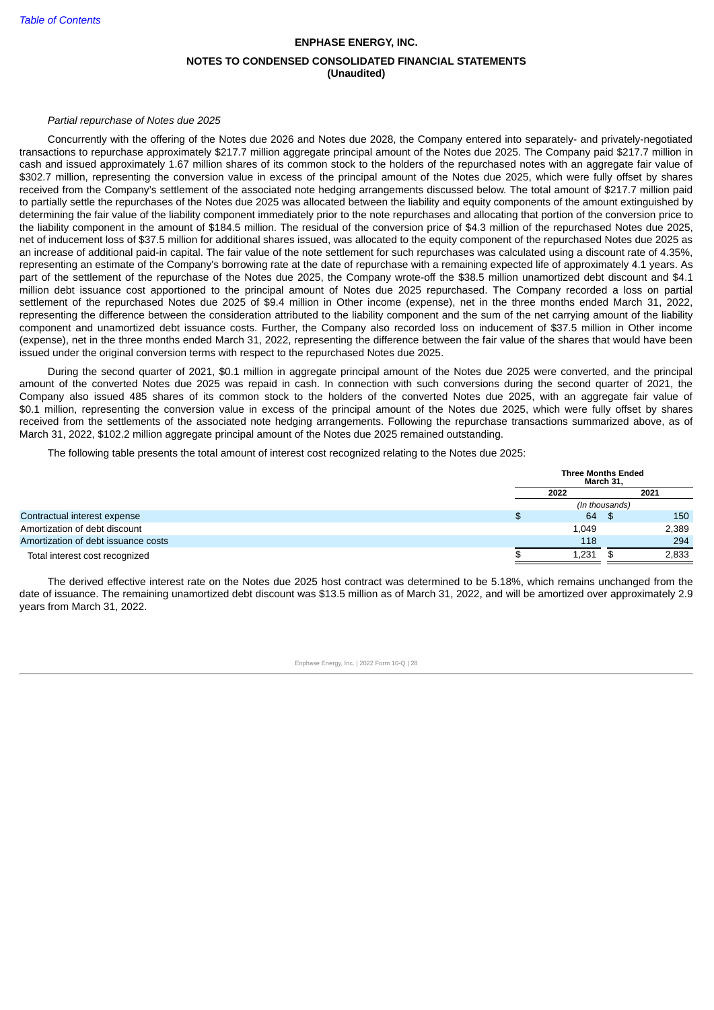# **ENPHASE ENERGY, INC. NOTES TO CONDENSED CONSOLIDATED FINANCIAL STATEMENTS**

#### **(Unaudited)**

#### *Partial repurchase of Notes due 2025*

Concurrently with the offering of the Notes due 2026 and Notes due 2028, the Company entered into separately- and privately-negotiated transactions to repurchase approximately \$217.7 million aggregate principal amount of the Notes due 2025. The Company paid \$217.7 million in cash and issued approximately 1.67 million shares of its common stock to the holders of the repurchased notes with an aggregate fair value of \$302.7 million, representing the conversion value in excess of the principal amount of the Notes due 2025, which were fully offset by shares received from the Company's settlement of the associated note hedging arrangements discussed below. The total amount of \$217.7 million paid to partially settle the repurchases of the Notes due 2025 was allocated between the liability and equity components of the amount extinguished by determining the fair value of the liability component immediately prior to the note repurchases and allocating that portion of the conversion price to the liability component in the amount of \$184.5 million. The residual of the conversion price of \$4.3 million of the repurchased Notes due 2025, net of inducement loss of \$37.5 million for additional shares issued, was allocated to the equity component of the repurchased Notes due 2025 as an increase of additional paid-in capital. The fair value of the note settlement for such repurchases was calculated using a discount rate of 4.35%, representing an estimate of the Company's borrowing rate at the date of repurchase with a remaining expected life of approximately 4.1 years. As part of the settlement of the repurchase of the Notes due 2025, the Company wrote-off the \$38.5 million unamortized debt discount and \$4.1 million debt issuance cost apportioned to the principal amount of Notes due 2025 repurchased. The Company recorded a loss on partial settlement of the repurchased Notes due 2025 of \$9.4 million in Other income (expense), net in the three months ended March 31, 2022, representing the difference between the consideration attributed to the liability component and the sum of the net carrying amount of the liability component and unamortized debt issuance costs. Further, the Company also recorded loss on inducement of \$37.5 million in Other income (expense), net in the three months ended March 31, 2022, representing the difference between the fair value of the shares that would have been issued under the original conversion terms with respect to the repurchased Notes due 2025.

During the second quarter of 2021, \$0.1 million in aggregate principal amount of the Notes due 2025 were converted, and the principal amount of the converted Notes due 2025 was repaid in cash. In connection with such conversions during the second quarter of 2021, the Company also issued 485 shares of its common stock to the holders of the converted Notes due 2025, with an aggregate fair value of \$0.1 million, representing the conversion value in excess of the principal amount of the Notes due 2025, which were fully offset by shares received from the settlements of the associated note hedging arrangements. Following the repurchase transactions summarized above, as of March 31, 2022, \$102.2 million aggregate principal amount of the Notes due 2025 remained outstanding.

The following table presents the total amount of interest cost recognized relating to the Notes due 2025:

|                                     |      | <b>Three Months Ended</b> | March 31,      |       |  |
|-------------------------------------|------|---------------------------|----------------|-------|--|
|                                     | 2022 |                           |                | 2021  |  |
|                                     |      |                           | (In thousands) |       |  |
| Contractual interest expense        |      | 64                        | ∣ \$           | 150   |  |
| Amortization of debt discount       |      | 1,049                     |                | 2,389 |  |
| Amortization of debt issuance costs |      | 118                       |                | 294   |  |
| Total interest cost recognized      |      | 1,231                     |                | 2,833 |  |

The derived effective interest rate on the Notes due 2025 host contract was determined to be 5.18%, which remains unchanged from the date of issuance. The remaining unamortized debt discount was \$13.5 million as of March 31, 2022, and will be amortized over approximately 2.9 years from March 31, 2022.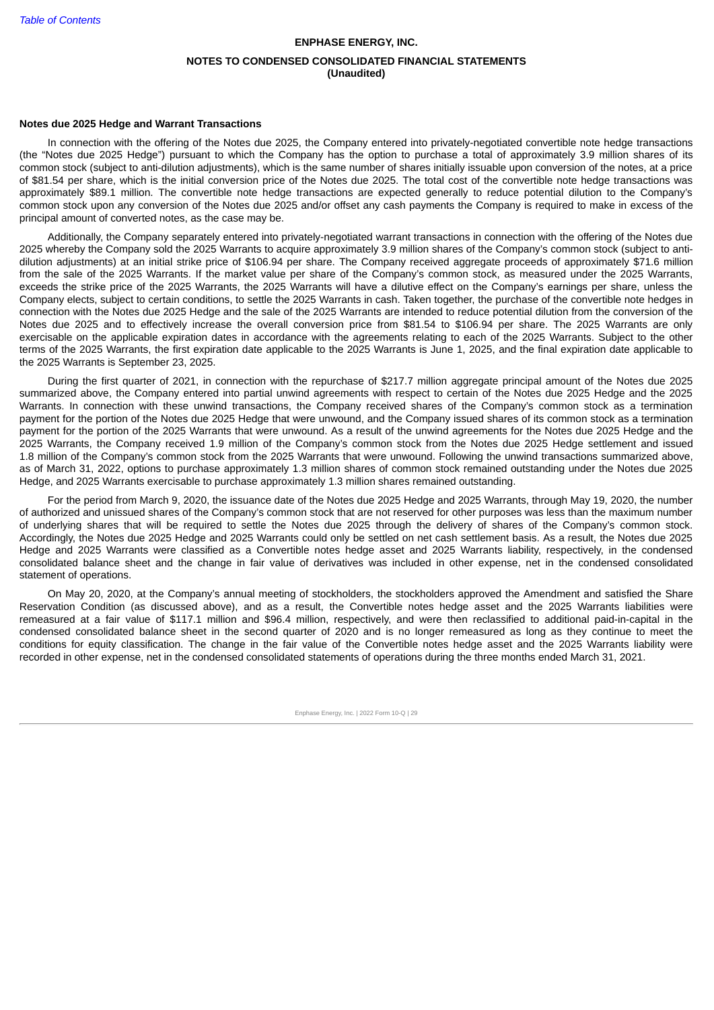# **ENPHASE ENERGY, INC. NOTES TO CONDENSED CONSOLIDATED FINANCIAL STATEMENTS**

# **(Unaudited)**

### **Notes due 2025 Hedge and Warrant Transactions**

In connection with the offering of the Notes due 2025, the Company entered into privately-negotiated convertible note hedge transactions (the "Notes due 2025 Hedge") pursuant to which the Company has the option to purchase a total of approximately 3.9 million shares of its common stock (subject to anti-dilution adjustments), which is the same number of shares initially issuable upon conversion of the notes, at a price of \$81.54 per share, which is the initial conversion price of the Notes due 2025. The total cost of the convertible note hedge transactions was approximately \$89.1 million. The convertible note hedge transactions are expected generally to reduce potential dilution to the Company's common stock upon any conversion of the Notes due 2025 and/or offset any cash payments the Company is required to make in excess of the principal amount of converted notes, as the case may be.

Additionally, the Company separately entered into privately-negotiated warrant transactions in connection with the offering of the Notes due 2025 whereby the Company sold the 2025 Warrants to acquire approximately 3.9 million shares of the Company's common stock (subject to antidilution adjustments) at an initial strike price of \$106.94 per share. The Company received aggregate proceeds of approximately \$71.6 million from the sale of the 2025 Warrants. If the market value per share of the Company's common stock, as measured under the 2025 Warrants, exceeds the strike price of the 2025 Warrants, the 2025 Warrants will have a dilutive effect on the Company's earnings per share, unless the Company elects, subject to certain conditions, to settle the 2025 Warrants in cash. Taken together, the purchase of the convertible note hedges in connection with the Notes due 2025 Hedge and the sale of the 2025 Warrants are intended to reduce potential dilution from the conversion of the Notes due 2025 and to effectively increase the overall conversion price from \$81.54 to \$106.94 per share. The 2025 Warrants are only exercisable on the applicable expiration dates in accordance with the agreements relating to each of the 2025 Warrants. Subject to the other terms of the 2025 Warrants, the first expiration date applicable to the 2025 Warrants is June 1, 2025, and the final expiration date applicable to the 2025 Warrants is September 23, 2025.

During the first quarter of 2021, in connection with the repurchase of \$217.7 million aggregate principal amount of the Notes due 2025 summarized above, the Company entered into partial unwind agreements with respect to certain of the Notes due 2025 Hedge and the 2025 Warrants. In connection with these unwind transactions, the Company received shares of the Company's common stock as a termination payment for the portion of the Notes due 2025 Hedge that were unwound, and the Company issued shares of its common stock as a termination payment for the portion of the 2025 Warrants that were unwound. As a result of the unwind agreements for the Notes due 2025 Hedge and the 2025 Warrants, the Company received 1.9 million of the Company's common stock from the Notes due 2025 Hedge settlement and issued 1.8 million of the Company's common stock from the 2025 Warrants that were unwound. Following the unwind transactions summarized above, as of March 31, 2022, options to purchase approximately 1.3 million shares of common stock remained outstanding under the Notes due 2025 Hedge, and 2025 Warrants exercisable to purchase approximately 1.3 million shares remained outstanding.

For the period from March 9, 2020, the issuance date of the Notes due 2025 Hedge and 2025 Warrants, through May 19, 2020, the number of authorized and unissued shares of the Company's common stock that are not reserved for other purposes was less than the maximum number of underlying shares that will be required to settle the Notes due 2025 through the delivery of shares of the Company's common stock. Accordingly, the Notes due 2025 Hedge and 2025 Warrants could only be settled on net cash settlement basis. As a result, the Notes due 2025 Hedge and 2025 Warrants were classified as a Convertible notes hedge asset and 2025 Warrants liability, respectively, in the condensed consolidated balance sheet and the change in fair value of derivatives was included in other expense, net in the condensed consolidated statement of operations.

On May 20, 2020, at the Company's annual meeting of stockholders, the stockholders approved the Amendment and satisfied the Share Reservation Condition (as discussed above), and as a result, the Convertible notes hedge asset and the 2025 Warrants liabilities were remeasured at a fair value of \$117.1 million and \$96.4 million, respectively, and were then reclassified to additional paid-in-capital in the condensed consolidated balance sheet in the second quarter of 2020 and is no longer remeasured as long as they continue to meet the conditions for equity classification. The change in the fair value of the Convertible notes hedge asset and the 2025 Warrants liability were recorded in other expense, net in the condensed consolidated statements of operations during the three months ended March 31, 2021.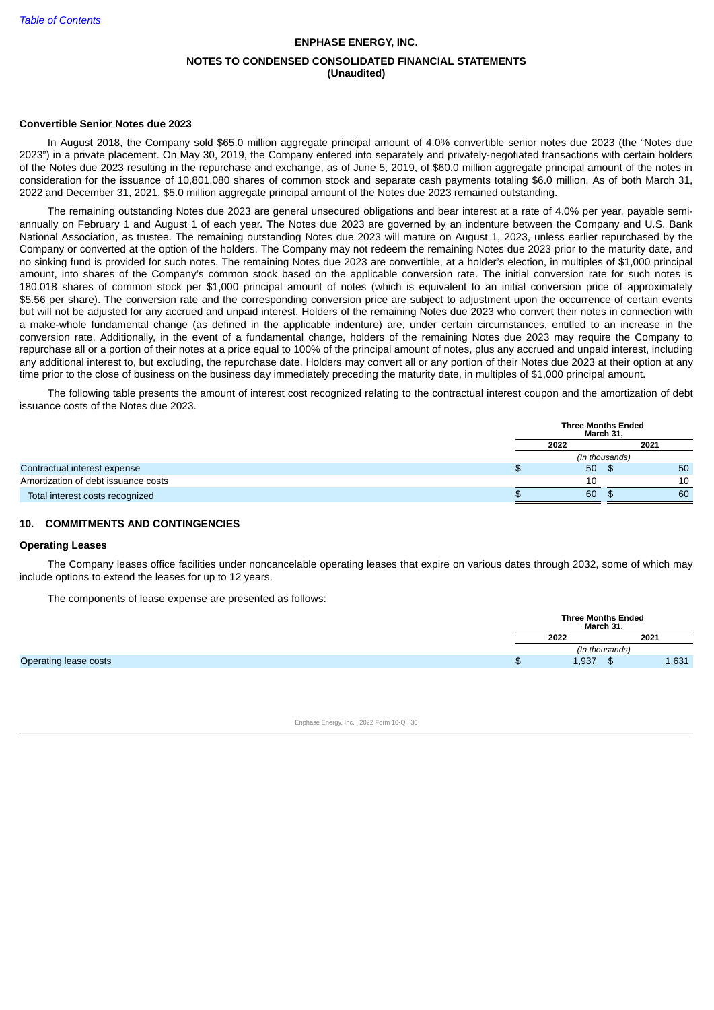# **ENPHASE ENERGY, INC. NOTES TO CONDENSED CONSOLIDATED FINANCIAL STATEMENTS**

#### **(Unaudited)**

#### **Convertible Senior Notes due 2023**

In August 2018, the Company sold \$65.0 million aggregate principal amount of 4.0% convertible senior notes due 2023 (the "Notes due 2023") in a private placement. On May 30, 2019, the Company entered into separately and privately-negotiated transactions with certain holders of the Notes due 2023 resulting in the repurchase and exchange, as of June 5, 2019, of \$60.0 million aggregate principal amount of the notes in consideration for the issuance of 10,801,080 shares of common stock and separate cash payments totaling \$6.0 million. As of both March 31, 2022 and December 31, 2021, \$5.0 million aggregate principal amount of the Notes due 2023 remained outstanding.

The remaining outstanding Notes due 2023 are general unsecured obligations and bear interest at a rate of 4.0% per year, payable semiannually on February 1 and August 1 of each year. The Notes due 2023 are governed by an indenture between the Company and U.S. Bank National Association, as trustee. The remaining outstanding Notes due 2023 will mature on August 1, 2023, unless earlier repurchased by the Company or converted at the option of the holders. The Company may not redeem the remaining Notes due 2023 prior to the maturity date, and no sinking fund is provided for such notes. The remaining Notes due 2023 are convertible, at a holder's election, in multiples of \$1,000 principal amount, into shares of the Company's common stock based on the applicable conversion rate. The initial conversion rate for such notes is 180.018 shares of common stock per \$1,000 principal amount of notes (which is equivalent to an initial conversion price of approximately \$5.56 per share). The conversion rate and the corresponding conversion price are subject to adjustment upon the occurrence of certain events but will not be adjusted for any accrued and unpaid interest. Holders of the remaining Notes due 2023 who convert their notes in connection with a make-whole fundamental change (as defined in the applicable indenture) are, under certain circumstances, entitled to an increase in the conversion rate. Additionally, in the event of a fundamental change, holders of the remaining Notes due 2023 may require the Company to repurchase all or a portion of their notes at a price equal to 100% of the principal amount of notes, plus any accrued and unpaid interest, including any additional interest to, but excluding, the repurchase date. Holders may convert all or any portion of their Notes due 2023 at their option at any time prior to the close of business on the business day immediately preceding the maturity date, in multiples of \$1,000 principal amount.

The following table presents the amount of interest cost recognized relating to the contractual interest coupon and the amortization of debt issuance costs of the Notes due 2023.

|                                     | <b>Three Months Ended</b> | March 31,      |    |
|-------------------------------------|---------------------------|----------------|----|
|                                     | 2022<br>2021              |                |    |
|                                     |                           | (In thousands) |    |
| Contractual interest expense        | 50                        | - \$           | 50 |
| Amortization of debt issuance costs | 10                        |                | 10 |
| Total interest costs recognized     | 60                        |                | 60 |

# <span id="page-29-0"></span>**10. COMMITMENTS AND CONTINGENCIES**

### **Operating Leases**

The Company leases office facilities under noncancelable operating leases that expire on various dates through 2032, some of which may include options to extend the leases for up to 12 years.

The components of lease expense are presented as follows:

|  | <b>Three Months Ended</b><br>March 31,<br>2021<br>2022 |                |       |
|--|--------------------------------------------------------|----------------|-------|
|  |                                                        |                |       |
|  |                                                        | (In thousands) |       |
|  | 1,937                                                  |                | 1,631 |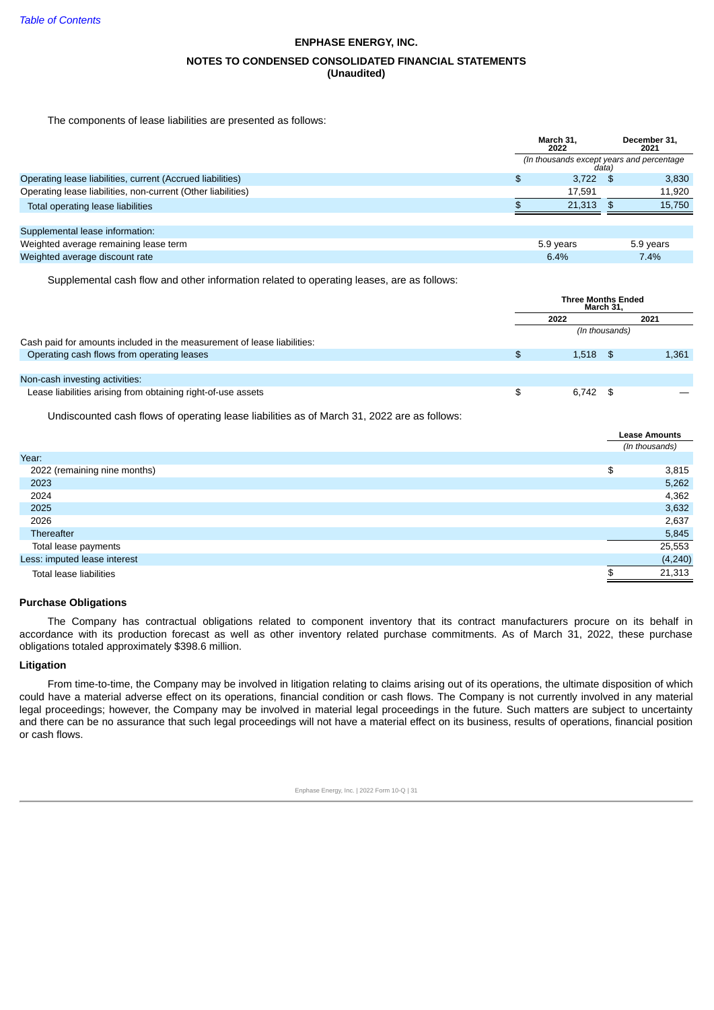# **NOTES TO CONDENSED CONSOLIDATED FINANCIAL STATEMENTS (Unaudited)**

The components of lease liabilities are presented as follows:

|                                                              | March 31.<br>2022                          |       | December 31,<br>2021 |
|--------------------------------------------------------------|--------------------------------------------|-------|----------------------|
|                                                              | (In thousands except years and percentage) | data) |                      |
| Operating lease liabilities, current (Accrued liabilities)   | \$<br>$3,722$ \$                           |       | 3,830                |
| Operating lease liabilities, non-current (Other liabilities) | 17.591                                     |       | 11,920               |
| Total operating lease liabilities                            | 21.313                                     | - SS  | 15.750               |
|                                                              |                                            |       |                      |
| Supplemental lease information:                              |                                            |       |                      |
| Weighted average remaining lease term                        | 5.9 years                                  |       | 5.9 years            |
| Weighted average discount rate                               | 6.4%                                       |       | 7.4%                 |

Supplemental cash flow and other information related to operating leases, are as follows:

|                                                                         | <b>Three Months Ended</b><br>March 31. |            |                |       |
|-------------------------------------------------------------------------|----------------------------------------|------------|----------------|-------|
|                                                                         |                                        | 2022       |                | 2021  |
|                                                                         |                                        |            | (In thousands) |       |
| Cash paid for amounts included in the measurement of lease liabilities: |                                        |            |                |       |
| Operating cash flows from operating leases                              | \$                                     | $1.518$ \$ |                | 1,361 |
|                                                                         |                                        |            |                |       |
| Non-cash investing activities:                                          |                                        |            |                |       |
| Lease liabilities arising from obtaining right-of-use assets            | \$                                     | $6.742$ \$ |                |       |

Undiscounted cash flows of operating lease liabilities as of March 31, 2022 are as follows:

|                                | <b>Lease Amounts</b> |
|--------------------------------|----------------------|
|                                | (In thousands)       |
| Year:                          |                      |
| 2022 (remaining nine months)   | \$<br>3,815          |
| 2023                           | 5,262                |
| 2024                           | 4,362                |
| 2025                           | 3,632                |
| 2026                           | 2,637                |
| Thereafter                     | 5,845                |
| Total lease payments           | 25,553               |
| Less: imputed lease interest   | (4, 240)             |
| <b>Total lease liabilities</b> | 21,313               |
|                                |                      |

# **Purchase Obligations**

The Company has contractual obligations related to component inventory that its contract manufacturers procure on its behalf in accordance with its production forecast as well as other inventory related purchase commitments. As of March 31, 2022, these purchase obligations totaled approximately \$398.6 million.

# **Litigation**

From time-to-time, the Company may be involved in litigation relating to claims arising out of its operations, the ultimate disposition of which could have a material adverse effect on its operations, financial condition or cash flows. The Company is not currently involved in any material legal proceedings; however, the Company may be involved in material legal proceedings in the future. Such matters are subject to uncertainty and there can be no assurance that such legal proceedings will not have a material effect on its business, results of operations, financial position or cash flows.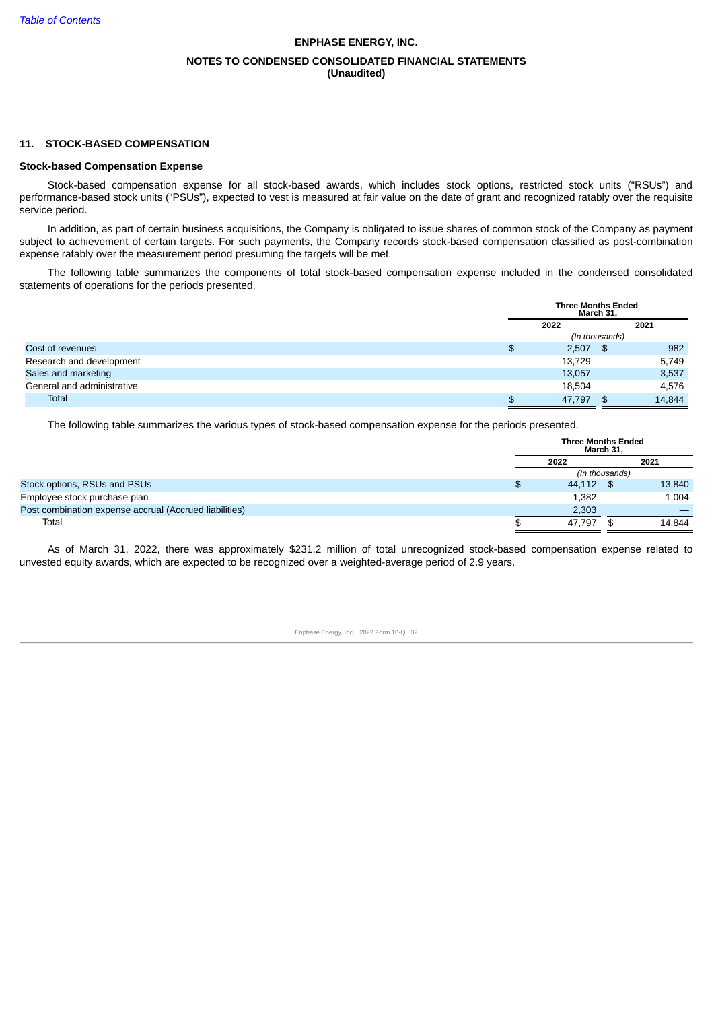# **NOTES TO CONDENSED CONSOLIDATED FINANCIAL STATEMENTS (Unaudited)**

#### **11. STOCK-BASED COMPENSATION**

### **Stock-based Compensation Expense**

Stock-based compensation expense for all stock-based awards, which includes stock options, restricted stock units ("RSUs") and performance-based stock units ("PSUs"), expected to vest is measured at fair value on the date of grant and recognized ratably over the requisite service period.

In addition, as part of certain business acquisitions, the Company is obligated to issue shares of common stock of the Company as payment subject to achievement of certain targets. For such payments, the Company records stock-based compensation classified as post-combination expense ratably over the measurement period presuming the targets will be met.

The following table summarizes the components of total stock-based compensation expense included in the condensed consolidated statements of operations for the periods presented.

|                            |     | <b>Three Months Ended</b> | March 31,      |        |
|----------------------------|-----|---------------------------|----------------|--------|
|                            |     | 2021<br>2022              |                |        |
|                            |     |                           | (In thousands) |        |
| Cost of revenues           | \$  | 2,507                     | \$.            | 982    |
| Research and development   |     | 13,729                    |                | 5,749  |
| Sales and marketing        |     | 13,057                    |                | 3,537  |
| General and administrative |     | 18,504                    |                | 4,576  |
| Total                      | -JD | 47.797                    |                | 14,844 |

The following table summarizes the various types of stock-based compensation expense for the periods presented.

|                                                        | <b>Three Months Ended</b> | March 31,      |        |  |
|--------------------------------------------------------|---------------------------|----------------|--------|--|
|                                                        | 2021<br>2022              |                |        |  |
|                                                        |                           | (In thousands) |        |  |
| Stock options, RSUs and PSUs                           | 44.112                    | - \$           | 13,840 |  |
| Employee stock purchase plan                           | 1,382                     |                | 1,004  |  |
| Post combination expense accrual (Accrued liabilities) | 2,303                     |                |        |  |
| Total                                                  | 47.797                    |                | 14.844 |  |

As of March 31, 2022, there was approximately \$231.2 million of total unrecognized stock-based compensation expense related to unvested equity awards, which are expected to be recognized over a weighted-average period of 2.9 years.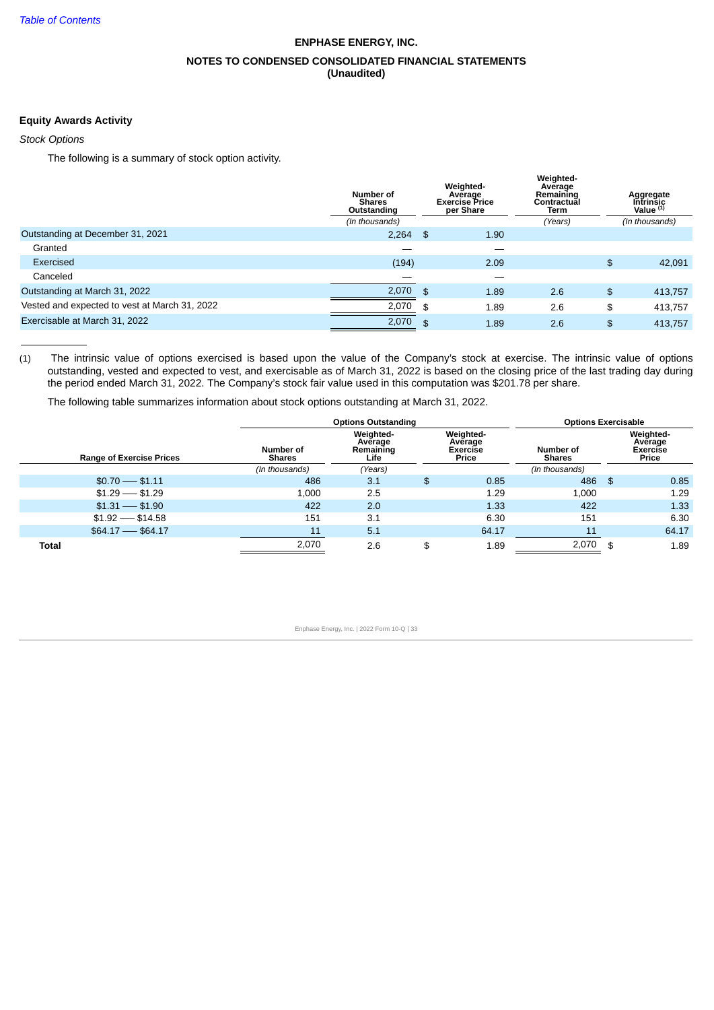# **NOTES TO CONDENSED CONSOLIDATED FINANCIAL STATEMENTS (Unaudited)**

# **Equity Awards Activity**

# *Stock Options*

The following is a summary of stock option activity.

|                                               | Number of<br>Shares<br>Outstanding | Weighted-<br>Average<br><b>Exercise Price</b><br>per Share | Weighted-<br>Average<br>Remaining<br>Contractual<br>Term | Aggregate<br><b>Intrinsic</b><br>Value $(1)$ |
|-----------------------------------------------|------------------------------------|------------------------------------------------------------|----------------------------------------------------------|----------------------------------------------|
|                                               | (In thousands)                     |                                                            | (Years)                                                  | (In thousands)                               |
| Outstanding at December 31, 2021              | 2,264                              | \$<br>1.90                                                 |                                                          |                                              |
| Granted                                       |                                    |                                                            |                                                          |                                              |
| Exercised                                     | (194)                              | 2.09                                                       |                                                          | \$<br>42,091                                 |
| Canceled                                      |                                    |                                                            |                                                          |                                              |
| Outstanding at March 31, 2022                 | 2,070                              | \$<br>1.89                                                 | 2.6                                                      | \$<br>413,757                                |
| Vested and expected to vest at March 31, 2022 | 2,070                              | \$<br>1.89                                                 | 2.6                                                      | \$<br>413,757                                |
| Exercisable at March 31, 2022                 | 2,070                              | \$<br>1.89                                                 | 2.6                                                      | \$<br>413,757                                |

(1) The intrinsic value of options exercised is based upon the value of the Company's stock at exercise. The intrinsic value of options outstanding, vested and expected to vest, and exercisable as of March 31, 2022 is based on the closing price of the last trading day during the period ended March 31, 2022. The Company's stock fair value used in this computation was \$201.78 per share.

The following table summarizes information about stock options outstanding at March 31, 2022.

|       |                                 |                            | <b>Options Outstanding</b>                |                                                  | <b>Options Exercisable</b> |     |                                                  |  |
|-------|---------------------------------|----------------------------|-------------------------------------------|--------------------------------------------------|----------------------------|-----|--------------------------------------------------|--|
|       | <b>Range of Exercise Prices</b> | Number of<br><b>Shares</b> | Weighted-<br>Average<br>Remaining<br>Life | Weighted-<br>Average<br><b>Exercise</b><br>Price | Number of<br><b>Shares</b> |     | Weighted-<br>Average<br><b>Exercise</b><br>Price |  |
|       |                                 | (In thousands)             | (Years)                                   |                                                  | (In thousands)             |     |                                                  |  |
|       | $$0.70 \longrightarrow $1.11$   | 486                        | 3.1                                       | \$<br>0.85                                       | 486                        | -\$ | 0.85                                             |  |
|       | $$1.29 \rightarrow $1.29$       | 1.000                      | 2.5                                       | 1.29                                             | 1.000                      |     | 1.29                                             |  |
|       | $$1.31 - $1.90$                 | 422                        | 2.0                                       | 1.33                                             | 422                        |     | 1.33                                             |  |
|       | $$1.92$ -814.58                 | 151                        | 3.1                                       | 6.30                                             | 151                        |     | 6.30                                             |  |
|       | $$64.17 \rightarrow $64.17$     | 11                         | 5.1                                       | 64.17                                            | 11                         |     | 64.17                                            |  |
| Total |                                 | 2,070                      | 2.6                                       | \$<br>1.89                                       | 2,070                      | \$  | 1.89                                             |  |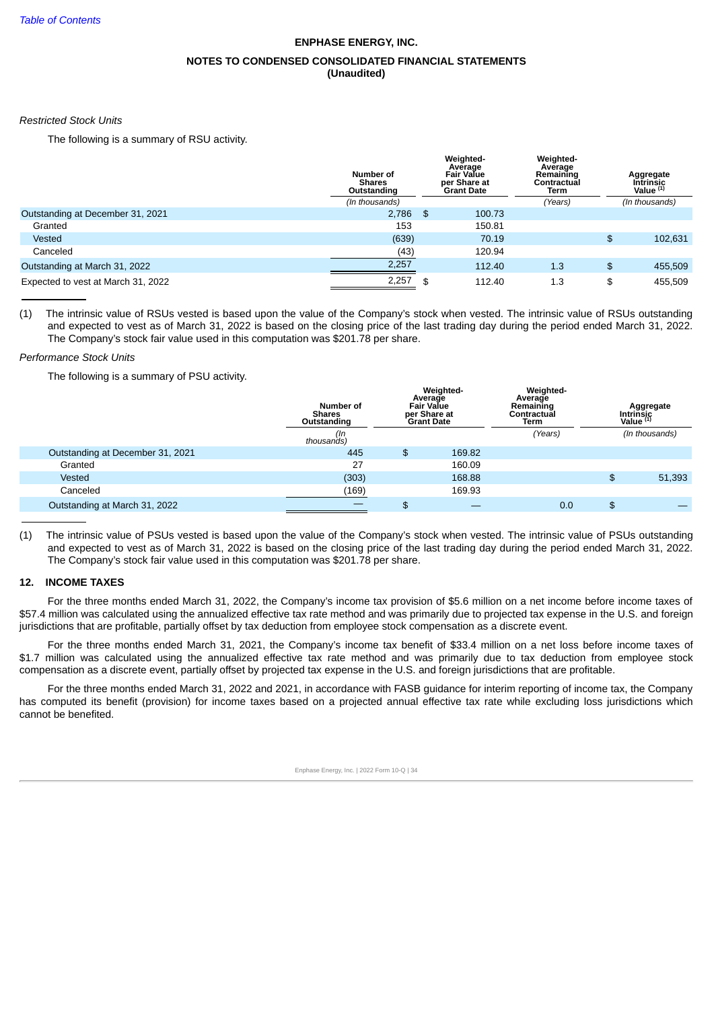# **NOTES TO CONDENSED CONSOLIDATED FINANCIAL STATEMENTS (Unaudited)**

### *Restricted Stock Units*

The following is a summary of RSU activity.

|                                    | Number of<br><b>Shares</b><br>Outstanding | Weighted-<br>Average<br><b>Fair Value</b><br>per Share at<br><b>Grant Date</b> | Weighted-<br>Average<br>Remaining<br>Contractual<br>Term | Aggregate<br>Intrinsic<br>Value <sup>(1)</sup> |
|------------------------------------|-------------------------------------------|--------------------------------------------------------------------------------|----------------------------------------------------------|------------------------------------------------|
|                                    | (In thousands)                            |                                                                                | (Years)                                                  | (In thousands)                                 |
| Outstanding at December 31, 2021   | 2,786                                     | \$<br>100.73                                                                   |                                                          |                                                |
| Granted                            | 153                                       | 150.81                                                                         |                                                          |                                                |
| Vested                             | (639)                                     | 70.19                                                                          |                                                          | \$<br>102,631                                  |
| Canceled                           | (43)                                      | 120.94                                                                         |                                                          |                                                |
| Outstanding at March 31, 2022      | 2,257                                     | 112.40                                                                         | 1.3                                                      | \$<br>455,509                                  |
| Expected to vest at March 31, 2022 | 2,257                                     | \$<br>112.40                                                                   | 1.3                                                      | \$<br>455,509                                  |

(1) The intrinsic value of RSUs vested is based upon the value of the Company's stock when vested. The intrinsic value of RSUs outstanding and expected to vest as of March 31, 2022 is based on the closing price of the last trading day during the period ended March 31, 2022. The Company's stock fair value used in this computation was \$201.78 per share.

### *Performance Stock Units*

The following is a summary of PSU activity.

|                                  | Number of<br><b>Shares</b><br>Outstanding | <b>Weighted-</b><br>Average<br><b>Fair Value</b><br>per Share at<br><b>Grant Date</b> |        | Weighted-<br>Average<br>Remaining<br>Contractual<br>Term | Aggregate<br>Intrinsic<br>Value $(1)$ |
|----------------------------------|-------------------------------------------|---------------------------------------------------------------------------------------|--------|----------------------------------------------------------|---------------------------------------|
|                                  | (In<br>thousands)                         |                                                                                       |        | (Years)                                                  | (In thousands)                        |
| Outstanding at December 31, 2021 | 445                                       | \$                                                                                    | 169.82 |                                                          |                                       |
| Granted                          | 27                                        |                                                                                       | 160.09 |                                                          |                                       |
| Vested                           | (303)                                     |                                                                                       | 168.88 |                                                          | \$<br>51,393                          |
| Canceled                         | (169)                                     |                                                                                       | 169.93 |                                                          |                                       |
| Outstanding at March 31, 2022    |                                           | \$                                                                                    |        | 0.0                                                      | \$                                    |
|                                  |                                           |                                                                                       |        |                                                          |                                       |

(1) The intrinsic value of PSUs vested is based upon the value of the Company's stock when vested. The intrinsic value of PSUs outstanding and expected to vest as of March 31, 2022 is based on the closing price of the last trading day during the period ended March 31, 2022. The Company's stock fair value used in this computation was \$201.78 per share.

# **12. INCOME TAXES**

For the three months ended March 31, 2022, the Company's income tax provision of \$5.6 million on a net income before income taxes of \$57.4 million was calculated using the annualized effective tax rate method and was primarily due to projected tax expense in the U.S. and foreign jurisdictions that are profitable, partially offset by tax deduction from employee stock compensation as a discrete event.

For the three months ended March 31, 2021, the Company's income tax benefit of \$33.4 million on a net loss before income taxes of \$1.7 million was calculated using the annualized effective tax rate method and was primarily due to tax deduction from employee stock compensation as a discrete event, partially offset by projected tax expense in the U.S. and foreign jurisdictions that are profitable.

For the three months ended March 31, 2022 and 2021, in accordance with FASB guidance for interim reporting of income tax, the Company has computed its benefit (provision) for income taxes based on a projected annual effective tax rate while excluding loss jurisdictions which cannot be benefited.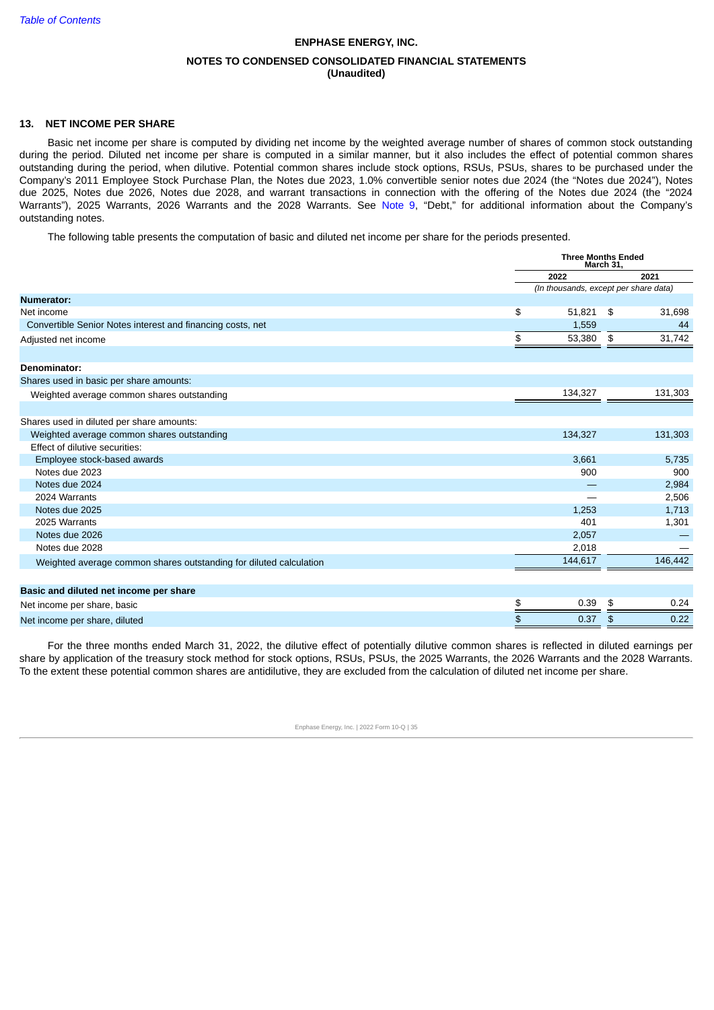# **ENPHASE ENERGY, INC. NOTES TO CONDENSED CONSOLIDATED FINANCIAL STATEMENTS (Unaudited)**

# **13. NET INCOME PER SHARE**

Basic net income per share is computed by dividing net income by the weighted average number of shares of common stock outstanding during the period. Diluted net income per share is computed in a similar manner, but it also includes the effect of potential common shares outstanding during the period, when dilutive. Potential common shares include stock options, RSUs, PSUs, shares to be purchased under the Company's 2011 Employee Stock Purchase Plan, the Notes due 2023, 1.0% convertible senior notes due 2024 (the "Notes due 2024"), Notes due 2025, Notes due 2026, Notes due 2028, and warrant transactions in connection with the offering of the Notes due 2024 (the "2024 Warrants"), 2025 Warrants, 2026 Warrants and the 2028 Warrants. See [Note](#page-19-0) 9, "Debt," for additional information about the Company's outstanding notes.

The following table presents the computation of basic and diluted net income per share for the periods presented.

|                                                                    | <b>Three Months Ended</b><br>March 31, |                |         |
|--------------------------------------------------------------------|----------------------------------------|----------------|---------|
|                                                                    | 2022                                   |                | 2021    |
|                                                                    | (In thousands, except per share data)  |                |         |
| <b>Numerator:</b>                                                  |                                        |                |         |
| Net income                                                         | \$<br>51,821 \$                        |                | 31,698  |
| Convertible Senior Notes interest and financing costs, net         | 1,559                                  |                | 44      |
| Adjusted net income                                                | \$<br>53,380                           | \$             | 31,742  |
|                                                                    |                                        |                |         |
| Denominator:                                                       |                                        |                |         |
| Shares used in basic per share amounts:                            |                                        |                |         |
| Weighted average common shares outstanding                         | 134,327                                |                | 131,303 |
|                                                                    |                                        |                |         |
| Shares used in diluted per share amounts:                          |                                        |                |         |
| Weighted average common shares outstanding                         | 134,327                                |                | 131,303 |
| Effect of dilutive securities:                                     |                                        |                |         |
| Employee stock-based awards                                        | 3,661                                  |                | 5,735   |
| Notes due 2023                                                     | 900                                    |                | 900     |
| Notes due 2024                                                     |                                        |                | 2,984   |
| 2024 Warrants                                                      |                                        |                | 2,506   |
| Notes due 2025                                                     | 1,253                                  |                | 1,713   |
| 2025 Warrants                                                      | 401                                    |                | 1,301   |
| Notes due 2026                                                     | 2,057                                  |                |         |
| Notes due 2028                                                     | 2,018                                  |                |         |
| Weighted average common shares outstanding for diluted calculation | 144,617                                |                | 146,442 |
|                                                                    |                                        |                |         |
| Basic and diluted net income per share                             |                                        |                |         |
| Net income per share, basic                                        | \$<br>0.39                             | \$             | 0.24    |
| Net income per share, diluted                                      | \$<br>0.37                             | $\mathfrak{L}$ | 0.22    |

For the three months ended March 31, 2022, the dilutive effect of potentially dilutive common shares is reflected in diluted earnings per share by application of the treasury stock method for stock options, RSUs, PSUs, the 2025 Warrants, the 2026 Warrants and the 2028 Warrants. To the extent these potential common shares are antidilutive, they are excluded from the calculation of diluted net income per share.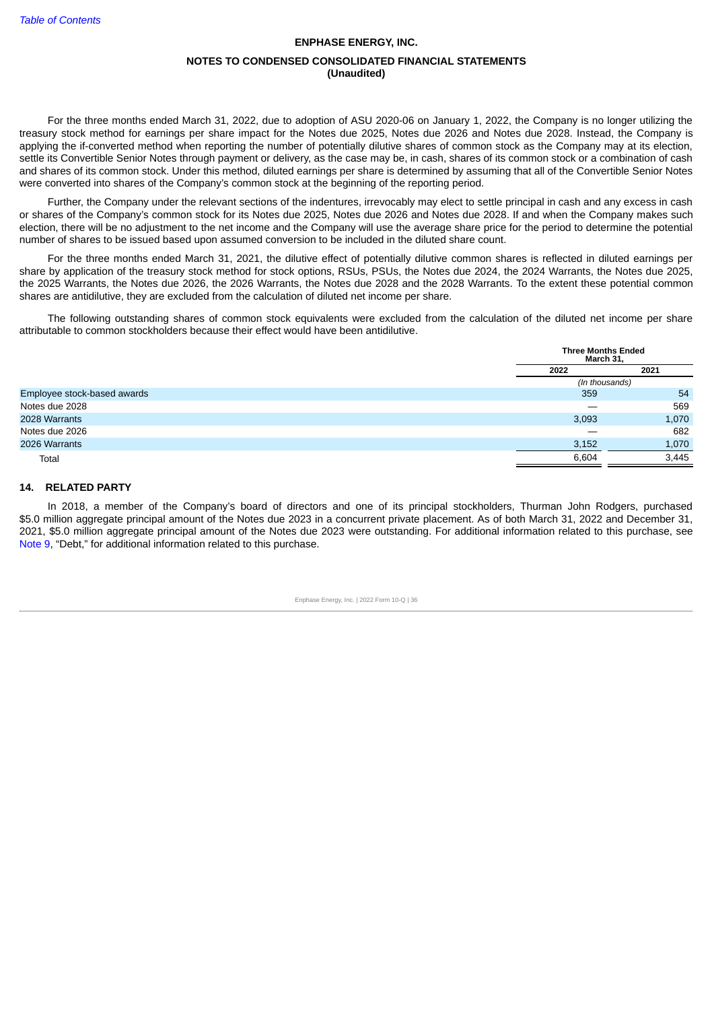# **NOTES TO CONDENSED CONSOLIDATED FINANCIAL STATEMENTS (Unaudited)**

For the three months ended March 31, 2022, due to adoption of ASU 2020-06 on January 1, 2022, the Company is no longer utilizing the treasury stock method for earnings per share impact for the Notes due 2025, Notes due 2026 and Notes due 2028. Instead, the Company is applying the if-converted method when reporting the number of potentially dilutive shares of common stock as the Company may at its election, settle its Convertible Senior Notes through payment or delivery, as the case may be, in cash, shares of its common stock or a combination of cash and shares of its common stock. Under this method, diluted earnings per share is determined by assuming that all of the Convertible Senior Notes were converted into shares of the Company's common stock at the beginning of the reporting period.

Further, the Company under the relevant sections of the indentures, irrevocably may elect to settle principal in cash and any excess in cash or shares of the Company's common stock for its Notes due 2025, Notes due 2026 and Notes due 2028. If and when the Company makes such election, there will be no adjustment to the net income and the Company will use the average share price for the period to determine the potential number of shares to be issued based upon assumed conversion to be included in the diluted share count.

For the three months ended March 31, 2021, the dilutive effect of potentially dilutive common shares is reflected in diluted earnings per share by application of the treasury stock method for stock options, RSUs, PSUs, the Notes due 2024, the 2024 Warrants, the Notes due 2025, the 2025 Warrants, the Notes due 2026, the 2026 Warrants, the Notes due 2028 and the 2028 Warrants. To the extent these potential common shares are antidilutive, they are excluded from the calculation of diluted net income per share.

The following outstanding shares of common stock equivalents were excluded from the calculation of the diluted net income per share attributable to common stockholders because their effect would have been antidilutive.

|                             |       | <b>Three Months Ended</b><br>March 31, |
|-----------------------------|-------|----------------------------------------|
|                             | 2022  | 2021                                   |
|                             |       | (In thousands)                         |
| Employee stock-based awards | 359   | 54                                     |
| Notes due 2028              |       | 569                                    |
| 2028 Warrants               | 3,093 | 1,070                                  |
| Notes due 2026              |       | 682                                    |
| 2026 Warrants               | 3,152 | 1,070                                  |
| Total                       | 6,604 | 3,445                                  |
|                             |       |                                        |

#### **14. RELATED PARTY**

<span id="page-35-0"></span>In 2018, a member of the Company's board of directors and one of its principal stockholders, Thurman John Rodgers, purchased \$5.0 million aggregate principal amount of the Notes due 2023 in a concurrent private placement. As of both March 31, 2022 and December 31, 2021, \$5.0 million aggregate principal amount of the Notes due 2023 were outstanding. For additional information related to this purchase, see [Note](#page-19-0) 9, "Debt," for additional information related to this purchase.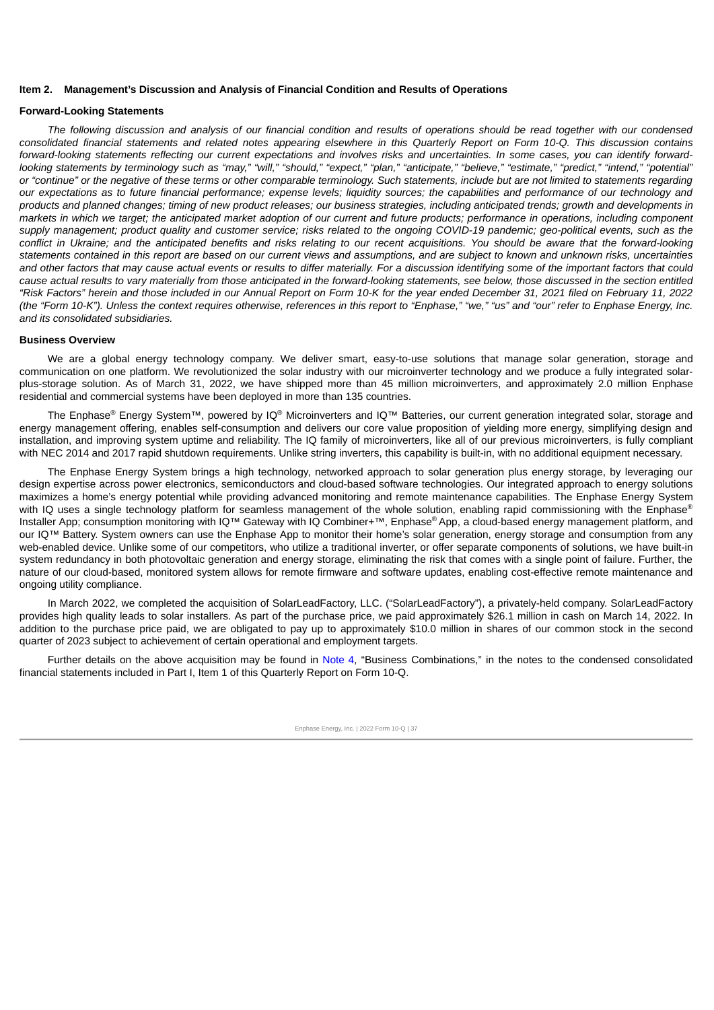### **Item 2. Management's Discussion and Analysis of Financial Condition and Results of Operations**

#### **Forward-Looking Statements**

The following discussion and analysis of our financial condition and results of operations should be read together with our condensed consolidated financial statements and related notes appearing elsewhere in this Quarterly Report on Form 10-Q. This discussion contains forward-looking statements reflecting our current expectations and involves risks and uncertainties. In some cases, you can identify forwardlooking statements by terminology such as "may," "will," "should," "expect," "plan," "anticipate," "believe," "estimate," "predict," "intend," "potential" or "continue" or the negative of these terms or other comparable terminology. Such statements, include but are not limited to statements regarding our expectations as to future financial performance; expense levels; liquidity sources; the capabilities and performance of our technology and products and planned changes; timing of new product releases; our business strategies, including anticipated trends; growth and developments in markets in which we target; the anticipated market adoption of our current and future products; performance in operations, including component supply management; product quality and customer service; risks related to the ongoing COVID-19 pandemic; geo-political events, such as the conflict in Ukraine; and the anticipated benefits and risks relating to our recent acquisitions. You should be aware that the forward-looking statements contained in this report are based on our current views and assumptions, and are subject to known and unknown risks, uncertainties and other factors that may cause actual events or results to differ materially. For a discussion identifying some of the important factors that could cause actual results to vary materially from those anticipated in the forward-looking statements, see below, those discussed in the section entitled "Risk Factors" herein and those included in our Annual Report on Form 10-K for the year ended December 31, 2021 filed on February 11, 2022 (the "Form 10-K"). Unless the context requires otherwise, references in this report to "Enphase," "we," "us" and "our" refer to Enphase Energy, Inc. *and its consolidated subsidiaries.*

#### **Business Overview**

We are a global energy technology company. We deliver smart, easy-to-use solutions that manage solar generation, storage and communication on one platform. We revolutionized the solar industry with our microinverter technology and we produce a fully integrated solarplus-storage solution. As of March 31, 2022, we have shipped more than 45 million microinverters, and approximately 2.0 million Enphase residential and commercial systems have been deployed in more than 135 countries.

The Enphase® Energy System™, powered by IQ® Microinverters and IQ™ Batteries, our current generation integrated solar, storage and energy management offering, enables self-consumption and delivers our core value proposition of yielding more energy, simplifying design and installation, and improving system uptime and reliability. The IQ family of microinverters, like all of our previous microinverters, is fully compliant with NEC 2014 and 2017 rapid shutdown requirements. Unlike string inverters, this capability is built-in, with no additional equipment necessary.

The Enphase Energy System brings a high technology, networked approach to solar generation plus energy storage, by leveraging our design expertise across power electronics, semiconductors and cloud-based software technologies. Our integrated approach to energy solutions maximizes a home's energy potential while providing advanced monitoring and remote maintenance capabilities. The Enphase Energy System with IQ uses a single technology platform for seamless management of the whole solution, enabling rapid commissioning with the Enphase® Installer App; consumption monitoring with IQ™ Gateway with IQ Combiner+™, Enphase® App, a cloud-based energy management platform, and our IQ™ Battery. System owners can use the Enphase App to monitor their home's solar generation, energy storage and consumption from any web-enabled device. Unlike some of our competitors, who utilize a traditional inverter, or offer separate components of solutions, we have built-in system redundancy in both photovoltaic generation and energy storage, eliminating the risk that comes with a single point of failure. Further, the nature of our cloud-based, monitored system allows for remote firmware and software updates, enabling cost-effective remote maintenance and ongoing utility compliance.

In March 2022, we completed the acquisition of SolarLeadFactory, LLC. ("SolarLeadFactory"), a privately-held company. SolarLeadFactory provides high quality leads to solar installers. As part of the purchase price, we paid approximately \$26.1 million in cash on March 14, 2022. In addition to the purchase price paid, we are obligated to pay up to approximately \$10.0 million in shares of our common stock in the second quarter of 2023 subject to achievement of certain operational and employment targets.

Further details on the above acquisition may be found in [Note](#page-11-0) 4, "Business Combinations," in the notes to the condensed consolidated financial statements included in Part I, Item 1 of this Quarterly Report on Form 10-Q.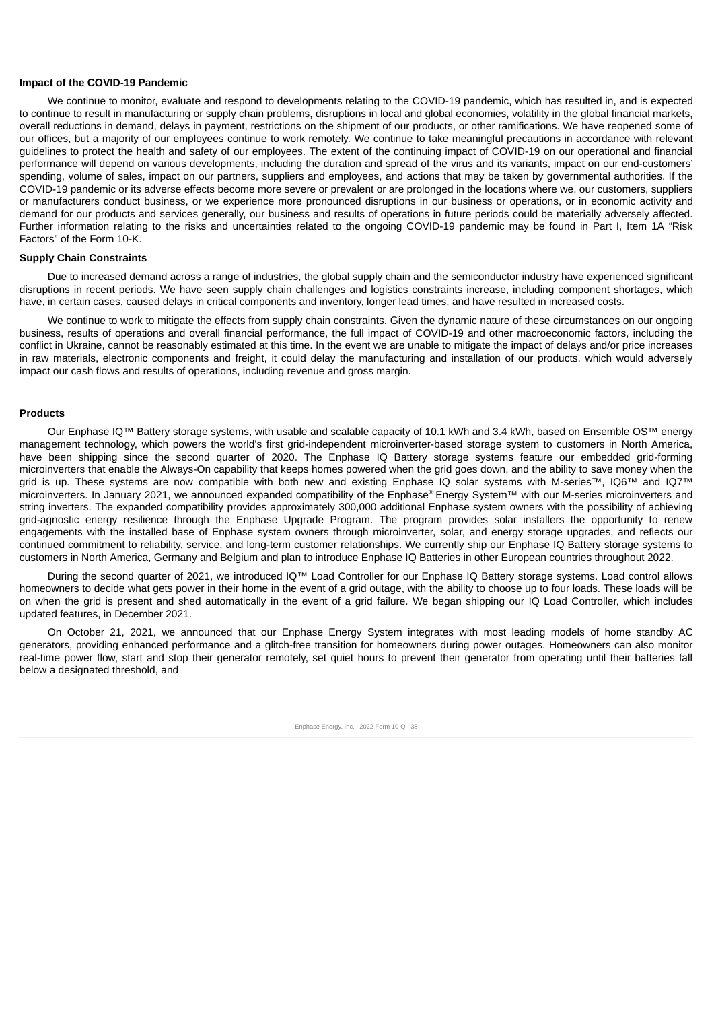#### **Impact of the COVID-19 Pandemic**

We continue to monitor, evaluate and respond to developments relating to the COVID-19 pandemic, which has resulted in, and is expected to continue to result in manufacturing or supply chain problems, disruptions in local and global economies, volatility in the global financial markets, overall reductions in demand, delays in payment, restrictions on the shipment of our products, or other ramifications. We have reopened some of our offices, but a majority of our employees continue to work remotely. We continue to take meaningful precautions in accordance with relevant guidelines to protect the health and safety of our employees. The extent of the continuing impact of COVID-19 on our operational and financial performance will depend on various developments, including the duration and spread of the virus and its variants, impact on our end-customers' spending, volume of sales, impact on our partners, suppliers and employees, and actions that may be taken by governmental authorities. If the COVID-19 pandemic or its adverse effects become more severe or prevalent or are prolonged in the locations where we, our customers, suppliers or manufacturers conduct business, or we experience more pronounced disruptions in our business or operations, or in economic activity and demand for our products and services generally, our business and results of operations in future periods could be materially adversely affected. Further information relating to the risks and uncertainties related to the ongoing COVID-19 pandemic may be found in Part I, Item 1A "Risk Factors" of the Form 10-K.

#### **Supply Chain Constraints**

Due to increased demand across a range of industries, the global supply chain and the semiconductor industry have experienced significant disruptions in recent periods. We have seen supply chain challenges and logistics constraints increase, including component shortages, which have, in certain cases, caused delays in critical components and inventory, longer lead times, and have resulted in increased costs.

We continue to work to mitigate the effects from supply chain constraints. Given the dynamic nature of these circumstances on our ongoing business, results of operations and overall financial performance, the full impact of COVID-19 and other macroeconomic factors, including the conflict in Ukraine, cannot be reasonably estimated at this time. In the event we are unable to mitigate the impact of delays and/or price increases in raw materials, electronic components and freight, it could delay the manufacturing and installation of our products, which would adversely impact our cash flows and results of operations, including revenue and gross margin.

### **Products**

Our Enphase IQ™ Battery storage systems, with usable and scalable capacity of 10.1 kWh and 3.4 kWh, based on Ensemble OS™ energy management technology, which powers the world's first grid-independent microinverter-based storage system to customers in North America, have been shipping since the second quarter of 2020. The Enphase IQ Battery storage systems feature our embedded grid-forming microinverters that enable the Always-On capability that keeps homes powered when the grid goes down, and the ability to save money when the grid is up. These systems are now compatible with both new and existing Enphase IO solar systems with M-series™, IO6™ and IO7™ microinverters. In January 2021, we announced expanded compatibility of the Enphase® Energy System™ with our M-series microinverters and string inverters. The expanded compatibility provides approximately 300,000 additional Enphase system owners with the possibility of achieving grid-agnostic energy resilience through the Enphase Upgrade Program. The program provides solar installers the opportunity to renew engagements with the installed base of Enphase system owners through microinverter, solar, and energy storage upgrades, and reflects our continued commitment to reliability, service, and long-term customer relationships. We currently ship our Enphase IQ Battery storage systems to customers in North America, Germany and Belgium and plan to introduce Enphase IQ Batteries in other European countries throughout 2022.

During the second quarter of 2021, we introduced IQ™ Load Controller for our Enphase IQ Battery storage systems. Load control allows homeowners to decide what gets power in their home in the event of a grid outage, with the ability to choose up to four loads. These loads will be on when the grid is present and shed automatically in the event of a grid failure. We began shipping our IQ Load Controller, which includes updated features, in December 2021.

On October 21, 2021, we announced that our Enphase Energy System integrates with most leading models of home standby AC generators, providing enhanced performance and a glitch-free transition for homeowners during power outages. Homeowners can also monitor real-time power flow, start and stop their generator remotely, set quiet hours to prevent their generator from operating until their batteries fall below a designated threshold, and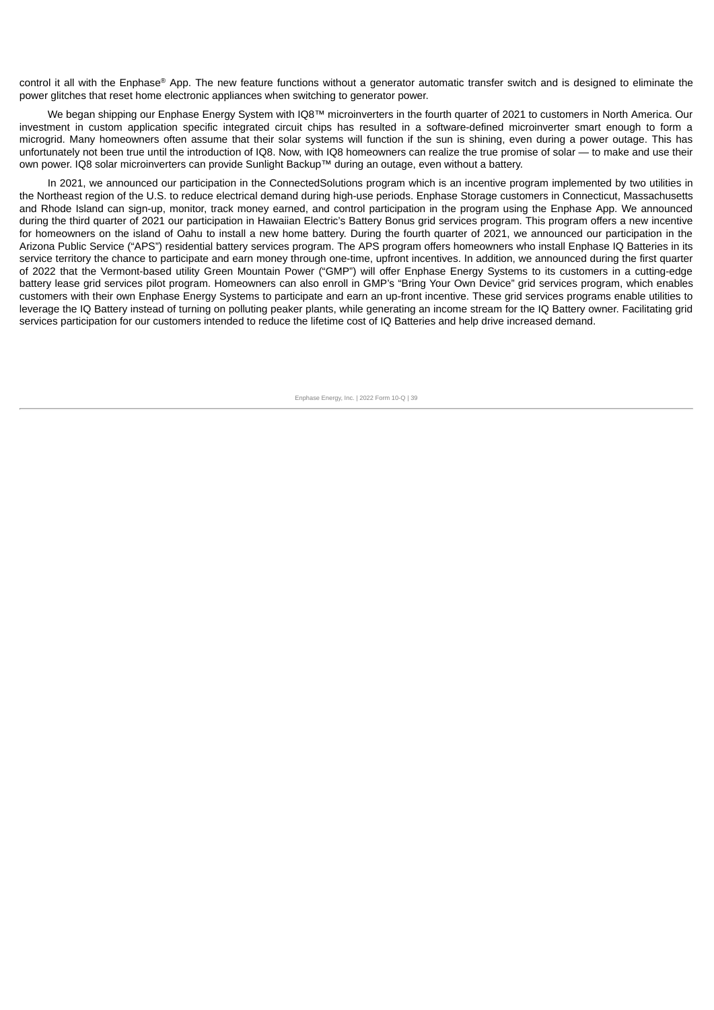control it all with the Enphase® App. The new feature functions without a generator automatic transfer switch and is designed to eliminate the power glitches that reset home electronic appliances when switching to generator power.

We began shipping our Enphase Energy System with IO8™ microinverters in the fourth quarter of 2021 to customers in North America. Our investment in custom application specific integrated circuit chips has resulted in a software-defined microinverter smart enough to form a microgrid. Many homeowners often assume that their solar systems will function if the sun is shining, even during a power outage. This has unfortunately not been true until the introduction of IQ8. Now, with IQ8 homeowners can realize the true promise of solar — to make and use their own power. IQ8 solar microinverters can provide Sunlight Backup™ during an outage, even without a battery.

In 2021, we announced our participation in the ConnectedSolutions program which is an incentive program implemented by two utilities in the Northeast region of the U.S. to reduce electrical demand during high-use periods. Enphase Storage customers in Connecticut, Massachusetts and Rhode Island can sign-up, monitor, track money earned, and control participation in the program using the Enphase App. We announced during the third quarter of 2021 our participation in Hawaiian Electric's Battery Bonus grid services program. This program offers a new incentive for homeowners on the island of Oahu to install a new home battery. During the fourth quarter of 2021, we announced our participation in the Arizona Public Service ("APS") residential battery services program. The APS program offers homeowners who install Enphase IQ Batteries in its service territory the chance to participate and earn money through one-time, upfront incentives. In addition, we announced during the first quarter of 2022 that the Vermont-based utility Green Mountain Power ("GMP") will offer Enphase Energy Systems to its customers in a cutting-edge battery lease grid services pilot program. Homeowners can also enroll in GMP's "Bring Your Own Device" grid services program, which enables customers with their own Enphase Energy Systems to participate and earn an up-front incentive. These grid services programs enable utilities to leverage the IQ Battery instead of turning on polluting peaker plants, while generating an income stream for the IQ Battery owner. Facilitating grid services participation for our customers intended to reduce the lifetime cost of IQ Batteries and help drive increased demand.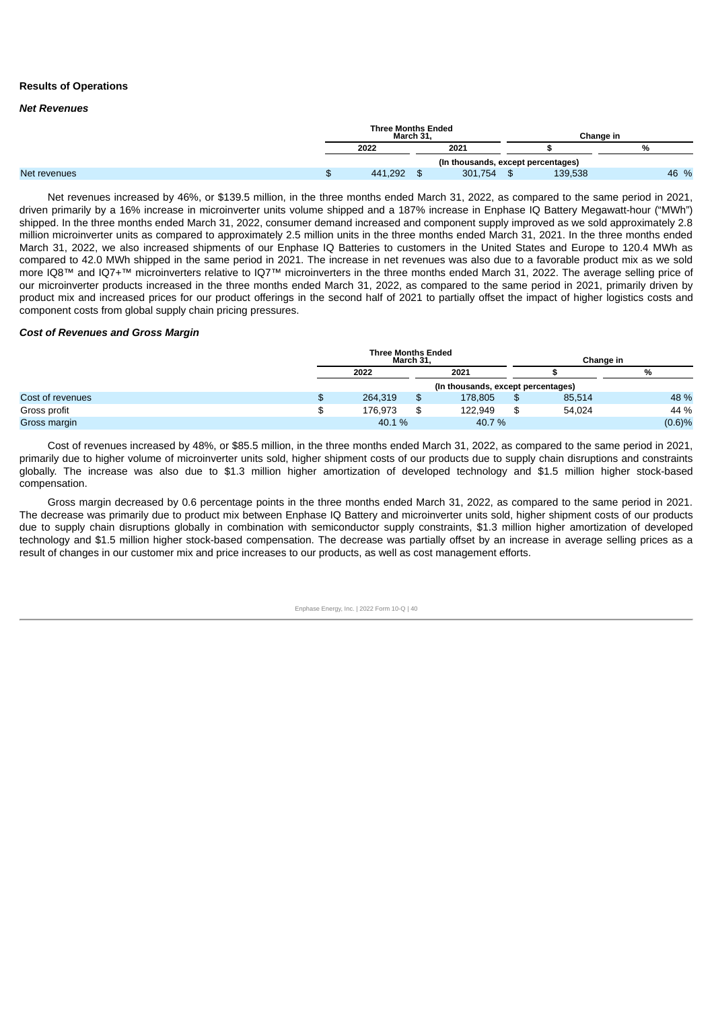# **Results of Operations**

# *Net Revenues*

|              | <b>Three Months Ended</b>          | March 31. |         |          | Change in |  |      |
|--------------|------------------------------------|-----------|---------|----------|-----------|--|------|
|              | 2022                               |           | 2021    |          | %         |  |      |
|              | (In thousands, except percentages) |           |         |          |           |  |      |
| Net revenues | 441,292                            |           | 301,754 | ᠊ᡮ<br>۰D | 139,538   |  | 46 % |

Net revenues increased by 46%, or \$139.5 million, in the three months ended March 31, 2022, as compared to the same period in 2021, driven primarily by a 16% increase in microinverter units volume shipped and a 187% increase in Enphase IQ Battery Megawatt-hour ("MWh") shipped. In the three months ended March 31, 2022, consumer demand increased and component supply improved as we sold approximately 2.8 million microinverter units as compared to approximately 2.5 million units in the three months ended March 31, 2021. In the three months ended March 31, 2022, we also increased shipments of our Enphase IQ Batteries to customers in the United States and Europe to 120.4 MWh as compared to 42.0 MWh shipped in the same period in 2021. The increase in net revenues was also due to a favorable product mix as we sold more IQ8™ and IQ7+™ microinverters relative to IQ7™ microinverters in the three months ended March 31, 2022. The average selling price of our microinverter products increased in the three months ended March 31, 2022, as compared to the same period in 2021, primarily driven by product mix and increased prices for our product offerings in the second half of 2021 to partially offset the impact of higher logistics costs and component costs from global supply chain pricing pressures.

### *Cost of Revenues and Gross Margin*

|                  | <b>Three Months Ended</b><br>March 31. |    |                                    |  |        | Change in |  |  |
|------------------|----------------------------------------|----|------------------------------------|--|--------|-----------|--|--|
|                  | 2022                                   |    | 2021                               |  |        | %         |  |  |
|                  |                                        |    | (In thousands, except percentages) |  |        |           |  |  |
| Cost of revenues | 264.319                                | ٠F | 178,805                            |  | 85,514 | 48 %      |  |  |
| Gross profit     | 176.973                                | \$ | 122.949                            |  | 54.024 | 44 %      |  |  |
| Gross margin     | 40.1%                                  |    | 40.7%                              |  |        | (0.6)%    |  |  |

Cost of revenues increased by 48%, or \$85.5 million, in the three months ended March 31, 2022, as compared to the same period in 2021, primarily due to higher volume of microinverter units sold, higher shipment costs of our products due to supply chain disruptions and constraints globally. The increase was also due to \$1.3 million higher amortization of developed technology and \$1.5 million higher stock-based compensation.

Gross margin decreased by 0.6 percentage points in the three months ended March 31, 2022, as compared to the same period in 2021. The decrease was primarily due to product mix between Enphase IQ Battery and microinverter units sold, higher shipment costs of our products due to supply chain disruptions globally in combination with semiconductor supply constraints, \$1.3 million higher amortization of developed technology and \$1.5 million higher stock-based compensation. The decrease was partially offset by an increase in average selling prices as a result of changes in our customer mix and price increases to our products, as well as cost management efforts.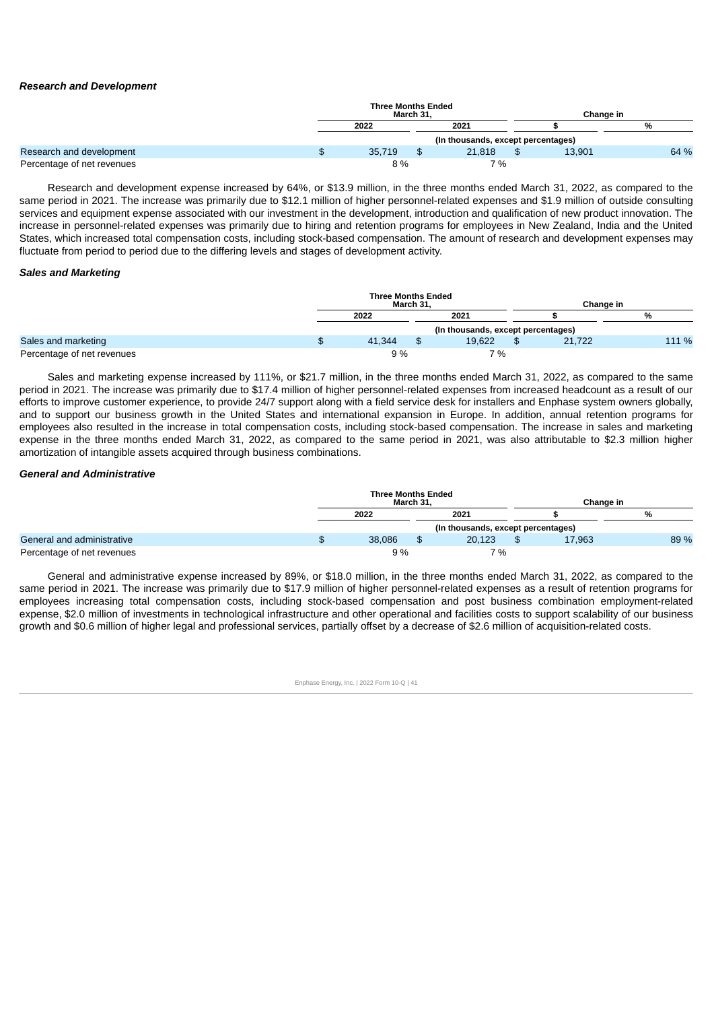#### *Research and Development*

|                            | <b>Three Months Ended</b><br>March 31. |  |                                    | Change in |      |  |
|----------------------------|----------------------------------------|--|------------------------------------|-----------|------|--|
|                            | 2022                                   |  | 2021                               |           | %    |  |
|                            |                                        |  | (In thousands, except percentages) |           |      |  |
| Research and development   | 35.719                                 |  | 21.818                             | 13,901    | 64 % |  |
| Percentage of net revenues | 8 %                                    |  | 7 %                                |           |      |  |

Research and development expense increased by 64%, or \$13.9 million, in the three months ended March 31, 2022, as compared to the same period in 2021. The increase was primarily due to \$12.1 million of higher personnel-related expenses and \$1.9 million of outside consulting services and equipment expense associated with our investment in the development, introduction and qualification of new product innovation. The increase in personnel-related expenses was primarily due to hiring and retention programs for employees in New Zealand, India and the United States, which increased total compensation costs, including stock-based compensation. The amount of research and development expenses may fluctuate from period to period due to the differing levels and stages of development activity.

### *Sales and Marketing*

|                            | <b>Three Months Ended</b><br>March 31. |  |                                    |  | Change in |       |  |
|----------------------------|----------------------------------------|--|------------------------------------|--|-----------|-------|--|
|                            | 2022                                   |  | 2021                               |  |           | %     |  |
|                            |                                        |  | (In thousands, except percentages) |  |           |       |  |
| Sales and marketing        | 41.344                                 |  | 19.622                             |  | 21.722    | 111 % |  |
| Percentage of net revenues | 9 %                                    |  | 7 %                                |  |           |       |  |

Sales and marketing expense increased by 111%, or \$21.7 million, in the three months ended March 31, 2022, as compared to the same period in 2021. The increase was primarily due to \$17.4 million of higher personnel-related expenses from increased headcount as a result of our efforts to improve customer experience, to provide 24/7 support along with a field service desk for installers and Enphase system owners globally, and to support our business growth in the United States and international expansion in Europe. In addition, annual retention programs for employees also resulted in the increase in total compensation costs, including stock-based compensation. The increase in sales and marketing expense in the three months ended March 31, 2022, as compared to the same period in 2021, was also attributable to \$2.3 million higher amortization of intangible assets acquired through business combinations.

#### *General and Administrative*

|                            | <b>Three Months Ended</b><br>March 31. |        |    | Change in                          |        |      |
|----------------------------|----------------------------------------|--------|----|------------------------------------|--------|------|
|                            |                                        | 2022   |    | 2021                               |        | %    |
|                            |                                        |        |    | (In thousands, except percentages) |        |      |
| General and administrative |                                        | 38.086 | \$ | 20,123                             | 17,963 | 89 % |
| Percentage of net revenues |                                        | 9 %    |    | 7 %                                |        |      |

General and administrative expense increased by 89%, or \$18.0 million, in the three months ended March 31, 2022, as compared to the same period in 2021. The increase was primarily due to \$17.9 million of higher personnel-related expenses as a result of retention programs for employees increasing total compensation costs, including stock-based compensation and post business combination employment-related expense, \$2.0 million of investments in technological infrastructure and other operational and facilities costs to support scalability of our business growth and \$0.6 million of higher legal and professional services, partially offset by a decrease of \$2.6 million of acquisition-related costs.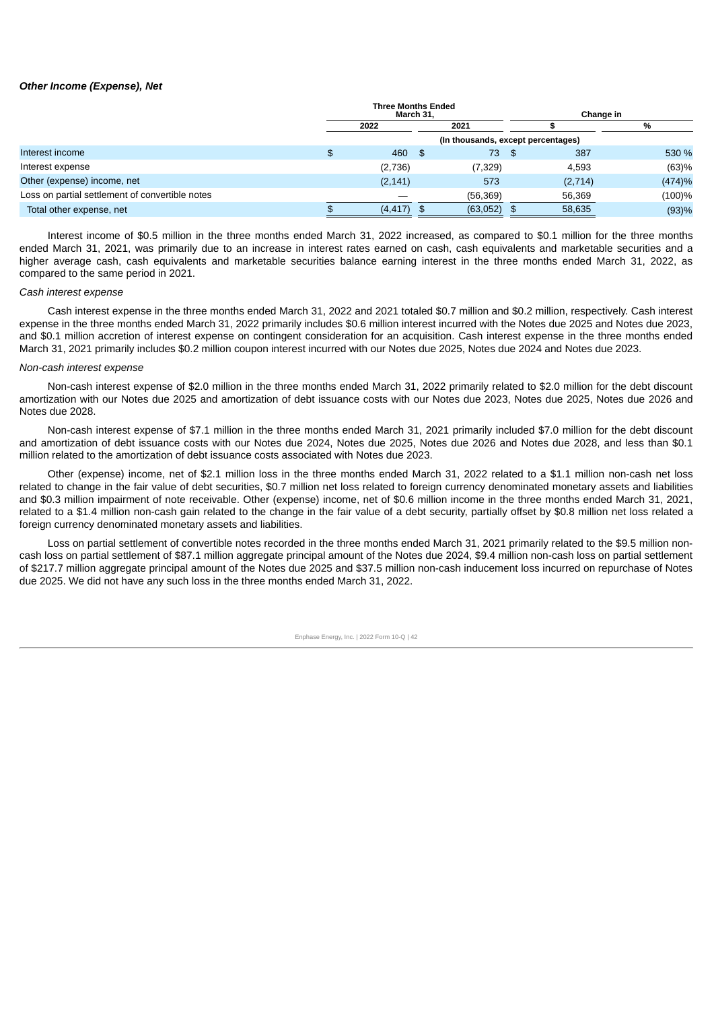# *Other Income (Expense), Net*

|                                                 | <b>Three Months Ended</b><br>March 31, |      |                                    |      |         | Change in |
|-------------------------------------------------|----------------------------------------|------|------------------------------------|------|---------|-----------|
|                                                 | 2022                                   |      | 2021                               |      |         | %         |
|                                                 |                                        |      | (In thousands, except percentages) |      |         |           |
| Interest income                                 | \$<br>460                              | - \$ | 73                                 | - \$ | 387     | 530 %     |
| Interest expense                                | (2,736)                                |      | (7,329)                            |      | 4,593   | (63)%     |
| Other (expense) income, net                     | (2, 141)                               |      | 573                                |      | (2,714) | (474)%    |
| Loss on partial settlement of convertible notes |                                        |      | (56, 369)                          |      | 56,369  | (100)%    |
| Total other expense, net                        | $(4,417)$ \$                           |      | $(63,052)$ \$                      |      | 58,635  | (93)%     |

Interest income of \$0.5 million in the three months ended March 31, 2022 increased, as compared to \$0.1 million for the three months ended March 31, 2021, was primarily due to an increase in interest rates earned on cash, cash equivalents and marketable securities and a higher average cash, cash equivalents and marketable securities balance earning interest in the three months ended March 31, 2022, as compared to the same period in 2021.

#### *Cash interest expense*

Cash interest expense in the three months ended March 31, 2022 and 2021 totaled \$0.7 million and \$0.2 million, respectively. Cash interest expense in the three months ended March 31, 2022 primarily includes \$0.6 million interest incurred with the Notes due 2025 and Notes due 2023, and \$0.1 million accretion of interest expense on contingent consideration for an acquisition. Cash interest expense in the three months ended March 31, 2021 primarily includes \$0.2 million coupon interest incurred with our Notes due 2025, Notes due 2024 and Notes due 2023.

# *Non-cash interest expense*

Non-cash interest expense of \$2.0 million in the three months ended March 31, 2022 primarily related to \$2.0 million for the debt discount amortization with our Notes due 2025 and amortization of debt issuance costs with our Notes due 2023, Notes due 2025, Notes due 2026 and Notes due 2028.

Non-cash interest expense of \$7.1 million in the three months ended March 31, 2021 primarily included \$7.0 million for the debt discount and amortization of debt issuance costs with our Notes due 2024, Notes due 2025, Notes due 2026 and Notes due 2028, and less than \$0.1 million related to the amortization of debt issuance costs associated with Notes due 2023.

Other (expense) income, net of \$2.1 million loss in the three months ended March 31, 2022 related to a \$1.1 million non-cash net loss related to change in the fair value of debt securities, \$0.7 million net loss related to foreign currency denominated monetary assets and liabilities and \$0.3 million impairment of note receivable. Other (expense) income, net of \$0.6 million income in the three months ended March 31, 2021, related to a \$1.4 million non-cash gain related to the change in the fair value of a debt security, partially offset by \$0.8 million net loss related a foreign currency denominated monetary assets and liabilities.

Loss on partial settlement of convertible notes recorded in the three months ended March 31, 2021 primarily related to the \$9.5 million noncash loss on partial settlement of \$87.1 million aggregate principal amount of the Notes due 2024, \$9.4 million non-cash loss on partial settlement of \$217.7 million aggregate principal amount of the Notes due 2025 and \$37.5 million non-cash inducement loss incurred on repurchase of Notes due 2025. We did not have any such loss in the three months ended March 31, 2022.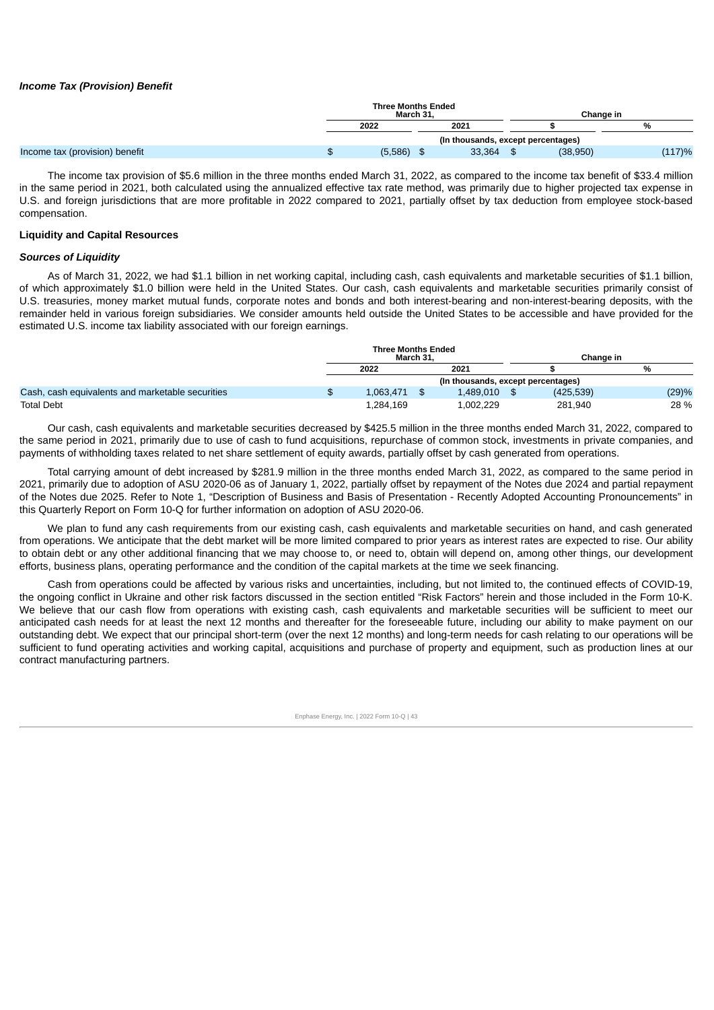### *Income Tax (Provision) Benefit*

|                                | <b>Three Months Ended</b><br>March 31. |         |  | Change in                          |  |          |        |  |
|--------------------------------|----------------------------------------|---------|--|------------------------------------|--|----------|--------|--|
|                                | 2022                                   |         |  | 2021                               |  |          | %      |  |
|                                |                                        |         |  | (In thousands, except percentages) |  |          |        |  |
| Income tax (provision) benefit |                                        | (5,586) |  | 33,364                             |  | (38,950) | (117)% |  |

The income tax provision of \$5.6 million in the three months ended March 31, 2022, as compared to the income tax benefit of \$33.4 million in the same period in 2021, both calculated using the annualized effective tax rate method, was primarily due to higher projected tax expense in U.S. and foreign jurisdictions that are more profitable in 2022 compared to 2021, partially offset by tax deduction from employee stock-based compensation.

# **Liquidity and Capital Resources**

### *Sources of Liquidity*

As of March 31, 2022, we had \$1.1 billion in net working capital, including cash, cash equivalents and marketable securities of \$1.1 billion, of which approximately \$1.0 billion were held in the United States. Our cash, cash equivalents and marketable securities primarily consist of U.S. treasuries, money market mutual funds, corporate notes and bonds and both interest-bearing and non-interest-bearing deposits, with the remainder held in various foreign subsidiaries. We consider amounts held outside the United States to be accessible and have provided for the estimated U.S. income tax liability associated with our foreign earnings.

|                                                  | <b>Three Months Ended</b><br>March 31. |           |                                    | Change in |
|--------------------------------------------------|----------------------------------------|-----------|------------------------------------|-----------|
|                                                  | 2022                                   | 2021      |                                    | %         |
|                                                  |                                        |           | (In thousands, except percentages) |           |
| Cash, cash equivalents and marketable securities | 1.063.471                              | 1,489,010 | (425.539)                          | (29)%     |
| <b>Total Debt</b>                                | 1,284,169                              | 1,002,229 | 281,940                            | 28 %      |

Our cash, cash equivalents and marketable securities decreased by \$425.5 million in the three months ended March 31, 2022, compared to the same period in 2021, primarily due to use of cash to fund acquisitions, repurchase of common stock, investments in private companies, and payments of withholding taxes related to net share settlement of equity awards, partially offset by cash generated from operations.

Total carrying amount of debt increased by \$281.9 million in the three months ended March 31, 2022, as compared to the same period in 2021, primarily due to adoption of ASU 2020-06 as of January 1, 2022, partially offset by repayment of the Notes due 2024 and partial repayment of the Notes due 2025. Refer to Note 1, "Description of Business and Basis of Presentation - Recently Adopted Accounting Pronouncements" in this Quarterly Report on Form 10-Q for further information on adoption of ASU 2020-06.

We plan to fund any cash requirements from our existing cash, cash equivalents and marketable securities on hand, and cash generated from operations. We anticipate that the debt market will be more limited compared to prior years as interest rates are expected to rise. Our ability to obtain debt or any other additional financing that we may choose to, or need to, obtain will depend on, among other things, our development efforts, business plans, operating performance and the condition of the capital markets at the time we seek financing.

Cash from operations could be affected by various risks and uncertainties, including, but not limited to, the continued effects of COVID-19, the ongoing conflict in Ukraine and other risk factors discussed in the section entitled "Risk Factors" herein and those included in the Form 10-K. We believe that our cash flow from operations with existing cash, cash equivalents and marketable securities will be sufficient to meet our anticipated cash needs for at least the next 12 months and thereafter for the foreseeable future, including our ability to make payment on our outstanding debt. We expect that our principal short-term (over the next 12 months) and long-term needs for cash relating to our operations will be sufficient to fund operating activities and working capital, acquisitions and purchase of property and equipment, such as production lines at our contract manufacturing partners.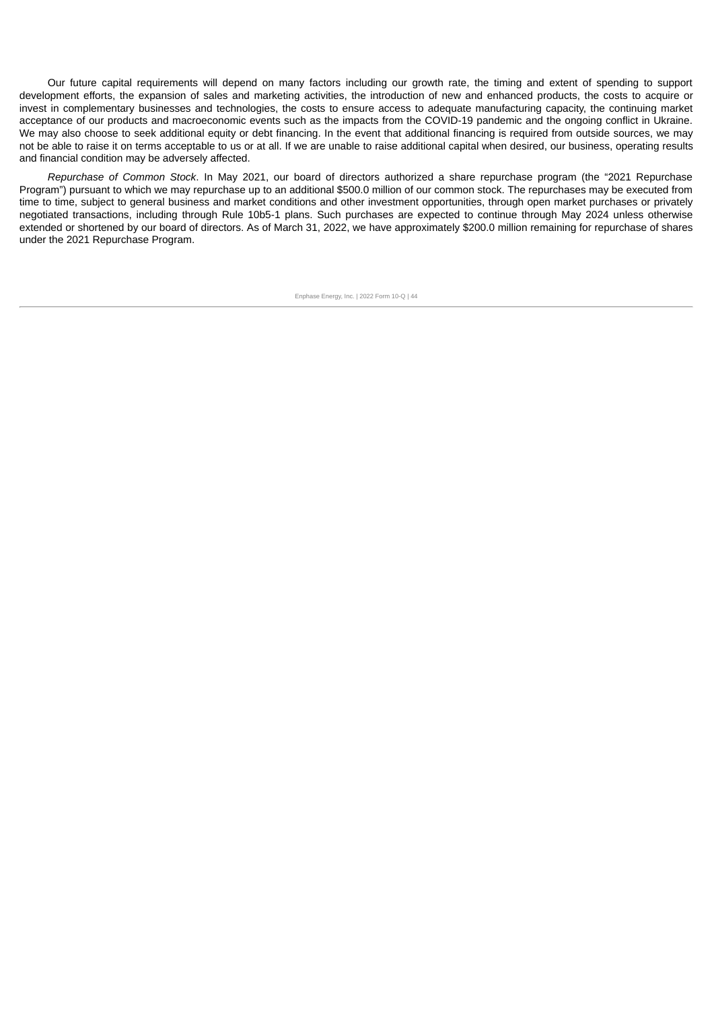Our future capital requirements will depend on many factors including our growth rate, the timing and extent of spending to support development efforts, the expansion of sales and marketing activities, the introduction of new and enhanced products, the costs to acquire or invest in complementary businesses and technologies, the costs to ensure access to adequate manufacturing capacity, the continuing market acceptance of our products and macroeconomic events such as the impacts from the COVID-19 pandemic and the ongoing conflict in Ukraine. We may also choose to seek additional equity or debt financing. In the event that additional financing is required from outside sources, we may not be able to raise it on terms acceptable to us or at all. If we are unable to raise additional capital when desired, our business, operating results and financial condition may be adversely affected.

*Repurchase of Common Stock*. In May 2021, our board of directors authorized a share repurchase program (the "2021 Repurchase Program") pursuant to which we may repurchase up to an additional \$500.0 million of our common stock. The repurchases may be executed from time to time, subject to general business and market conditions and other investment opportunities, through open market purchases or privately negotiated transactions, including through Rule 10b5-1 plans. Such purchases are expected to continue through May 2024 unless otherwise extended or shortened by our board of directors. As of March 31, 2022, we have approximately \$200.0 million remaining for repurchase of shares under the 2021 Repurchase Program.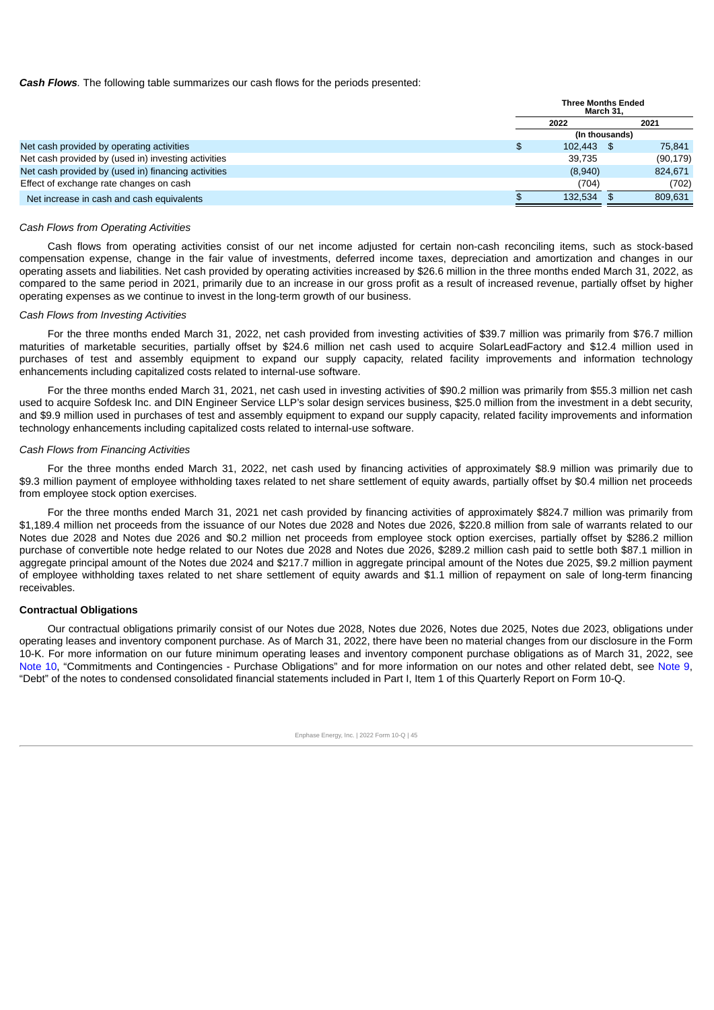*Cash Flows.* The following table summarizes our cash flows for the periods presented:

|                                                     | <b>Three Months Ended</b><br>March 31. |              |           |
|-----------------------------------------------------|----------------------------------------|--------------|-----------|
|                                                     | 2022                                   |              | 2021      |
|                                                     | (In thousands)                         |              |           |
| Net cash provided by operating activities           | \$<br>102.443                          | - SS         | 75.841    |
| Net cash provided by (used in) investing activities | 39.735                                 |              | (90, 179) |
| Net cash provided by (used in) financing activities | (8,940)                                |              | 824,671   |
| Effect of exchange rate changes on cash             | (704)                                  |              | (702)     |
| Net increase in cash and cash equivalents           | 132.534                                | $\mathbf{F}$ | 809,631   |

### *Cash Flows from Operating Activities*

Cash flows from operating activities consist of our net income adjusted for certain non-cash reconciling items, such as stock-based compensation expense, change in the fair value of investments, deferred income taxes, depreciation and amortization and changes in our operating assets and liabilities. Net cash provided by operating activities increased by \$26.6 million in the three months ended March 31, 2022, as compared to the same period in 2021, primarily due to an increase in our gross profit as a result of increased revenue, partially offset by higher operating expenses as we continue to invest in the long-term growth of our business.

### *Cash Flows from Investing Activities*

For the three months ended March 31, 2022, net cash provided from investing activities of \$39.7 million was primarily from \$76.7 million maturities of marketable securities, partially offset by \$24.6 million net cash used to acquire SolarLeadFactory and \$12.4 million used in purchases of test and assembly equipment to expand our supply capacity, related facility improvements and information technology enhancements including capitalized costs related to internal-use software.

For the three months ended March 31, 2021, net cash used in investing activities of \$90.2 million was primarily from \$55.3 million net cash used to acquire Sofdesk Inc. and DIN Engineer Service LLP's solar design services business, \$25.0 million from the investment in a debt security, and \$9.9 million used in purchases of test and assembly equipment to expand our supply capacity, related facility improvements and information technology enhancements including capitalized costs related to internal-use software.

#### *Cash Flows from Financing Activities*

For the three months ended March 31, 2022, net cash used by financing activities of approximately \$8.9 million was primarily due to \$9.3 million payment of employee withholding taxes related to net share settlement of equity awards, partially offset by \$0.4 million net proceeds from employee stock option exercises.

For the three months ended March 31, 2021 net cash provided by financing activities of approximately \$824.7 million was primarily from \$1,189.4 million net proceeds from the issuance of our Notes due 2028 and Notes due 2026, \$220.8 million from sale of warrants related to our Notes due 2028 and Notes due 2026 and \$0.2 million net proceeds from employee stock option exercises, partially offset by \$286.2 million purchase of convertible note hedge related to our Notes due 2028 and Notes due 2026, \$289.2 million cash paid to settle both \$87.1 million in aggregate principal amount of the Notes due 2024 and \$217.7 million in aggregate principal amount of the Notes due 2025, \$9.2 million payment of employee withholding taxes related to net share settlement of equity awards and \$1.1 million of repayment on sale of long-term financing receivables.

# **Contractual Obligations**

Our contractual obligations primarily consist of our Notes due 2028, Notes due 2026, Notes due 2025, Notes due 2023, obligations under operating leases and inventory component purchase. As of March 31, 2022, there have been no material changes from our disclosure in the Form 10-K. For more information on our future minimum operating leases and inventory component purchase obligations as of March 31, 2022, see [Note](#page-19-0) 10, "Commitments and Contingencies - Purchase Obligations" and for more information on our notes and other related debt, see Note 9, "Debt" of the notes to condensed consolidated financial statements included in Part I, Item 1 of this Quarterly Report on Form 10-Q.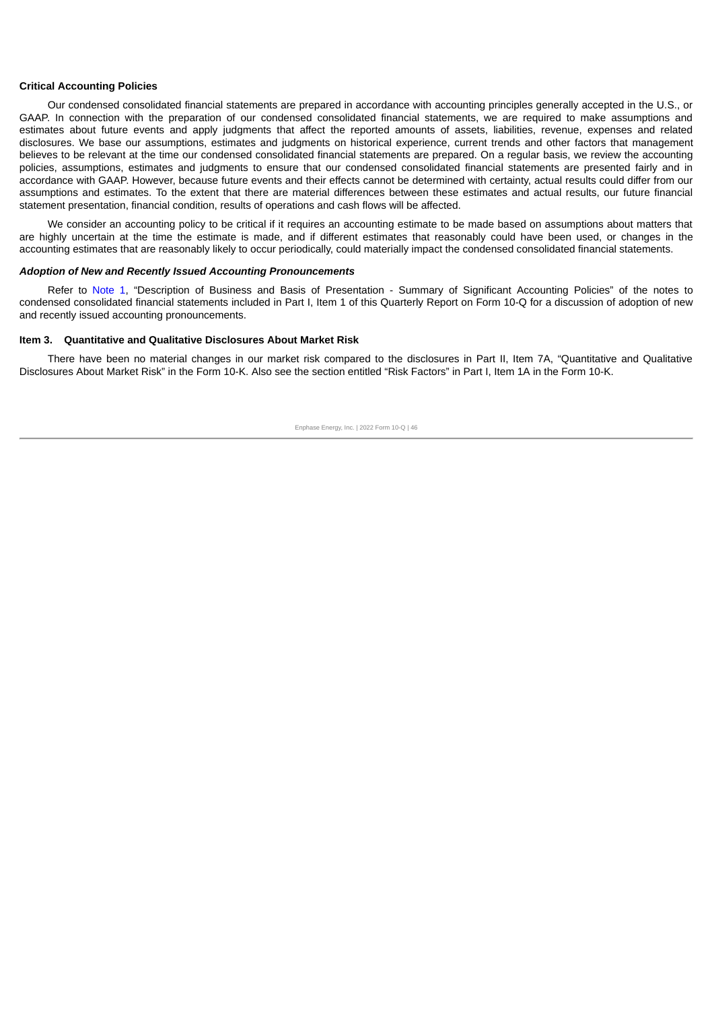### **Critical Accounting Policies**

Our condensed consolidated financial statements are prepared in accordance with accounting principles generally accepted in the U.S., or GAAP. In connection with the preparation of our condensed consolidated financial statements, we are required to make assumptions and estimates about future events and apply judgments that affect the reported amounts of assets, liabilities, revenue, expenses and related disclosures. We base our assumptions, estimates and judgments on historical experience, current trends and other factors that management believes to be relevant at the time our condensed consolidated financial statements are prepared. On a regular basis, we review the accounting policies, assumptions, estimates and judgments to ensure that our condensed consolidated financial statements are presented fairly and in accordance with GAAP. However, because future events and their effects cannot be determined with certainty, actual results could differ from our assumptions and estimates. To the extent that there are material differences between these estimates and actual results, our future financial statement presentation, financial condition, results of operations and cash flows will be affected.

We consider an accounting policy to be critical if it requires an accounting estimate to be made based on assumptions about matters that are highly uncertain at the time the estimate is made, and if different estimates that reasonably could have been used, or changes in the accounting estimates that are reasonably likely to occur periodically, could materially impact the condensed consolidated financial statements.

### *Adoption of New and Recently Issued Accounting Pronouncements*

Refer to [Note](#page-7-0) 1, "Description of Business and Basis of Presentation - Summary of Significant Accounting Policies" of the notes to condensed consolidated financial statements included in Part I, Item 1 of this Quarterly Report on Form 10-Q for a discussion of adoption of new and recently issued accounting pronouncements.

### <span id="page-45-0"></span>**Item 3. Quantitative and Qualitative Disclosures About Market Risk**

<span id="page-45-1"></span>There have been no material changes in our market risk compared to the disclosures in Part II, Item 7A, "Quantitative and Qualitative Disclosures About Market Risk" in the Form 10-K. Also see the section entitled "Risk Factors" in Part I, Item 1A in the Form 10-K.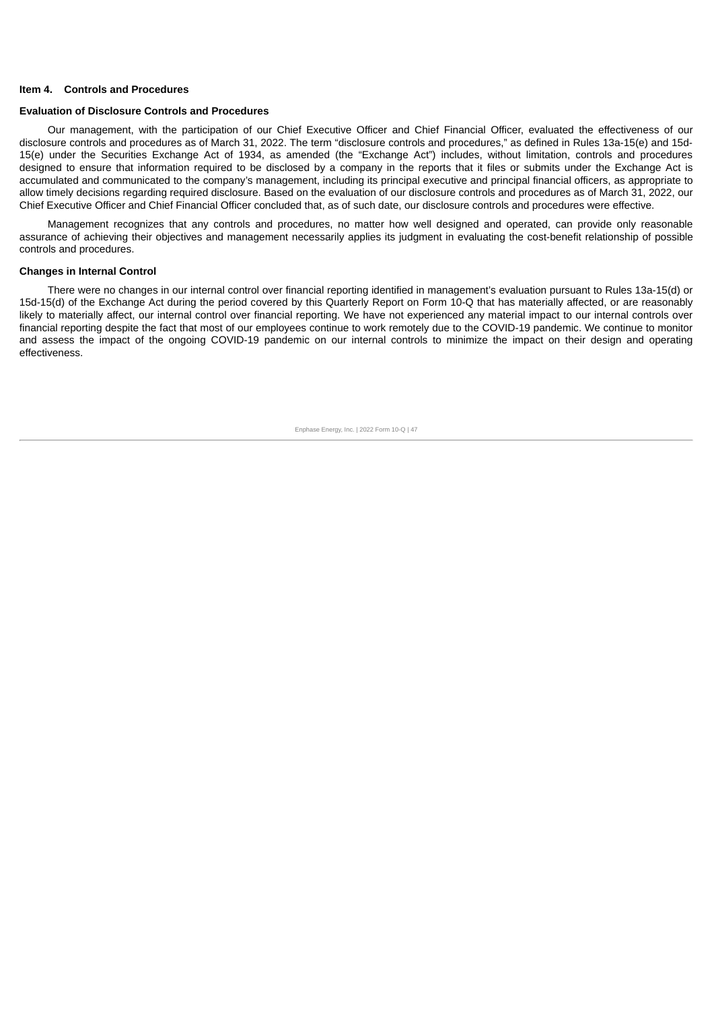# **Item 4. Controls and Procedures**

#### **Evaluation of Disclosure Controls and Procedures**

Our management, with the participation of our Chief Executive Officer and Chief Financial Officer, evaluated the effectiveness of our disclosure controls and procedures as of March 31, 2022. The term "disclosure controls and procedures," as defined in Rules 13a-15(e) and 15d-15(e) under the Securities Exchange Act of 1934, as amended (the "Exchange Act") includes, without limitation, controls and procedures designed to ensure that information required to be disclosed by a company in the reports that it files or submits under the Exchange Act is accumulated and communicated to the company's management, including its principal executive and principal financial officers, as appropriate to allow timely decisions regarding required disclosure. Based on the evaluation of our disclosure controls and procedures as of March 31, 2022, our Chief Executive Officer and Chief Financial Officer concluded that, as of such date, our disclosure controls and procedures were effective.

Management recognizes that any controls and procedures, no matter how well designed and operated, can provide only reasonable assurance of achieving their objectives and management necessarily applies its judgment in evaluating the cost-benefit relationship of possible controls and procedures.

#### **Changes in Internal Control**

<span id="page-46-0"></span>There were no changes in our internal control over financial reporting identified in management's evaluation pursuant to Rules 13a-15(d) or 15d-15(d) of the Exchange Act during the period covered by this Quarterly Report on Form 10-Q that has materially affected, or are reasonably likely to materially affect, our internal control over financial reporting. We have not experienced any material impact to our internal controls over financial reporting despite the fact that most of our employees continue to work remotely due to the COVID-19 pandemic. We continue to monitor and assess the impact of the ongoing COVID-19 pandemic on our internal controls to minimize the impact on their design and operating effectiveness.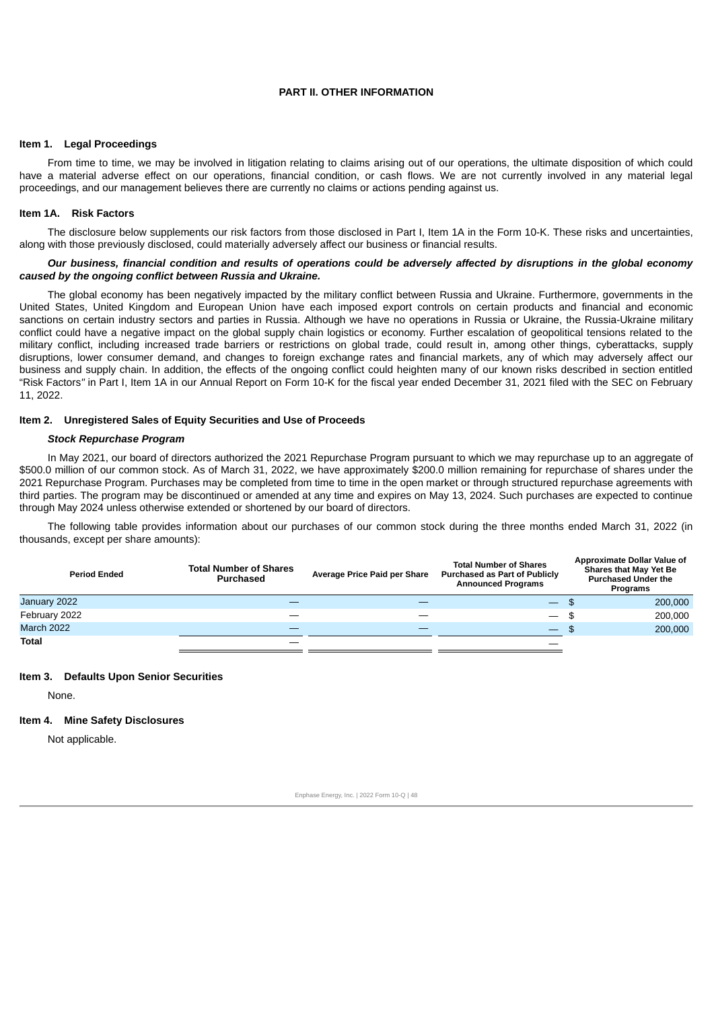### **PART II. OTHER INFORMATION**

#### <span id="page-47-0"></span>**Item 1. Legal Proceedings**

From time to time, we may be involved in litigation relating to claims arising out of our operations, the ultimate disposition of which could have a material adverse effect on our operations, financial condition, or cash flows. We are not currently involved in any material legal proceedings, and our management believes there are currently no claims or actions pending against us.

#### <span id="page-47-1"></span>**Item 1A. Risk Factors**

The disclosure below supplements our risk factors from those disclosed in Part I, Item 1A in the Form 10-K. These risks and uncertainties, along with those previously disclosed, could materially adversely affect our business or financial results.

# Our business, financial condition and results of operations could be adversely affected by disruptions in the global economy *caused by the ongoing conflict between Russia and Ukraine.*

The global economy has been negatively impacted by the military conflict between Russia and Ukraine. Furthermore, governments in the United States, United Kingdom and European Union have each imposed export controls on certain products and financial and economic sanctions on certain industry sectors and parties in Russia. Although we have no operations in Russia or Ukraine, the Russia-Ukraine military conflict could have a negative impact on the global supply chain logistics or economy. Further escalation of geopolitical tensions related to the military conflict, including increased trade barriers or restrictions on global trade, could result in, among other things, cyberattacks, supply disruptions, lower consumer demand, and changes to foreign exchange rates and financial markets, any of which may adversely affect our business and supply chain. In addition, the effects of the ongoing conflict could heighten many of our known risks described in section entitled "Risk Factors*"* in Part I, Item 1A in our Annual Report on Form 10-K for the fiscal year ended December 31, 2021 filed with the SEC on February 11, 2022.

#### <span id="page-47-2"></span>**Item 2. Unregistered Sales of Equity Securities and Use of Proceeds**

# *Stock Repurchase Program*

In May 2021, our board of directors authorized the 2021 Repurchase Program pursuant to which we may repurchase up to an aggregate of \$500.0 million of our common stock. As of March 31, 2022, we have approximately \$200.0 million remaining for repurchase of shares under the 2021 Repurchase Program. Purchases may be completed from time to time in the open market or through structured repurchase agreements with third parties. The program may be discontinued or amended at any time and expires on May 13, 2024. Such purchases are expected to continue through May 2024 unless otherwise extended or shortened by our board of directors.

The following table provides information about our purchases of our common stock during the three months ended March 31, 2022 (in thousands, except per share amounts):

| <b>Period Ended</b> | <b>Total Number of Shares</b><br>Purchased | Average Price Paid per Share | <b>Total Number of Shares</b><br><b>Purchased as Part of Publicly</b><br><b>Announced Programs</b> | Approximate Dollar Value of<br><b>Shares that May Yet Be</b><br><b>Purchased Under the</b><br><b>Programs</b> |
|---------------------|--------------------------------------------|------------------------------|----------------------------------------------------------------------------------------------------|---------------------------------------------------------------------------------------------------------------|
| January 2022        |                                            |                              | $\overline{\phantom{a}}$                                                                           | 200,000                                                                                                       |
| February 2022       |                                            |                              | $\overline{\phantom{0}}$                                                                           | \$<br>200,000                                                                                                 |
| March 2022          | _                                          |                              | $\overline{\phantom{0}}$                                                                           | 200,000                                                                                                       |
| <b>Total</b>        |                                            |                              |                                                                                                    |                                                                                                               |

### <span id="page-47-3"></span>**Item 3. Defaults Upon Senior Securities**

None.

### <span id="page-47-4"></span>**Item 4. Mine Safety Disclosures**

<span id="page-47-5"></span>Not applicable.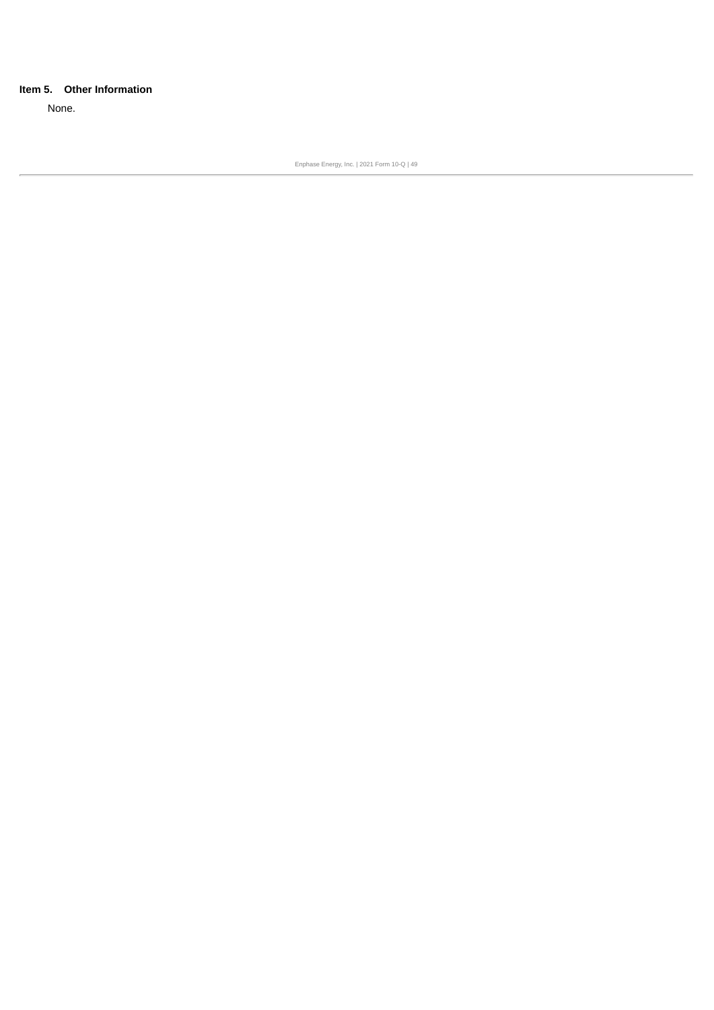# **Item 5. Other Information**

<span id="page-48-0"></span>None.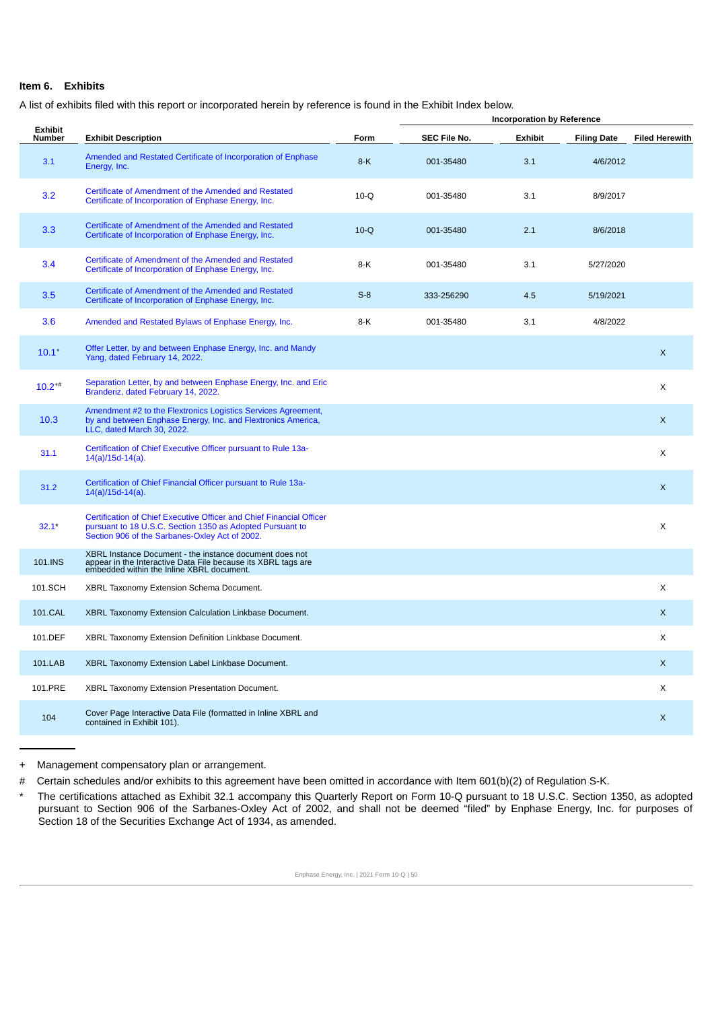# **Item 6. Exhibits**

A list of exhibits filed with this report or incorporated herein by reference is found in the Exhibit Index below.

|                                 |                                                                                                                                                                                     |        |                     | <b>Incorporation by Reference</b> |                    |                       |
|---------------------------------|-------------------------------------------------------------------------------------------------------------------------------------------------------------------------------------|--------|---------------------|-----------------------------------|--------------------|-----------------------|
| <b>Exhibit</b><br><b>Number</b> | <b>Exhibit Description</b>                                                                                                                                                          | Form   | <b>SEC File No.</b> | <b>Exhibit</b>                    | <b>Filing Date</b> | <b>Filed Herewith</b> |
| 3.1                             | Amended and Restated Certificate of Incorporation of Enphase<br>Energy, Inc.                                                                                                        | $8-K$  | 001-35480           | 3.1                               | 4/6/2012           |                       |
| 3.2                             | Certificate of Amendment of the Amended and Restated<br>Certificate of Incorporation of Enphase Energy, Inc.                                                                        | $10-o$ | 001-35480           | 3.1                               | 8/9/2017           |                       |
| 3.3                             | Certificate of Amendment of the Amended and Restated<br>Certificate of Incorporation of Enphase Energy, Inc.                                                                        | $10-Q$ | 001-35480           | 2.1                               | 8/6/2018           |                       |
| 3.4                             | Certificate of Amendment of the Amended and Restated<br>Certificate of Incorporation of Enphase Energy, Inc.                                                                        | $8-K$  | 001-35480           | 3.1                               | 5/27/2020          |                       |
| 3.5                             | Certificate of Amendment of the Amended and Restated<br>Certificate of Incorporation of Enphase Energy, Inc.                                                                        | $S-8$  | 333-256290          | 4.5                               | 5/19/2021          |                       |
| 3.6                             | Amended and Restated Bylaws of Enphase Energy, Inc.                                                                                                                                 | $8-K$  | 001-35480           | 3.1                               | 4/8/2022           |                       |
| $10.1^{+}$                      | Offer Letter, by and between Enphase Energy, Inc. and Mandy<br>Yang, dated February 14, 2022.                                                                                       |        |                     |                                   |                    | $\mathsf X$           |
| $10.2^{+#}$                     | Separation Letter, by and between Enphase Energy, Inc. and Eric<br>Branderiz, dated February 14, 2022.                                                                              |        |                     |                                   |                    | X                     |
| 10.3                            | Amendment #2 to the Flextronics Logistics Services Agreement,<br>by and between Enphase Energy, Inc. and Flextronics America,<br>LLC, dated March 30, 2022.                         |        |                     |                                   |                    | X                     |
| 31.1                            | Certification of Chief Executive Officer pursuant to Rule 13a-<br>$14(a)/15d-14(a)$ .                                                                                               |        |                     |                                   |                    | X                     |
| 31.2                            | Certification of Chief Financial Officer pursuant to Rule 13a-<br>$14(a)/15d-14(a)$ .                                                                                               |        |                     |                                   |                    | X                     |
| $32.1*$                         | Certification of Chief Executive Officer and Chief Financial Officer<br>pursuant to 18 U.S.C. Section 1350 as Adopted Pursuant to<br>Section 906 of the Sarbanes-Oxley Act of 2002. |        |                     |                                   |                    | X                     |
| 101.INS                         | XBRL Instance Document - the instance document does not appear in the Interactive Data File because its XBRL tags are<br>embedded within the Inline XBRL document.                  |        |                     |                                   |                    |                       |
| 101.SCH                         | XBRL Taxonomy Extension Schema Document.                                                                                                                                            |        |                     |                                   |                    | X                     |
| <b>101.CAL</b>                  | XBRL Taxonomy Extension Calculation Linkbase Document.                                                                                                                              |        |                     |                                   |                    | $\mathsf{X}$          |
| 101.DEF                         | XBRL Taxonomy Extension Definition Linkbase Document.                                                                                                                               |        |                     |                                   |                    | X                     |
| 101.LAB                         | XBRL Taxonomy Extension Label Linkbase Document.                                                                                                                                    |        |                     |                                   |                    | X                     |
| 101.PRE                         | XBRL Taxonomy Extension Presentation Document.                                                                                                                                      |        |                     |                                   |                    | X                     |
| 104                             | Cover Page Interactive Data File (formatted in Inline XBRL and<br>contained in Exhibit 101).                                                                                        |        |                     |                                   |                    | $\mathsf{X}$          |

+ Management compensatory plan or arrangement.

# Certain schedules and/or exhibits to this agreement have been omitted in accordance with Item 601(b)(2) of Regulation S-K.

<span id="page-49-0"></span>\* The certifications attached as Exhibit 32.1 accompany this Quarterly Report on Form 10-Q pursuant to 18 U.S.C. Section 1350, as adopted pursuant to Section 906 of the Sarbanes-Oxley Act of 2002, and shall not be deemed "filed" by Enphase Energy, Inc. for purposes of Section 18 of the Securities Exchange Act of 1934, as amended.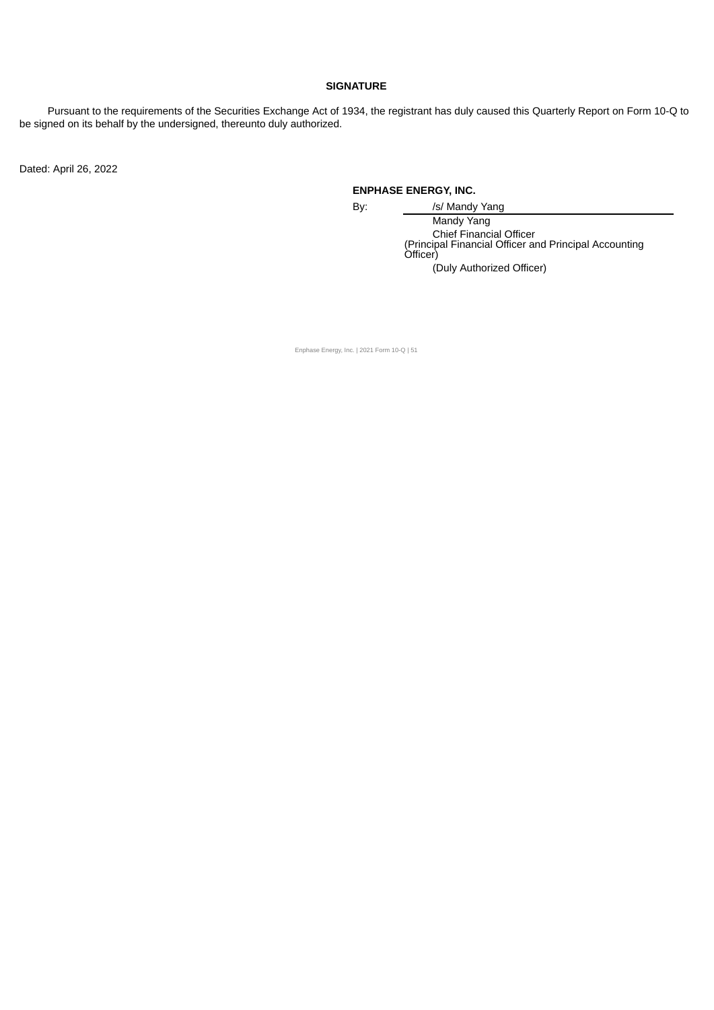# **SIGNATURE**

Pursuant to the requirements of the Securities Exchange Act of 1934, the registrant has duly caused this Quarterly Report on Form 10-Q to be signed on its behalf by the undersigned, thereunto duly authorized.

Dated: April 26, 2022

# **ENPHASE ENERGY, INC.**

By: /s/ Mandy Yang Mandy Yang Chief Financial Officer (Principal Financial Officer and Principal Accounting Officer) (Duly Authorized Officer)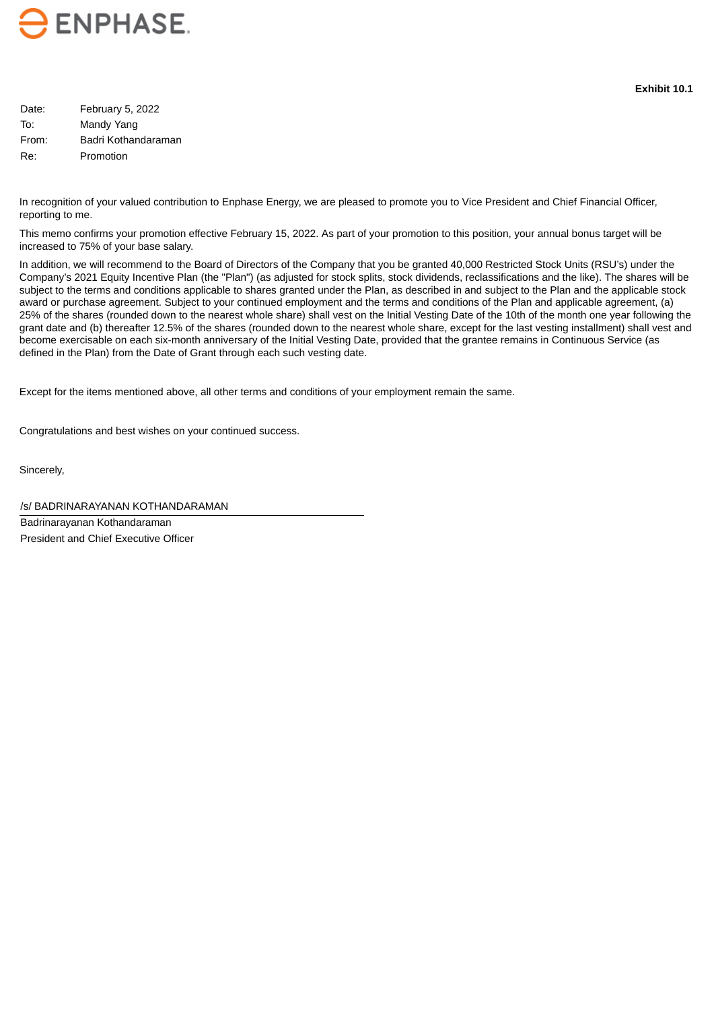<span id="page-51-0"></span>

Date: February 5, 2022 To: Mandy Yang From: Badri Kothandaraman Re: Promotion

In recognition of your valued contribution to Enphase Energy, we are pleased to promote you to Vice President and Chief Financial Officer, reporting to me.

This memo confirms your promotion effective February 15, 2022. As part of your promotion to this position, your annual bonus target will be increased to 75% of your base salary.

In addition, we will recommend to the Board of Directors of the Company that you be granted 40,000 Restricted Stock Units (RSU's) under the Company's 2021 Equity Incentive Plan (the "Plan") (as adjusted for stock splits, stock dividends, reclassifications and the like). The shares will be subject to the terms and conditions applicable to shares granted under the Plan, as described in and subject to the Plan and the applicable stock award or purchase agreement. Subject to your continued employment and the terms and conditions of the Plan and applicable agreement, (a) 25% of the shares (rounded down to the nearest whole share) shall vest on the Initial Vesting Date of the 10th of the month one year following the grant date and (b) thereafter 12.5% of the shares (rounded down to the nearest whole share, except for the last vesting installment) shall vest and become exercisable on each six-month anniversary of the Initial Vesting Date, provided that the grantee remains in Continuous Service (as defined in the Plan) from the Date of Grant through each such vesting date.

Except for the items mentioned above, all other terms and conditions of your employment remain the same.

Congratulations and best wishes on your continued success.

Sincerely,

/s/ BADRINARAYANAN KOTHANDARAMAN

Badrinarayanan Kothandaraman President and Chief Executive Officer **Exhibit 10.1**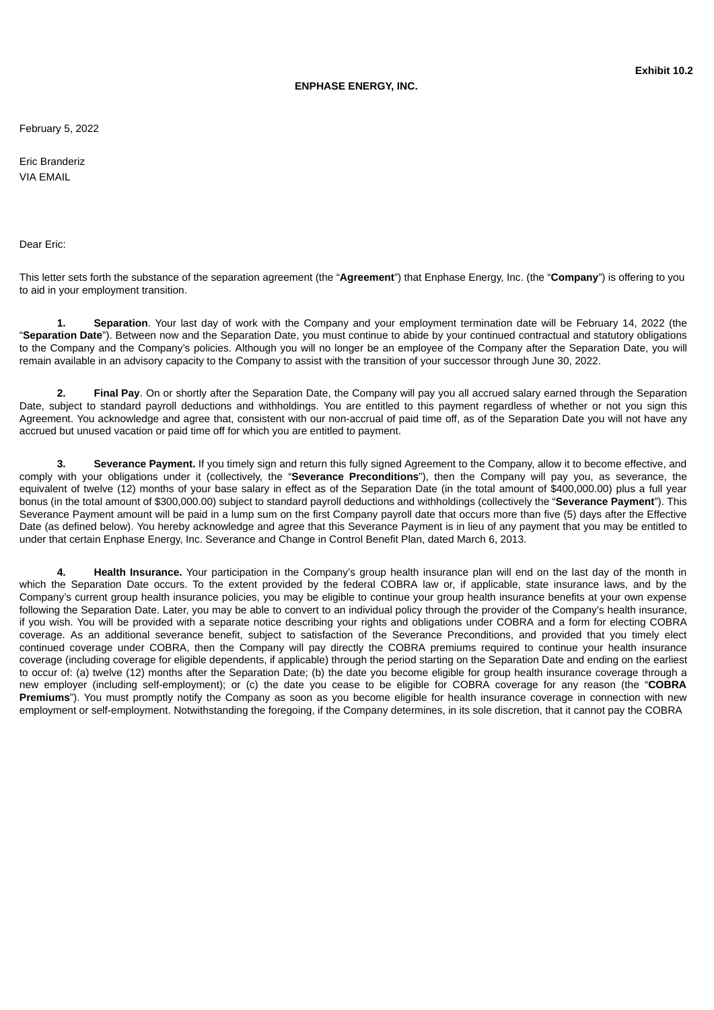<span id="page-52-0"></span>February 5, 2022

Eric Branderiz VIA EMAIL

Dear Eric:

This letter sets forth the substance of the separation agreement (the "**Agreement**") that Enphase Energy, Inc. (the "**Company**") is offering to you to aid in your employment transition.

**1. Separation**. Your last day of work with the Company and your employment termination date will be February 14, 2022 (the "**Separation Date**"). Between now and the Separation Date, you must continue to abide by your continued contractual and statutory obligations to the Company and the Company's policies. Although you will no longer be an employee of the Company after the Separation Date, you will remain available in an advisory capacity to the Company to assist with the transition of your successor through June 30, 2022.

**2. Final Pay**. On or shortly after the Separation Date, the Company will pay you all accrued salary earned through the Separation Date, subject to standard payroll deductions and withholdings. You are entitled to this payment regardless of whether or not you sign this Agreement. You acknowledge and agree that, consistent with our non-accrual of paid time off, as of the Separation Date you will not have any accrued but unused vacation or paid time off for which you are entitled to payment.

**3. Severance Payment.** If you timely sign and return this fully signed Agreement to the Company, allow it to become effective, and comply with your obligations under it (collectively, the "**Severance Preconditions**"), then the Company will pay you, as severance, the equivalent of twelve (12) months of your base salary in effect as of the Separation Date (in the total amount of \$400,000.00) plus a full year bonus (in the total amount of \$300,000.00) subject to standard payroll deductions and withholdings (collectively the "**Severance Payment**"). This Severance Payment amount will be paid in a lump sum on the first Company payroll date that occurs more than five (5) days after the Effective Date (as defined below). You hereby acknowledge and agree that this Severance Payment is in lieu of any payment that you may be entitled to under that certain Enphase Energy, Inc. Severance and Change in Control Benefit Plan, dated March 6, 2013.

**4. Health Insurance.** Your participation in the Company's group health insurance plan will end on the last day of the month in which the Separation Date occurs. To the extent provided by the federal COBRA law or, if applicable, state insurance laws, and by the Company's current group health insurance policies, you may be eligible to continue your group health insurance benefits at your own expense following the Separation Date. Later, you may be able to convert to an individual policy through the provider of the Company's health insurance, if you wish. You will be provided with a separate notice describing your rights and obligations under COBRA and a form for electing COBRA coverage. As an additional severance benefit, subject to satisfaction of the Severance Preconditions, and provided that you timely elect continued coverage under COBRA, then the Company will pay directly the COBRA premiums required to continue your health insurance coverage (including coverage for eligible dependents, if applicable) through the period starting on the Separation Date and ending on the earliest to occur of: (a) twelve (12) months after the Separation Date; (b) the date you become eligible for group health insurance coverage through a new employer (including self-employment); or (c) the date you cease to be eligible for COBRA coverage for any reason (the "**COBRA Premiums**"). You must promptly notify the Company as soon as you become eligible for health insurance coverage in connection with new employment or self-employment. Notwithstanding the foregoing, if the Company determines, in its sole discretion, that it cannot pay the COBRA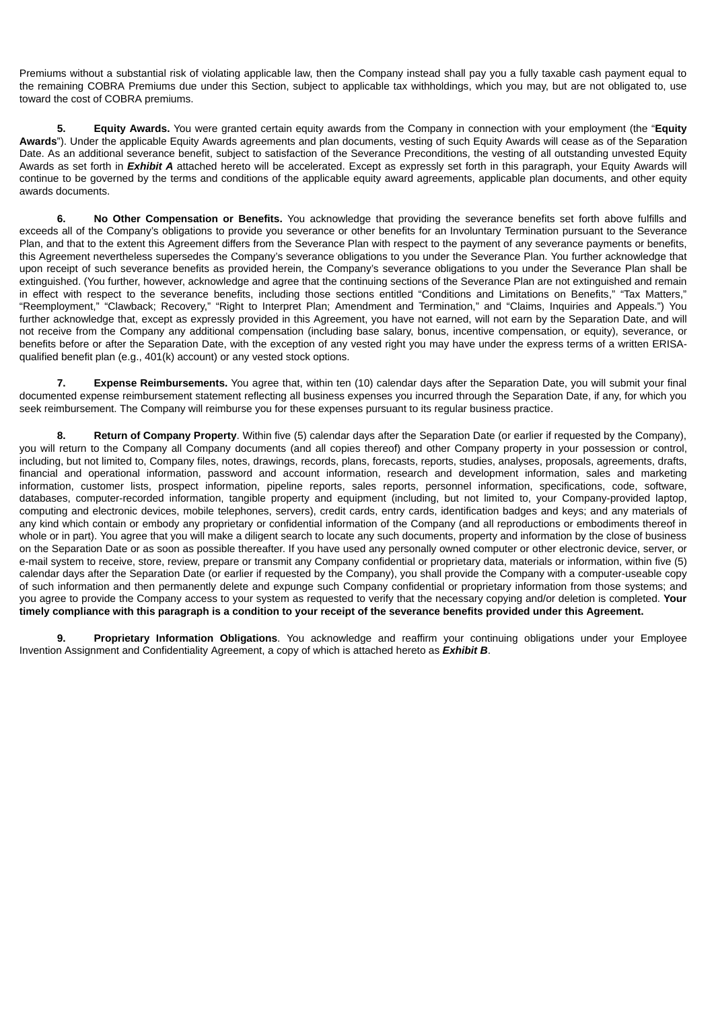Premiums without a substantial risk of violating applicable law, then the Company instead shall pay you a fully taxable cash payment equal to the remaining COBRA Premiums due under this Section, subject to applicable tax withholdings, which you may, but are not obligated to, use toward the cost of COBRA premiums.

**5. Equity Awards.** You were granted certain equity awards from the Company in connection with your employment (the "**Equity Awards**"). Under the applicable Equity Awards agreements and plan documents, vesting of such Equity Awards will cease as of the Separation Date. As an additional severance benefit, subject to satisfaction of the Severance Preconditions, the vesting of all outstanding unvested Equity Awards as set forth in *Exhibit A* attached hereto will be accelerated. Except as expressly set forth in this paragraph, your Equity Awards will continue to be governed by the terms and conditions of the applicable equity award agreements, applicable plan documents, and other equity awards documents.

**6. No Other Compensation or Benefits.** You acknowledge that providing the severance benefits set forth above fulfills and exceeds all of the Company's obligations to provide you severance or other benefits for an Involuntary Termination pursuant to the Severance Plan, and that to the extent this Agreement differs from the Severance Plan with respect to the payment of any severance payments or benefits, this Agreement nevertheless supersedes the Company's severance obligations to you under the Severance Plan. You further acknowledge that upon receipt of such severance benefits as provided herein, the Company's severance obligations to you under the Severance Plan shall be extinguished. (You further, however, acknowledge and agree that the continuing sections of the Severance Plan are not extinguished and remain in effect with respect to the severance benefits, including those sections entitled "Conditions and Limitations on Benefits," "Tax Matters," "Reemployment," "Clawback; Recovery," "Right to Interpret Plan; Amendment and Termination," and "Claims, Inquiries and Appeals.") You further acknowledge that, except as expressly provided in this Agreement, you have not earned, will not earn by the Separation Date, and will not receive from the Company any additional compensation (including base salary, bonus, incentive compensation, or equity), severance, or benefits before or after the Separation Date, with the exception of any vested right you may have under the express terms of a written ERISAqualified benefit plan (e.g., 401(k) account) or any vested stock options.

**7. Expense Reimbursements.** You agree that, within ten (10) calendar days after the Separation Date, you will submit your final documented expense reimbursement statement reflecting all business expenses you incurred through the Separation Date, if any, for which you seek reimbursement. The Company will reimburse you for these expenses pursuant to its regular business practice.

**8. Return of Company Property**. Within five (5) calendar days after the Separation Date (or earlier if requested by the Company), you will return to the Company all Company documents (and all copies thereof) and other Company property in your possession or control, including, but not limited to, Company files, notes, drawings, records, plans, forecasts, reports, studies, analyses, proposals, agreements, drafts, financial and operational information, password and account information, research and development information, sales and marketing information, customer lists, prospect information, pipeline reports, sales reports, personnel information, specifications, code, software, databases, computer-recorded information, tangible property and equipment (including, but not limited to, your Company-provided laptop, computing and electronic devices, mobile telephones, servers), credit cards, entry cards, identification badges and keys; and any materials of any kind which contain or embody any proprietary or confidential information of the Company (and all reproductions or embodiments thereof in whole or in part). You agree that you will make a diligent search to locate any such documents, property and information by the close of business on the Separation Date or as soon as possible thereafter. If you have used any personally owned computer or other electronic device, server, or e-mail system to receive, store, review, prepare or transmit any Company confidential or proprietary data, materials or information, within five (5) calendar days after the Separation Date (or earlier if requested by the Company), you shall provide the Company with a computer-useable copy of such information and then permanently delete and expunge such Company confidential or proprietary information from those systems; and you agree to provide the Company access to your system as requested to verify that the necessary copying and/or deletion is completed. **Your** timely compliance with this paragraph is a condition to your receipt of the severance benefits provided under this Agreement.

**9. Proprietary Information Obligations**. You acknowledge and reaffirm your continuing obligations under your Employee Invention Assignment and Confidentiality Agreement, a copy of which is attached hereto as *Exhibit B*.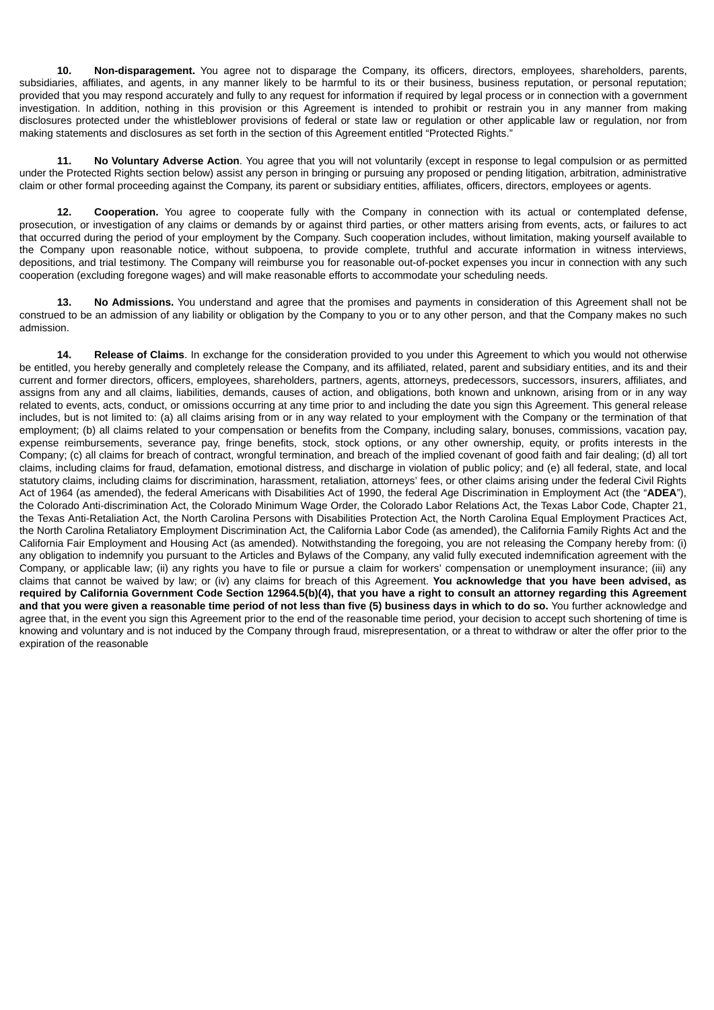**10. Non-disparagement.** You agree not to disparage the Company, its officers, directors, employees, shareholders, parents, subsidiaries, affiliates, and agents, in any manner likely to be harmful to its or their business, business reputation, or personal reputation; provided that you may respond accurately and fully to any request for information if required by legal process or in connection with a government investigation. In addition, nothing in this provision or this Agreement is intended to prohibit or restrain you in any manner from making disclosures protected under the whistleblower provisions of federal or state law or regulation or other applicable law or regulation, nor from making statements and disclosures as set forth in the section of this Agreement entitled "Protected Rights."

**11. No Voluntary Adverse Action**. You agree that you will not voluntarily (except in response to legal compulsion or as permitted under the Protected Rights section below) assist any person in bringing or pursuing any proposed or pending litigation, arbitration, administrative claim or other formal proceeding against the Company, its parent or subsidiary entities, affiliates, officers, directors, employees or agents.

**12. Cooperation.** You agree to cooperate fully with the Company in connection with its actual or contemplated defense, prosecution, or investigation of any claims or demands by or against third parties, or other matters arising from events, acts, or failures to act that occurred during the period of your employment by the Company. Such cooperation includes, without limitation, making yourself available to the Company upon reasonable notice, without subpoena, to provide complete, truthful and accurate information in witness interviews, depositions, and trial testimony. The Company will reimburse you for reasonable out-of-pocket expenses you incur in connection with any such cooperation (excluding foregone wages) and will make reasonable efforts to accommodate your scheduling needs.

**13. No Admissions.** You understand and agree that the promises and payments in consideration of this Agreement shall not be construed to be an admission of any liability or obligation by the Company to you or to any other person, and that the Company makes no such admission.

**14. Release of Claims**. In exchange for the consideration provided to you under this Agreement to which you would not otherwise be entitled, you hereby generally and completely release the Company, and its affiliated, related, parent and subsidiary entities, and its and their current and former directors, officers, employees, shareholders, partners, agents, attorneys, predecessors, successors, insurers, affiliates, and assigns from any and all claims, liabilities, demands, causes of action, and obligations, both known and unknown, arising from or in any way related to events, acts, conduct, or omissions occurring at any time prior to and including the date you sign this Agreement. This general release includes, but is not limited to: (a) all claims arising from or in any way related to your employment with the Company or the termination of that employment; (b) all claims related to your compensation or benefits from the Company, including salary, bonuses, commissions, vacation pay, expense reimbursements, severance pay, fringe benefits, stock, stock options, or any other ownership, equity, or profits interests in the Company; (c) all claims for breach of contract, wrongful termination, and breach of the implied covenant of good faith and fair dealing; (d) all tort claims, including claims for fraud, defamation, emotional distress, and discharge in violation of public policy; and (e) all federal, state, and local statutory claims, including claims for discrimination, harassment, retaliation, attorneys' fees, or other claims arising under the federal Civil Rights Act of 1964 (as amended), the federal Americans with Disabilities Act of 1990, the federal Age Discrimination in Employment Act (the "**ADEA**"), the Colorado Anti-discrimination Act, the Colorado Minimum Wage Order, the Colorado Labor Relations Act, the Texas Labor Code, Chapter 21, the Texas Anti-Retaliation Act, the North Carolina Persons with Disabilities Protection Act, the North Carolina Equal Employment Practices Act, the North Carolina Retaliatory Employment Discrimination Act, the California Labor Code (as amended), the California Family Rights Act and the California Fair Employment and Housing Act (as amended). Notwithstanding the foregoing, you are not releasing the Company hereby from: (i) any obligation to indemnify you pursuant to the Articles and Bylaws of the Company, any valid fully executed indemnification agreement with the Company, or applicable law; (ii) any rights you have to file or pursue a claim for workers' compensation or unemployment insurance; (iii) any claims that cannot be waived by law; or (iv) any claims for breach of this Agreement. **You acknowledge that you have been advised, as** required by California Government Code Section 12964.5(b)(4), that you have a right to consult an attorney regarding this Agreement and that you were given a reasonable time period of not less than five (5) business days in which to do so. You further acknowledge and agree that, in the event you sign this Agreement prior to the end of the reasonable time period, your decision to accept such shortening of time is knowing and voluntary and is not induced by the Company through fraud, misrepresentation, or a threat to withdraw or alter the offer prior to the expiration of the reasonable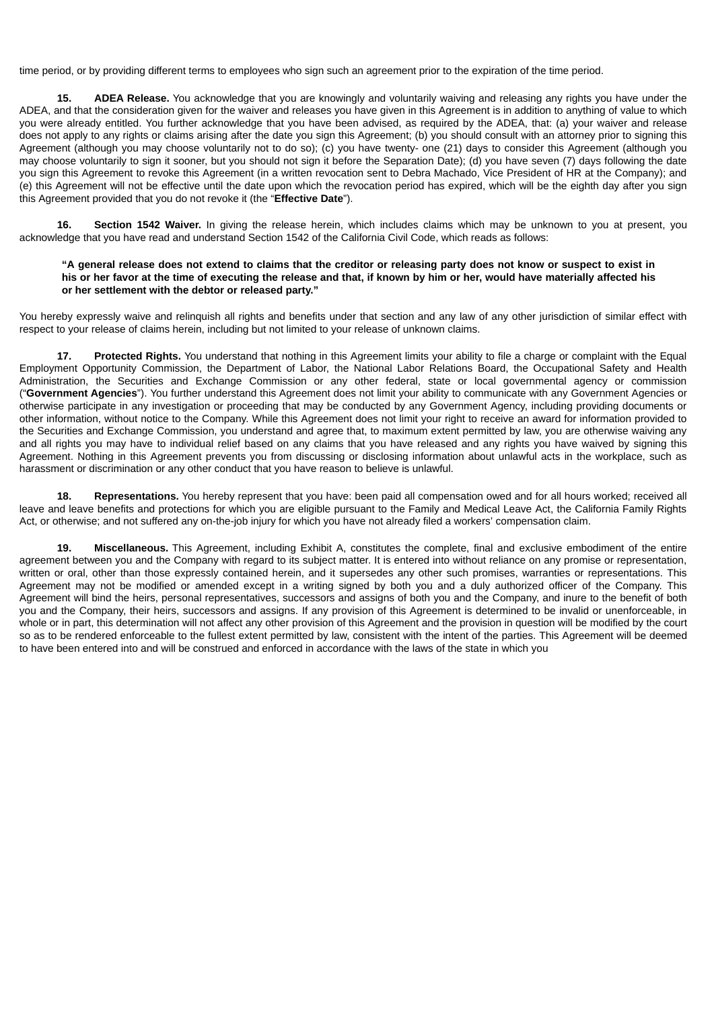time period, or by providing different terms to employees who sign such an agreement prior to the expiration of the time period.

**15. ADEA Release.** You acknowledge that you are knowingly and voluntarily waiving and releasing any rights you have under the ADEA, and that the consideration given for the waiver and releases you have given in this Agreement is in addition to anything of value to which you were already entitled. You further acknowledge that you have been advised, as required by the ADEA, that: (a) your waiver and release does not apply to any rights or claims arising after the date you sign this Agreement; (b) you should consult with an attorney prior to signing this Agreement (although you may choose voluntarily not to do so); (c) you have twenty- one (21) days to consider this Agreement (although you may choose voluntarily to sign it sooner, but you should not sign it before the Separation Date); (d) you have seven (7) days following the date you sign this Agreement to revoke this Agreement (in a written revocation sent to Debra Machado, Vice President of HR at the Company); and (e) this Agreement will not be effective until the date upon which the revocation period has expired, which will be the eighth day after you sign this Agreement provided that you do not revoke it (the "**Effective Date**").

**16. Section 1542 Waiver.** In giving the release herein, which includes claims which may be unknown to you at present, you acknowledge that you have read and understand Section 1542 of the California Civil Code, which reads as follows:

# "A general release does not extend to claims that the creditor or releasing party does not know or suspect to exist in his or her favor at the time of executing the release and that, if known by him or her, would have materially affected his **or her settlement with the debtor or released party."**

You hereby expressly waive and relinguish all rights and benefits under that section and any law of any other jurisdiction of similar effect with respect to your release of claims herein, including but not limited to your release of unknown claims.

**17. Protected Rights.** You understand that nothing in this Agreement limits your ability to file a charge or complaint with the Equal Employment Opportunity Commission, the Department of Labor, the National Labor Relations Board, the Occupational Safety and Health Administration, the Securities and Exchange Commission or any other federal, state or local governmental agency or commission ("**Government Agencies**"). You further understand this Agreement does not limit your ability to communicate with any Government Agencies or otherwise participate in any investigation or proceeding that may be conducted by any Government Agency, including providing documents or other information, without notice to the Company. While this Agreement does not limit your right to receive an award for information provided to the Securities and Exchange Commission, you understand and agree that, to maximum extent permitted by law, you are otherwise waiving any and all rights you may have to individual relief based on any claims that you have released and any rights you have waived by signing this Agreement. Nothing in this Agreement prevents you from discussing or disclosing information about unlawful acts in the workplace, such as harassment or discrimination or any other conduct that you have reason to believe is unlawful.

**18. Representations.** You hereby represent that you have: been paid all compensation owed and for all hours worked; received all leave and leave benefits and protections for which you are eligible pursuant to the Family and Medical Leave Act, the California Family Rights Act, or otherwise; and not suffered any on-the-job injury for which you have not already filed a workers' compensation claim.

**19. Miscellaneous.** This Agreement, including Exhibit A, constitutes the complete, final and exclusive embodiment of the entire agreement between you and the Company with regard to its subject matter. It is entered into without reliance on any promise or representation, written or oral, other than those expressly contained herein, and it supersedes any other such promises, warranties or representations. This Agreement may not be modified or amended except in a writing signed by both you and a duly authorized officer of the Company. This Agreement will bind the heirs, personal representatives, successors and assigns of both you and the Company, and inure to the benefit of both you and the Company, their heirs, successors and assigns. If any provision of this Agreement is determined to be invalid or unenforceable, in whole or in part, this determination will not affect any other provision of this Agreement and the provision in question will be modified by the court so as to be rendered enforceable to the fullest extent permitted by law, consistent with the intent of the parties. This Agreement will be deemed to have been entered into and will be construed and enforced in accordance with the laws of the state in which you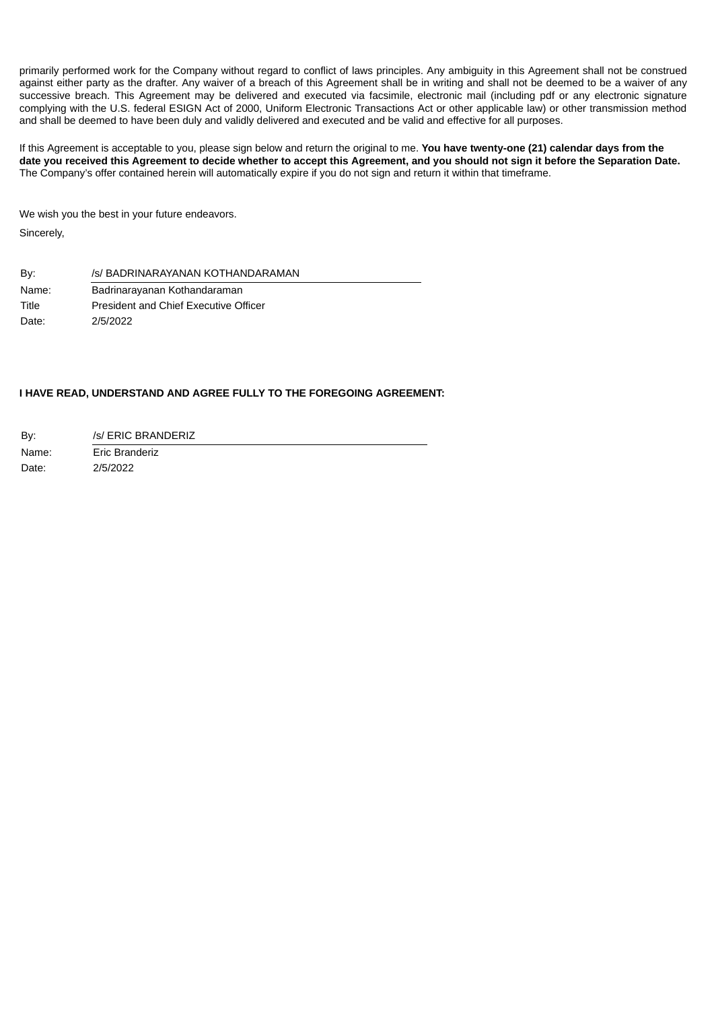primarily performed work for the Company without regard to conflict of laws principles. Any ambiguity in this Agreement shall not be construed against either party as the drafter. Any waiver of a breach of this Agreement shall be in writing and shall not be deemed to be a waiver of any successive breach. This Agreement may be delivered and executed via facsimile, electronic mail (including pdf or any electronic signature complying with the U.S. federal ESIGN Act of 2000, Uniform Electronic Transactions Act or other applicable law) or other transmission method and shall be deemed to have been duly and validly delivered and executed and be valid and effective for all purposes.

If this Agreement is acceptable to you, please sign below and return the original to me. **You have twenty-one (21) calendar days from the** date you received this Agreement to decide whether to accept this Agreement, and you should not sign it before the Separation Date. The Company's offer contained herein will automatically expire if you do not sign and return it within that timeframe.

We wish you the best in your future endeavors.

Sincerely,

| By:   | /s/ BADRINARAYANAN KOTHANDARAMAN      |
|-------|---------------------------------------|
| Name: | Badrinarayanan Kothandaraman          |
| Title | President and Chief Executive Officer |
| Date: | 2/5/2022                              |

# **I HAVE READ, UNDERSTAND AND AGREE FULLY TO THE FOREGOING AGREEMENT:**

| By:   | /s/ ERIC BRANDERIZ |
|-------|--------------------|
| Name: | Eric Branderiz     |
| Date: | 2/5/2022           |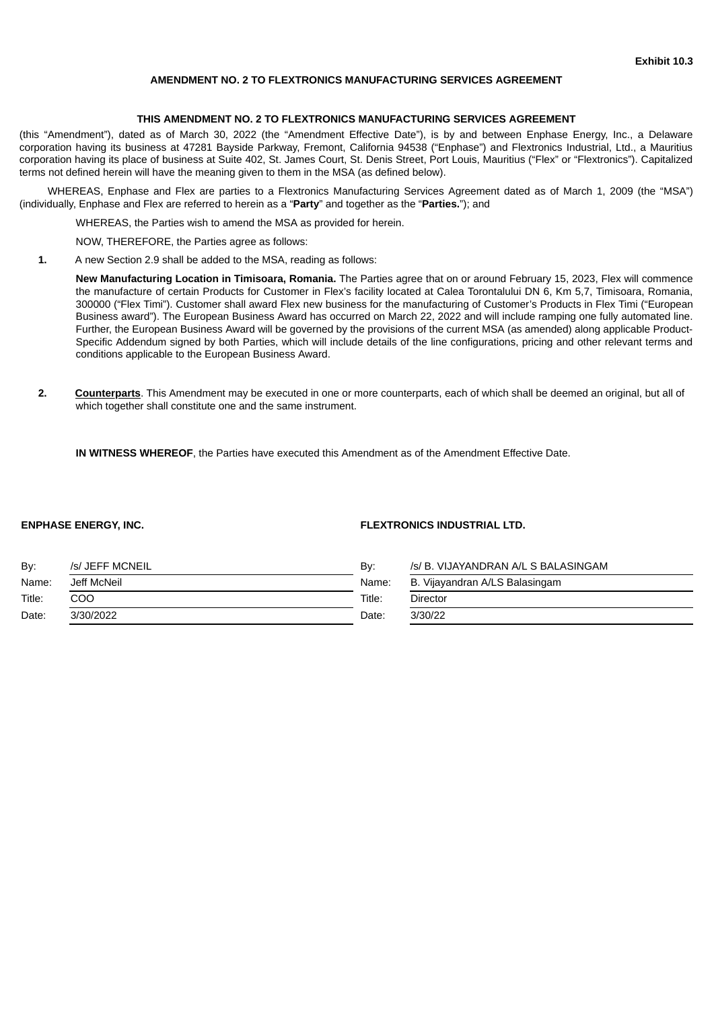# **AMENDMENT NO. 2 TO FLEXTRONICS MANUFACTURING SERVICES AGREEMENT**

# **THIS AMENDMENT NO. 2 TO FLEXTRONICS MANUFACTURING SERVICES AGREEMENT**

<span id="page-57-0"></span>(this "Amendment"), dated as of March 30, 2022 (the "Amendment Effective Date"), is by and between Enphase Energy, Inc., a Delaware corporation having its business at 47281 Bayside Parkway, Fremont, California 94538 ("Enphase") and Flextronics Industrial, Ltd., a Mauritius corporation having its place of business at Suite 402, St. James Court, St. Denis Street, Port Louis, Mauritius ("Flex" or "Flextronics"). Capitalized terms not defined herein will have the meaning given to them in the MSA (as defined below).

WHEREAS, Enphase and Flex are parties to a Flextronics Manufacturing Services Agreement dated as of March 1, 2009 (the "MSA") (individually, Enphase and Flex are referred to herein as a "**Party**" and together as the "**Parties.**"); and

WHEREAS, the Parties wish to amend the MSA as provided for herein.

NOW, THEREFORE, the Parties agree as follows:

**1.** A new Section 2.9 shall be added to the MSA, reading as follows:

**New Manufacturing Location in Timisoara, Romania.** The Parties agree that on or around February 15, 2023, Flex will commence the manufacture of certain Products for Customer in Flex's facility located at Calea Torontalului DN 6, Km 5,7, Timisoara, Romania, 300000 ("Flex Timi"). Customer shall award Flex new business for the manufacturing of Customer's Products in Flex Timi ("European Business award"). The European Business Award has occurred on March 22, 2022 and will include ramping one fully automated line. Further, the European Business Award will be governed by the provisions of the current MSA (as amended) along applicable Product-Specific Addendum signed by both Parties, which will include details of the line configurations, pricing and other relevant terms and conditions applicable to the European Business Award.

**2. Counterparts**. This Amendment may be executed in one or more counterparts, each of which shall be deemed an original, but all of which together shall constitute one and the same instrument.

**IN WITNESS WHEREOF**, the Parties have executed this Amendment as of the Amendment Effective Date.

#### **ENPHASE ENERGY, INC. FLEXTRONICS INDUSTRIAL LTD.**

| By:    | /s/ JEFF MCNEIL | Bv:    | /s/ B. VIJAYANDRAN A/L S BALASINGAM |
|--------|-----------------|--------|-------------------------------------|
| Name:  | Jeff McNeil     | Name:  | B. Vijayandran A/LS Balasingam      |
| Title: | COO             | Title: | Director                            |
| Date:  | 3/30/2022       | Date:  | 3/30/22                             |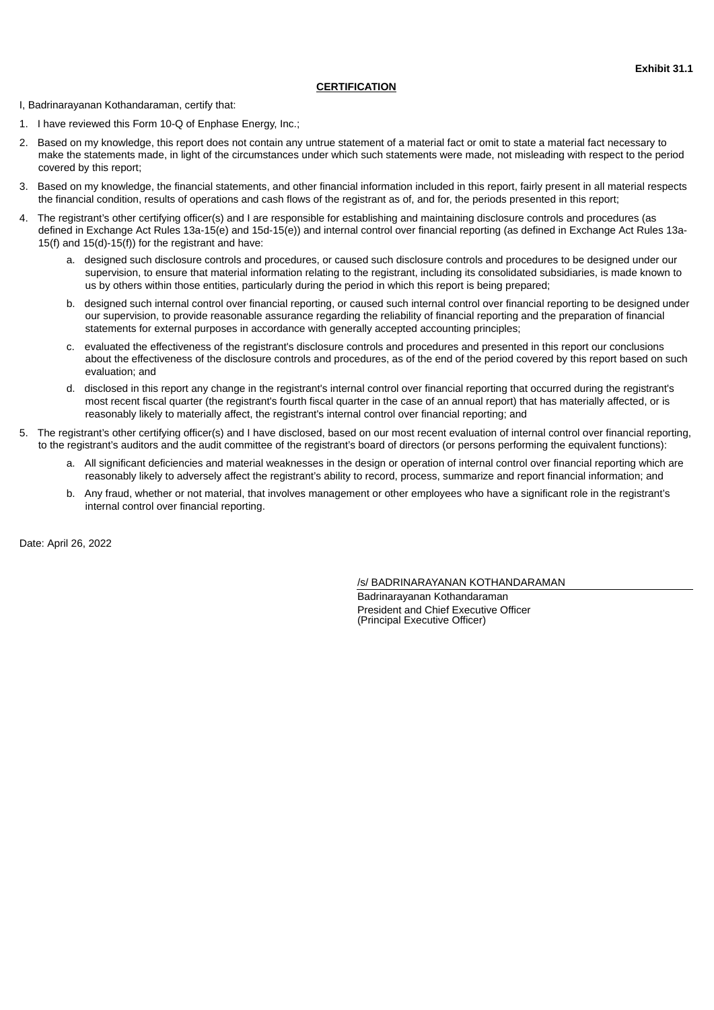# **CERTIFICATION**

<span id="page-58-0"></span>I, Badrinarayanan Kothandaraman, certify that:

- 1. I have reviewed this Form 10-Q of Enphase Energy, Inc.;
- 2. Based on my knowledge, this report does not contain any untrue statement of a material fact or omit to state a material fact necessary to make the statements made, in light of the circumstances under which such statements were made, not misleading with respect to the period covered by this report;
- 3. Based on my knowledge, the financial statements, and other financial information included in this report, fairly present in all material respects the financial condition, results of operations and cash flows of the registrant as of, and for, the periods presented in this report;
- 4. The registrant's other certifying officer(s) and I are responsible for establishing and maintaining disclosure controls and procedures (as defined in Exchange Act Rules 13a-15(e) and 15d-15(e)) and internal control over financial reporting (as defined in Exchange Act Rules 13a-15(f) and 15(d)-15(f)) for the registrant and have:
	- a. designed such disclosure controls and procedures, or caused such disclosure controls and procedures to be designed under our supervision, to ensure that material information relating to the registrant, including its consolidated subsidiaries, is made known to us by others within those entities, particularly during the period in which this report is being prepared;
	- b. designed such internal control over financial reporting, or caused such internal control over financial reporting to be designed under our supervision, to provide reasonable assurance regarding the reliability of financial reporting and the preparation of financial statements for external purposes in accordance with generally accepted accounting principles;
	- c. evaluated the effectiveness of the registrant's disclosure controls and procedures and presented in this report our conclusions about the effectiveness of the disclosure controls and procedures, as of the end of the period covered by this report based on such evaluation; and
	- d. disclosed in this report any change in the registrant's internal control over financial reporting that occurred during the registrant's most recent fiscal quarter (the registrant's fourth fiscal quarter in the case of an annual report) that has materially affected, or is reasonably likely to materially affect, the registrant's internal control over financial reporting; and
- 5. The registrant's other certifying officer(s) and I have disclosed, based on our most recent evaluation of internal control over financial reporting, to the registrant's auditors and the audit committee of the registrant's board of directors (or persons performing the equivalent functions):
	- a. All significant deficiencies and material weaknesses in the design or operation of internal control over financial reporting which are reasonably likely to adversely affect the registrant's ability to record, process, summarize and report financial information; and
	- b. Any fraud, whether or not material, that involves management or other employees who have a significant role in the registrant's internal control over financial reporting.

Date: April 26, 2022

/s/ BADRINARAYANAN KOTHANDARAMAN

Badrinarayanan Kothandaraman President and Chief Executive Officer (Principal Executive Officer)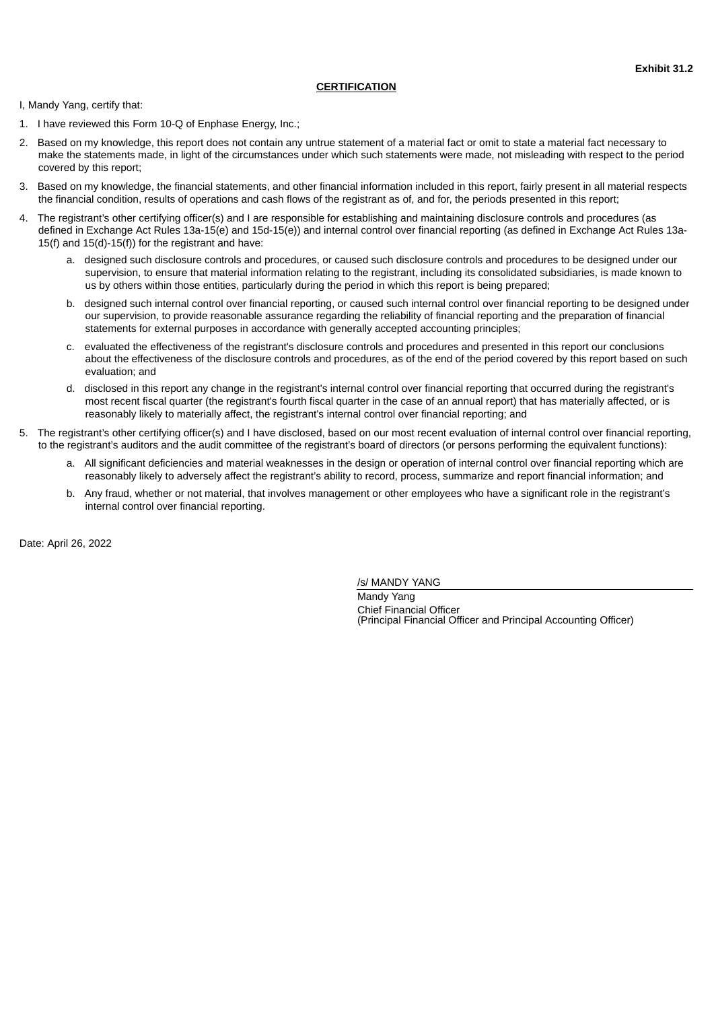# **CERTIFICATION**

<span id="page-59-0"></span>I, Mandy Yang, certify that:

- 1. I have reviewed this Form 10-Q of Enphase Energy, Inc.;
- 2. Based on my knowledge, this report does not contain any untrue statement of a material fact or omit to state a material fact necessary to make the statements made, in light of the circumstances under which such statements were made, not misleading with respect to the period covered by this report;
- 3. Based on my knowledge, the financial statements, and other financial information included in this report, fairly present in all material respects the financial condition, results of operations and cash flows of the registrant as of, and for, the periods presented in this report;
- 4. The registrant's other certifying officer(s) and I are responsible for establishing and maintaining disclosure controls and procedures (as defined in Exchange Act Rules 13a-15(e) and 15d-15(e)) and internal control over financial reporting (as defined in Exchange Act Rules 13a-15(f) and 15(d)-15(f)) for the registrant and have:
	- a. designed such disclosure controls and procedures, or caused such disclosure controls and procedures to be designed under our supervision, to ensure that material information relating to the registrant, including its consolidated subsidiaries, is made known to us by others within those entities, particularly during the period in which this report is being prepared;
	- b. designed such internal control over financial reporting, or caused such internal control over financial reporting to be designed under our supervision, to provide reasonable assurance regarding the reliability of financial reporting and the preparation of financial statements for external purposes in accordance with generally accepted accounting principles;
	- c. evaluated the effectiveness of the registrant's disclosure controls and procedures and presented in this report our conclusions about the effectiveness of the disclosure controls and procedures, as of the end of the period covered by this report based on such evaluation; and
	- d. disclosed in this report any change in the registrant's internal control over financial reporting that occurred during the registrant's most recent fiscal quarter (the registrant's fourth fiscal quarter in the case of an annual report) that has materially affected, or is reasonably likely to materially affect, the registrant's internal control over financial reporting; and
- 5. The registrant's other certifying officer(s) and I have disclosed, based on our most recent evaluation of internal control over financial reporting, to the registrant's auditors and the audit committee of the registrant's board of directors (or persons performing the equivalent functions):
	- a. All significant deficiencies and material weaknesses in the design or operation of internal control over financial reporting which are reasonably likely to adversely affect the registrant's ability to record, process, summarize and report financial information; and
	- b. Any fraud, whether or not material, that involves management or other employees who have a significant role in the registrant's internal control over financial reporting.

Date: April 26, 2022

/s/ MANDY YANG

Mandy Yang Chief Financial Officer (Principal Financial Officer and Principal Accounting Officer)